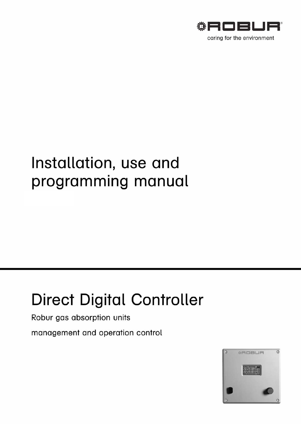

# Installation, use and programming manual

# **Direct Digital Controller**

Robur gas absorption units

management and operation control

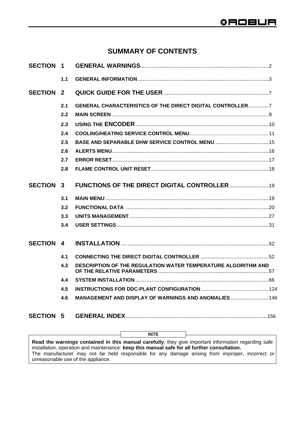# **SUMMARY OF CONTENTS**

|                  |     | <b>NOTE</b>                                                          |
|------------------|-----|----------------------------------------------------------------------|
|                  |     |                                                                      |
|                  | 4.6 | MANAGEMENT AND DISPLAY OF WARNINGS AND ANOMALIES  146                |
|                  |     |                                                                      |
|                  | 4.4 |                                                                      |
|                  | 4.3 | <b>DESCRIPTION OF THE REGULATION WATER TEMPERATURE ALGORITHM AND</b> |
|                  | 4.1 |                                                                      |
| <b>SECTION 4</b> |     |                                                                      |
|                  | 3.4 |                                                                      |
|                  | 3.3 |                                                                      |
|                  | 3.2 |                                                                      |
|                  | 3.1 |                                                                      |
| <b>SECTION 3</b> |     | <b>FUNCTIONS OF THE DIRECT DIGITAL CONTROLLER 19</b>                 |
|                  | 2.8 |                                                                      |
|                  | 2.7 |                                                                      |
|                  | 2.6 |                                                                      |
|                  | 2.5 | BASE AND SEPARABLE DHW SERVICE CONTROL MENU 15                       |
|                  | 2.4 |                                                                      |
|                  | 2.3 |                                                                      |
|                  | 2.2 |                                                                      |
| <b>SECTION 2</b> | 2.1 | <b>GENERAL CHARACTERISTICS OF THE DIRECT DIGITAL CONTROLLER7</b>     |
|                  |     |                                                                      |
|                  | 1.1 |                                                                      |
| <b>SECTION 1</b> |     |                                                                      |

**Read the warnings contained in this manual carefully**; they give important information regarding safe installation, operation and maintenance: **keep this manual safe for all further consultation.** The manufacturer may not be held responsible for any damage arising from improper, incorrect or unreasonable use of the appliance.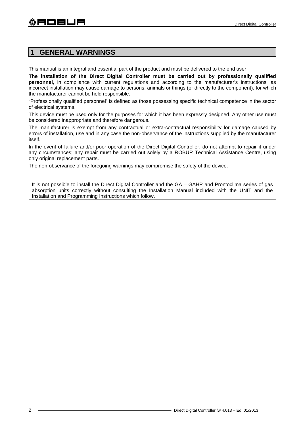# **1 GENERAL WARNINGS**

This manual is an integral and essential part of the product and must be delivered to the end user.

**The installation of the Direct Digital Controller must be carried out by professionally qualified personnel**, in compliance with current regulations and according to the manufacturer's instructions, as incorrect installation may cause damage to persons, animals or things (or directly to the component), for which the manufacturer cannot be held responsible.

"Professionally qualified personnel" is defined as those possessing specific technical competence in the sector of electrical systems.

This device must be used only for the purposes for which it has been expressly designed. Any other use must be considered inappropriate and therefore dangerous.

The manufacturer is exempt from any contractual or extra-contractual responsibility for damage caused by errors of installation, use and in any case the non-observance of the instructions supplied by the manufacturer itself.

In the event of failure and/or poor operation of the Direct Digital Controller, do not attempt to repair it under any circumstances; any repair must be carried out solely by a ROBUR Technical Assistance Centre, using only original replacement parts.

The non-observance of the foregoing warnings may compromise the safety of the device.

It is not possible to install the Direct Digital Controller and the GA – GAHP and Prontoclima series of gas absorption units correctly without consulting the Installation Manual included with the UNIT and the Installation and Programming Instructions which follow.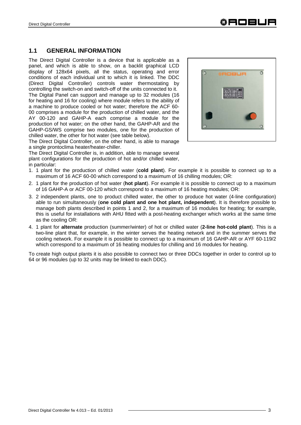## **1.1 GENERAL INFORMATION**

The Direct Digital Controller is a device that is applicable as a panel, and which is able to show, on a backlit graphical LCD display of 128x64 pixels, all the status, operating and error conditions of each individual unit to which it is linked. The DDC (Direct Digital Controller) controls water thermostating by controlling the switch-on and switch-off of the units connected to it. The Digital Panel can support and manage up to 32 modules (16 for heating and 16 for cooling) where module refers to the ability of a machine to produce cooled or hot water; therefore the ACF 60- 00 comprises a module for the production of chilled water, and the AY 00-120 and GAHP-A each comprise a module for the production of hot water; on the other hand, the GAHP-AR and the GAHP-GS/WS comprise two modules, one for the production of chilled water, the other for hot water (see table below).

The Direct Digital Controller, on the other hand, is able to manage a single prontoclima heater/heater-chiller.

The Direct Digital Controller is, in addition, able to manage several plant configurations for the production of hot and/or chilled water, in particular:

- 1. 1 plant for the production of chilled water (**cold plant**). For example it is possible to connect up to a maximum of 16 ACF 60-00 which correspond to a maximum of 16 chilling modules; OR:
- 2. 1 plant for the production of hot water (**hot plant**). For example it is possible to connect up to a maximum of 16 GAHP-A or ACF 00-120 which correspond to a maximum of 16 heating modules; OR:
- 3. 2 independent plants, one to product chilled water, the other to produce hot water (4-line configuration) able to run simultaneously (**one cold plant and one hot plant, independent**). It is therefore possible to manage both plants described in points 1 and 2, for a maximum of 16 modules for heating; for example, this is useful for installations with AHU fitted with a post-heating exchanger which works at the same time as the cooling OR:
- 4. 1 plant for **alternate** production (summer/winter) of hot or chilled water (**2-line hot-cold plant**). This is a two-line plant that, for example, in the winter serves the heating network and in the summer serves the cooling network. For example it is possible to connect up to a maximum of 16 GAHP-AR or AYF 60-119/2 which correspond to a maximum of 16 heating modules for chilling and 16 modules for heating.

To create high output plants it is also possible to connect two or three DDCs together in order to control up to 64 or 96 modules (up to 32 units may be linked to each DDC).

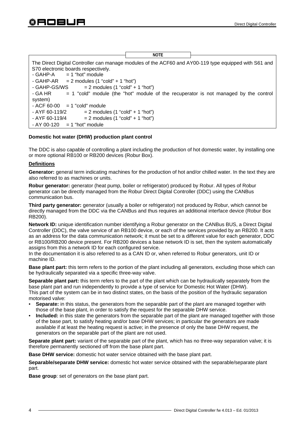|                                                                                                       | <b>NOTE</b> |                                                                                        |
|-------------------------------------------------------------------------------------------------------|-------------|----------------------------------------------------------------------------------------|
|                                                                                                       |             |                                                                                        |
| The Direct Digital Controller can manage modules of the ACF60 and AY00-119 type equipped with S61 and |             |                                                                                        |
| S70 electronic boards respectively.                                                                   |             |                                                                                        |
|                                                                                                       |             |                                                                                        |
| $-GAHP-A = 1$ "hot" module                                                                            |             |                                                                                        |
| - GAHP-AR $= 2$ modules $(1 \text{ "cold" + 1 "hot"})$                                                |             |                                                                                        |
| - GAHP-GS/WS<br>$= 2$ modules $(1 \text{ "cold" + 1 "hot")}$                                          |             |                                                                                        |
| - GA HR                                                                                               |             | $=$ 1 "cold" module (the "hot" module of the recuperator is not managed by the control |
| system)                                                                                               |             |                                                                                        |
| $-$ ACF 60-00 $=$ 1 "cold" module                                                                     |             |                                                                                        |
| - AYF 60-119/2<br>$= 2$ modules $(1 \text{ "cold" + 1 "hot")}$                                        |             |                                                                                        |
| - AYF 60-119/4<br>$= 2$ modules $(1 \text{ "cold" + 1 "hot")}$                                        |             |                                                                                        |
| $-$ AY 00-120 $=$ 1 "hot" module                                                                      |             |                                                                                        |

#### **Domestic hot water (DHW) production plant control**

The DDC is also capable of controlling a plant including the production of hot domestic water, by installing one or more optional RB100 or RB200 devices (Robur Box).

#### **Definitions**

Generator: general term indicating machines for the production of hot and/or chilled water. In the text they are also referred to as machines or units.

**Robur generator:** generator (heat pump, boiler or refrigerator) produced by Robur. All types of Robur generator can be directly managed from the Robur Direct Digital Controller (DDC) using the CANBus communication bus.

**Third party generator:** generator (usually a boiler or refrigerator) not produced by Robur, which cannot be directly managed from the DDC via the CANBus and thus requires an additional interface device (Robur Box RB200).

**Network ID:** unique identification number identifying a Robur generator on the CANBus BUS, a Direct Digital Controller (DDC), the valve service of an RB100 device, or each of the services provided by an RB200. It acts as an address for the data communication network; it must be set to a different value for each generator, DDC or RB100/RB200 device present. For RB200 devices a base network ID is set, then the system automatically assigns from this a network ID for each configured service.

In the documentation it is also referred to as a CAN ID or, when referred to Robur generators, unit ID or machine ID.

**Base plant part:** this term refers to the portion of the plant including all generators, excluding those which can be hydraulically separated via a specific three-way valve.

**Separable plant part:** this term refers to the part of the plant which can be hydraulically separately from the base plant part and run independently to provide a type of service for Domestic Hot Water (DHW). This part of the system can be in two distinct states, on the basis of the position of the hydraulic separation motorised valve:

- **Separate:** in this status, the generators from the separable part of the plant are managed together with those of the base plant, in order to satisfy the request for the separable DHW service.
- **Included:** in this state the generators from the separable part of the plant are managed together with those of the base part, to satisfy heating and/or base DHW services; in particular the generators are made available if at least the heating request is active; in the presence of only the base DHW request, the generators on the separable part of the plant are not used.

**Separate plant part:** variant of the separable part of the plant, which has no three-way separation valve; it is therefore permanently sectioned off from the base plant part.

**Base DHW service:** domestic hot water service obtained with the base plant part.

**Separable/separate DHW service:** domestic hot water service obtained with the separable/separate plant part.

**Base group**: set of generators on the base plant part.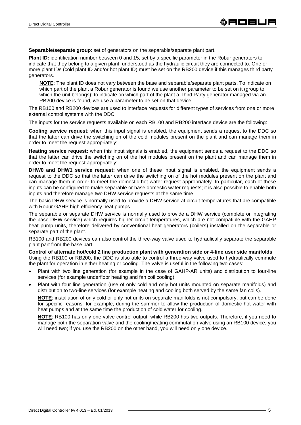**Separable/separate group**: set of generators on the separable/separate plant part.

**Plant ID:** identification number between 0 and 15, set by a specific parameter in the Robur generators to indicate that they belong to a given plant, understood as the hydraulic circuit they are connected to. One or more plant IDs (cold plant ID and/or hot plant ID) must be set on the RB200 device if this manages third party generators.

**NOTE**: The plant ID does not vary between the base and separable/separate plant parts. To indicate on which part of the plant a Robur generator is found we use another parameter to be set on it (group to which the unit belongs); to indicate on which part of the plant a Third Party generator managed via an RB200 device is found, we use a parameter to be set on that device.

The RB100 and RB200 devices are used to interface requests for different types of services from one or more external control systems with the DDC.

The inputs for the service requests available on each RB100 and RB200 interface device are the following:

**Cooling service request**: when this input signal is enabled, the equipment sends a request to the DDC so that the latter can drive the switching on of the cold modules present on the plant and can manage them in order to meet the request appropriately;

**Heating service request:** when this input signals is enabled, the equipment sends a request to the DDC so that the latter can drive the switching on of the hot modules present on the plant and can manage them in order to meet the request appropriately;

**DHW0 and DHW1 service request:** when one of these input signal is enabled, the equipment sends a request to the DDC so that the latter can drive the switching on of the hot modules present on the plant and can manage them in order to meet the domestic hot water request appropriately. In particular, each of these inputs can be configured to make separable or base domestic water requests; it is also possible to enable both inputs and therefore manage two DHW service requests at the same time.

The basic DHW service is normally used to provide a DHW service at circuit temperatures that are compatible with Robur GAHP high efficiency heat pumps.

The separable or separate DHW service is normally used to provide a DHW service (complete or integrating the base DHW service) which requires higher circuit temperatures, which are not compatible with the GAHP heat pump units, therefore delivered by conventional heat generators (boilers) installed on the separable or separate part of the plant.

RB100 and RB200 devices can also control the three-way valve used to hydraulically separate the separable plant part from the base part.

**Control of alternate hot/cold 2 line production plant with generation side or 4-line user side manifolds**  Using the RB100 or RB200, the DDC is also able to control a three-way valve used to hydraulically commute the plant for operation in either heating or cooling. The valve is useful in the following two cases:

- Plant with two line generation (for example in the case of GAHP-AR units) and distribution to four-line services (for example underfloor heating and fan coil cooling).
- Plant with four line generation (use of only cold and only hot units mounted on separate manifolds) and distribution to two-line services (for example heating and cooling both served by the same fan coils).

**NOTE**: installation of only cold or only hot units on separate manifolds is not compulsory, but can be done for specific reasons: for example, during the summer to allow the production of domestic hot water with heat pumps and at the same time the production of cold water for cooling.

 **NOTE**: RB100 has only one valve control output, while RB200 has two outputs. Therefore, if you need to manage both the separation valve and the cooling/heating commutation valve using an RB100 device, you will need two; if you use the RB200 on the other hand, you will need only one device.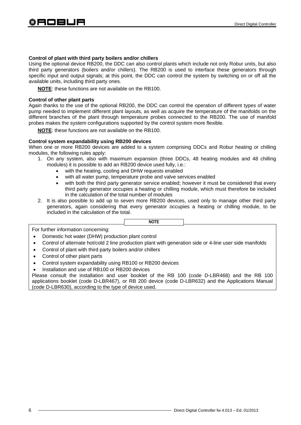#### **Control of plant with third party boilers and/or chillers**

Using the optional device RB200, the DDC can also control plants which include not only Robur units, but also third party generators (boilers and/or chillers). The RB200 is used to interface these generators through specific input and output signals; at this point, the DDC can control the system by switching on or off all the available units, including third party ones.

**NOTE**: these functions are not available on the RB100.

#### **Control of other plant parts**

Again thanks to the use of the optional RB200, the DDC can control the operation of different types of water pump needed to implement different plant layouts, as well as acquire the temperature of the manifolds on the different branches of the plant through temperature probes connected to the RB200. The use of manifold probes makes the system configurations supported by the control system more flexible.

**NOTE**: these functions are not available on the RB100.

#### **Control system expandability using RB200 devices**

When one or more RB200 devices are added to a system comprising DDCs and Robur heating or chilling modules, the following rules apply:

- 1. On any system, also with maximum expansion (three DDCs, 48 heating modules and 48 chilling modules) it is possible to add an RB200 device used fully, i.e.:
	- with the heating, cooling and DHW requests enabled
	- with all water pump, temperature probe and valve services enabled
	- with both the third party generator service enabled; however it must be considered that every third party generator occupies a heating or chilling module, which must therefore be included in the calculation of the total number of modules
- 2. It is also possible to add up to seven more RB200 devices, used only to manage other third party generators, again considering that every generator occupies a heating or chilling module, to be included in the calculation of the total.

**NOTE** 

For further information concerning:

- Domestic hot water (DHW) production plant control
- Control of alternate hot/cold 2 line production plant with generation side or 4-line user side manifolds
- Control of plant with third party boilers and/or chillers
- Control of other plant parts
- Control system expandability using RB100 or RB200 devices
- Installation and use of RB100 or RB200 devices

Please consult the installation and user booklet of the RB 100 (code D-LBR468) and the RB 100 applications booklet (code D-LBR467), or RB 200 device (code D-LBR632) and the Applications Manual (code D-LBR630), according to the type of device used.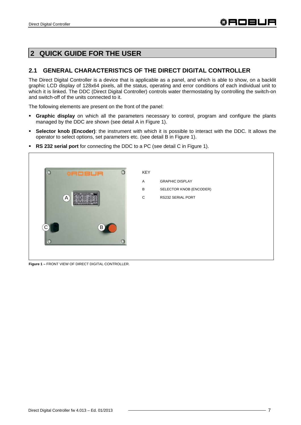# **2 QUICK GUIDE FOR THE USER**

### **2.1 GENERAL CHARACTERISTICS OF THE DIRECT DIGITAL CONTROLLER**

The Direct Digital Controller is a device that is applicable as a panel, and which is able to show, on a backlit graphic LCD display of 128x64 pixels, all the status, operating and error conditions of each individual unit to which it is linked. The DDC (Direct Digital Controller) controls water thermostating by controlling the switch-on and switch-off of the units connected to it.

The following elements are present on the front of the panel:

- **Graphic display** on which all the parameters necessary to control, program and configure the plants managed by the DDC are shown (see detail A in Figure 1).
- **Selector knob (Encoder)**: the instrument with which it is possible to interact with the DDC. It allows the operator to select options, set parameters etc. (see detail B in Figure 1).
- **RS 232 serial port** for connecting the DDC to a PC (see detail C in Figure 1).



**Figure 1 –** FRONT VIEW OF DIRECT DIGITAL CONTROLLER.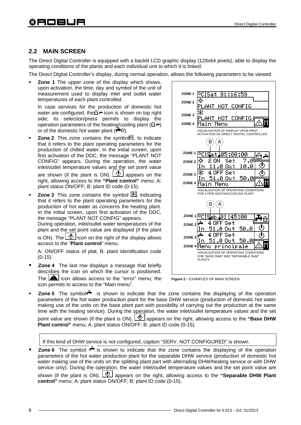### **2.2 MAIN SCREEN**

The Direct Digital Controller is equipped with a backlit LCD graphic display (128x64 pixels), able to display the operating conditions of the plants and each individual unit to which it is linked.

The Direct Digital Controller's display, during normal operation, allows the following parameters to be viewed:

 **Zone 1** The upper zone of the display which shows, upon activation, the time, day and symbol of the unit of measurement used to display inlet and outlet water temperatures of each plant controlled.

In case services for the production of domestic hot water are configured, the  $\hat{H}$  icon is shown on top right side; its selection/press permits to display the operation parameters of the heating/cooling plant  $(\hat{\mathbb{G}}^{\mathbf{A}})$ or of the domestic hot water plant  $(\overline{\mathbf{H}})$ .

- **Zone 2** This zone contains the symbo图, to indicate that it refers to the plant operating parameters for the production of chilled water. In the initial screen, upon first activation of the DDC, the message "PLANT NOT CONFIG" appears. During the operation, the water inlet/outlet temperature values and the set point value are shown (if the plant is ON).  $\Box$  appears on the right, allowing access to the **"Plant control"** menu; A: plant status ON/OFF; B: plant ID code (0-15).
- **Zone 3** This zone contains the symbol  $\mathbb{K}$ , indicating that it refers to the plant operating parameters for the production of hot water as concerns the heating plant. In the initial screen, upon first activation of the DDC, the message "PLANT NOT CONFIG" appears.

During operation, inlet/outlet water temperatures of the plant and the set point value are displayed (if the plant

is ON). The  $\boxed{\bigcircled{4}}$  icon on the right of the display allows access to the "**Plant control**" menu;

A: ON/OFF status of plat; B: plant identification code (0-15).

 **Zone 4** The last row displays a message that briefly describes the icon on which the cursor is positioned. The  $\triangle$  icon allows access to the "error" menu; the icon permits to access to the "Main menu".





**Zone 5** The symbol<sup>1</sup> is shown to indicate that the zone contains the displaying of the operation parameters of the hot water production plant for the base DHW service (production of domestic hot water making use of the units on the base plant part with possibility of carrying out the production at the same time with the heating service). During the operation, the water inlet/outlet temperature values and the set point value are shown (if the plant is ON).  $\bigcirc$  appears on the right, allowing access to the "**Base DHW Plant control"** menu; A: plant status ON/OFF; B: plant ID code (0-15).

If this kind of DHW service is not configured, caption "SERV. NOT CONFIGURED" is shown.

**Zone 6** The symbol  $\frac{1}{x}$  is shown to indicate that the zone contains the displaying of the operation parameters of the hot water production plant for the separable DHW service (production of domestic hot water making use of the units on the splitting plant part with alternating DHW/heating service or with DHW service only). During the operation, the water inlet/outlet temperature values and the set point value are shown (if the plant is ON).  $\boxed{\mathbf{0}}$  appears on the right, allowing access to the "Separable DHW Plant **control"** menu; A: plant status ON/OFF; B: plant ID code (0-15).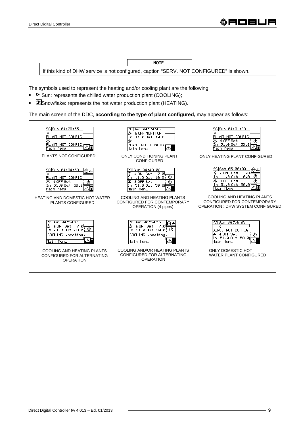



The symbols used to represent the heating and/or cooling plant are the following:

- $\blacksquare$  Sun: represents the chilled water production plant (COOLING);
- $\blacksquare$  Snowflake: represents the hot water production plant (HEATING).

The main screen of the DDC, **according to the type of plant configured,** may appear as follows:

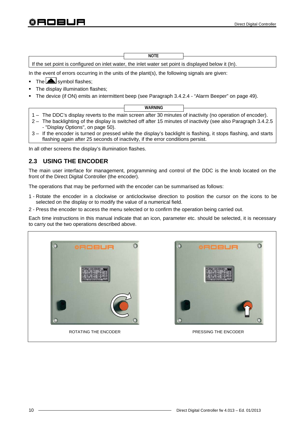|                                                                                                      | <b>NOTE</b> |  |
|------------------------------------------------------------------------------------------------------|-------------|--|
| If the set point is configured on inlet water, the inlet water set point is displayed below it (In). |             |  |

In the event of errors occurring in the units of the plant $(s)$ , the following signals are given:

- $\bullet$  The  $\triangle$  symbol flashes;
- The display illumination flashes;
- The device (if ON) emits an intermittent beep (see Paragraph 3.4.2.4 "Alarm Beeper" on page 49).
- 1 The DDC's display reverts to the main screen after 30 minutes of inactivity (no operation of encoder). **WARNING**
- 2 The backlighting of the display is switched off after 15 minutes of inactivity (see also Paragraph 3.4.2.5 - "Display Options", on page 50).
- 3 If the encoder is turned or pressed while the display's backlight is flashing, it stops flashing, and starts flashing again after 25 seconds of inactivity, if the error conditions persist.

In all other screens the display's illumination flashes.

# **2.3 USING THE ENCODER**

The main user interface for management, programming and control of the DDC is the knob located on the front of the Direct Digital Controller (the encoder).

The operations that may be performed with the encoder can be summarised as follows:

- 1 Rotate the encoder in a clockwise or anticlockwise direction to position the cursor on the icons to be selected on the display or to modify the value of a numerical field.
- 2 Press the encoder to access the menu selected or to confirm the operation being carried out.

Each time instructions in this manual indicate that an icon, parameter etc. should be selected, it is necessary to carry out the two operations described above.



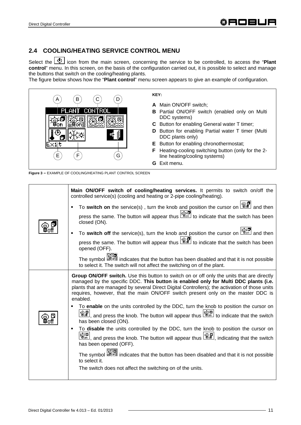# **2.4 COOLING/HEATING SERVICE CONTROL MENU**

Select the  $\boxed{\mathbf{0}}$  icon from the main screen, concerning the service to be controlled, to access the "**Plant control**" menu. In this screen, on the basis of the configuration carried out, it is possible to select and manage the buttons that switch on the cooling/heating plants.

The figure below shows how the "**Plant control**" menu screen appears to give an example of configuration.



**Figure 3 –** EXAMPLE OF COOLING/HEATING PLANT CONTROL SCREEN

| Main ON/OFF switch of cooling/heating services. It permits to switch on/off the<br>controlled service(s) (cooling and heating or 2-pipe cooling/heating).                                                                                                                                                                                                                                                                                                                                                                                                                                                                                                                                                                                                                                                                                                                                                                                                                                                                                                                                                                                                                                                                                                                                                          |
|--------------------------------------------------------------------------------------------------------------------------------------------------------------------------------------------------------------------------------------------------------------------------------------------------------------------------------------------------------------------------------------------------------------------------------------------------------------------------------------------------------------------------------------------------------------------------------------------------------------------------------------------------------------------------------------------------------------------------------------------------------------------------------------------------------------------------------------------------------------------------------------------------------------------------------------------------------------------------------------------------------------------------------------------------------------------------------------------------------------------------------------------------------------------------------------------------------------------------------------------------------------------------------------------------------------------|
| To switch on the service(s), turn the knob and position the cursor on $\boxed{\mathbb{CP}}$ and then                                                                                                                                                                                                                                                                                                                                                                                                                                                                                                                                                                                                                                                                                                                                                                                                                                                                                                                                                                                                                                                                                                                                                                                                               |
| press the same. The button will appear thus $\frac{\mathbb{R}^{\text{max}}}{\mathbb{R}^{\text{max}}}$ to indicate that the switch has been<br>closed (ON).                                                                                                                                                                                                                                                                                                                                                                                                                                                                                                                                                                                                                                                                                                                                                                                                                                                                                                                                                                                                                                                                                                                                                         |
| To switch off the service(s), turn the knob and position the cursor on $\frac{\log 2}{\log n}$ and then<br>٠                                                                                                                                                                                                                                                                                                                                                                                                                                                                                                                                                                                                                                                                                                                                                                                                                                                                                                                                                                                                                                                                                                                                                                                                       |
| opened (OFF).                                                                                                                                                                                                                                                                                                                                                                                                                                                                                                                                                                                                                                                                                                                                                                                                                                                                                                                                                                                                                                                                                                                                                                                                                                                                                                      |
| The symbol <b>of the symbol</b> indicates that the button has been disabled and that it is not possible<br>to select it. The switch will not affect the switching on of the plant.                                                                                                                                                                                                                                                                                                                                                                                                                                                                                                                                                                                                                                                                                                                                                                                                                                                                                                                                                                                                                                                                                                                                 |
| Group ON/OFF switch. Use this button to switch on or off only the units that are directly<br>managed by the specific DDC. This button is enabled only for Multi DDC plants (i.e.<br>plants that are managed by several Direct Digital Controllers); the activation of those units<br>requires, however, that the main ON/OFF switch present only on the master DDC is<br>enabled.<br>To enable on the units controlled by the DDC, turn the knob to position the cursor on<br>REP, and press the knob. The button will appear thus $\frac{ \mathfrak{F}_0^n }{ \mathfrak{F}_0^n }$ to indicate that the switch<br>has been closed (ON).<br>To disable the units controlled by the DDC, turn the knob to position the cursor on<br>٠<br><u>ଞ୍ଜେ</u> , and press the knob. The button will appear thus $\left[\begin{smallmatrix}\mathfrak{B}\mathfrak{B} \ \mathfrak{B}\mathfrak{C}\mathfrak{m}\end{smallmatrix}\right]$ , and press the knob. The button will appear thus $\left[\begin{smallmatrix}\mathfrak{B}\mathfrak{B}\mathfrak{C}\mathfrak{F}\end{smallmatrix}\right]$ , indicating that the sw<br>has been opened (OFF).<br>The symbol <b>sector</b> indicates that the button has been disabled and that it is not possible<br>to select it.<br>The switch does not affect the switching on of the units. |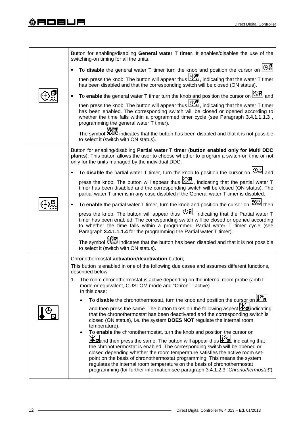# **‡ROBUR**

| Button for enabling/disabling General water T timer. It enables/disables the use of the<br>switching-on timing for all the units.                                                                                                                                                                                                                                                                                                                                                                                                                                                  |
|------------------------------------------------------------------------------------------------------------------------------------------------------------------------------------------------------------------------------------------------------------------------------------------------------------------------------------------------------------------------------------------------------------------------------------------------------------------------------------------------------------------------------------------------------------------------------------|
| To <b>disable</b> the general water T timer turn the knob and position the cursor on $\boxed{\oplus \mathbb{Z}}$                                                                                                                                                                                                                                                                                                                                                                                                                                                                   |
| indicating that the water T timer<br>has been disabled and that the corresponding switch will be closed (ON status).                                                                                                                                                                                                                                                                                                                                                                                                                                                               |
| To enable the general water T timer turn the knob and position the cursor on $\mathbb{R}^{\bullet}$ and                                                                                                                                                                                                                                                                                                                                                                                                                                                                            |
| then press the knob. The button will appear thus $\boxed{\bigoplus_{i=1}^{\infty}}$ , indicating that the water T timer<br>has been enabled. The corresponding switch will be closed or opened according to<br>whether the time falls within a programmed timer cycle (see Paragraph 3.4.1.1.1.3,<br>programming the general water T timer).                                                                                                                                                                                                                                       |
| The symbol states that the button has been disabled and that it is not possible<br>to select it (switch with ON status).                                                                                                                                                                                                                                                                                                                                                                                                                                                           |
| Button for enabling/disabling Partial water T timer (button enabled only for Multi DDC<br>plants). This button allows the user to choose whether to program a switch-on time or not<br>only for the units managed by the individual DDC.                                                                                                                                                                                                                                                                                                                                           |
| To disable the partial water T timer, turn the knob to position the cursor on $\left(\frac{1+\alpha}{2}\right)$ and                                                                                                                                                                                                                                                                                                                                                                                                                                                                |
| press the knob. The button will appear thus $\mathbb{Z}$ , indicating that the partial water T<br>timer has been disabled and the corresponding switch will be closed (ON status). The<br>partial water T timer is in any case disabled if the General water T timer is disabled.                                                                                                                                                                                                                                                                                                  |
| To enable the partial water T timer, turn the knob and position the cursor on $\mathbb{R}^{\mathbb{Z}}$ then                                                                                                                                                                                                                                                                                                                                                                                                                                                                       |
| press the knob. The button will appear thus $\Box$ , indicating that the Partial water T<br>timer has been enabled. The corresponding switch will be closed or opened according<br>to whether the time falls within a programmed Partial water T timer cycle (see<br>Paragraph 3.4.1.1.1.4 for the programming the Partial water T timer).                                                                                                                                                                                                                                         |
| indicates that the button has been disabled and that it is not possible<br>to select it (switch with ON status).                                                                                                                                                                                                                                                                                                                                                                                                                                                                   |
| Chronothermostat activation/deactivation button;                                                                                                                                                                                                                                                                                                                                                                                                                                                                                                                                   |
| This button is enabled in one of the following due cases and assumes different functions,<br>described below:                                                                                                                                                                                                                                                                                                                                                                                                                                                                      |
| The room chronothermostat is active depending on the internal room probe (ambT<br>1-<br>mode or equivalent, CUSTOM mode and "ChronT" active).<br>In this case:                                                                                                                                                                                                                                                                                                                                                                                                                     |
| To <b>disable</b> the chronothermostat, turn the knob and position the cursor on $\mathbf{L}^{\oplus}$                                                                                                                                                                                                                                                                                                                                                                                                                                                                             |
| and then press the same. The button takes on the following aspect <b>Ad</b> indicating<br>that the chronothermostat has been deactivated and the corresponding switch is<br>closed (ON status), i.e. the system DOES NOT regulate the internal room<br>temperature).                                                                                                                                                                                                                                                                                                               |
| To enable the chronothermostat, turn the knob and position the cursor on<br>$\bullet$<br>and then press the same. The button will appear thus $\Box$ , indicating that<br>the chronothermostat is enabled. The corresponding switch will be opened or<br>closed depending whether the room temperature satisfies the active room set-<br>point on the basis of chronothermostat programming. This means the system<br>regulates the internal room temperature on the basis of chronothermostat<br>programming (for further information see paragraph 3.4.1.2.3 "Chronothermostat") |
|                                                                                                                                                                                                                                                                                                                                                                                                                                                                                                                                                                                    |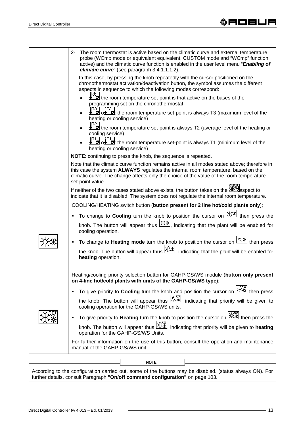| The room thermostat is active based on the climatic curve and external temperature<br>2-<br>probe (WCmp mode or equivalent equivalent, CUSTOM mode and "WCmp" function<br>active) and the climatic curve function is enabled in the user level menu "Enabling of<br>climatic curve" (see paragraph 3.4.1.1.1.2). |
|------------------------------------------------------------------------------------------------------------------------------------------------------------------------------------------------------------------------------------------------------------------------------------------------------------------|
| In this case, by pressing the knob repeatedly with the cursor positioned on the<br>chronothermostat activation/deactivation button, the symbol assumes the different<br>aspects in sequence to which the following modes correspond:                                                                             |
| $\left[\begin{matrix} 1 & 0 \\ 0 & 1 \end{matrix}\right]$ the room temperature set-point is that active on the bases of the<br>programming set on the chronothermostat.                                                                                                                                          |
| $\begin{bmatrix} 13 \\ 0 \end{bmatrix}$ of $\begin{bmatrix} 13 \\ 0 \end{bmatrix}$ : the room temperature set-point is always T3 (maximum level of the<br>heating or cooling service)                                                                                                                            |
| 0T2 .<br>the room temperature set-point is always T2 (average level of the heating or<br>cooling service)                                                                                                                                                                                                        |
| $\begin{bmatrix} 1 & 1 \\ 0 & 0 \end{bmatrix}$ of the room temperature set-point is always T1 (minimum level of the<br>heating or cooling service)                                                                                                                                                               |
| NOTE: continuing to press the knob, the sequence is repeated.                                                                                                                                                                                                                                                    |
| Note that the climatic curve function remains active in all modes stated above; therefore in<br>this case the system ALWAYS regulates the internal room temperature, based on the<br>climatic curve. The change affects only the choice of the value of the room temperature<br>set-point value.                 |
| If neither of the two cases stated above exists, the button takes on the <b>the a</b> spect to<br>indicate that it is disabled. The system does not regulate the internal room temperature.                                                                                                                      |
| COOLING/HEATING switch button (button present for 2 line hot/cold plants only);                                                                                                                                                                                                                                  |
| To change to Cooling turn the knob to position the cursor on $\frac{ \mathcal{X} \cdot\mathcal{X} }{ \mathcal{X} }$ then press the                                                                                                                                                                               |
| knob. The button will appear thus $\frac{ \mathbb{X}^* }{ \mathbb{X}^* }$ , indicating that the plant will be enabled for<br>cooling operation.                                                                                                                                                                  |
| To change to <b>Heating mode</b> turn the knob to position the cursor on $\frac{ \mathbf{X} \cdot\mathbf{w} }{ \mathbf{X} \cdot\mathbf{w} }$ then press                                                                                                                                                          |
| the knob. The button will appear thus $\frac{ \mathcal{X}^* }{ \mathcal{X}^* }$ , indicating that the plant will be enabled for<br>heating operation.                                                                                                                                                            |
| Heating/cooling priority selection button for GAHP-GS/WS module (button only present<br>on 4-line hot/cold plants with units of the GAHP-GS/WS type);                                                                                                                                                            |
| To give priority to Cooling turn the knob and position the cursor on $\mathbb{R}^{\mathbb{W}}$ then press                                                                                                                                                                                                        |
| the knob. The button will appear thus $\frac{1}{10}$ indicating that priority will be given to<br>cooling operation for the GAHP-GS/WS units.                                                                                                                                                                    |
| To give priority to Heating turn the knob to position the cursor on $\mathbb{H}\mathbb{H}$ then press the                                                                                                                                                                                                        |
| knob. The button will appear thus $\frac{dX}{dX}$ , indicating that priority will be given to <b>heating</b><br>operation for the GAHP-GS/WS Units.                                                                                                                                                              |
| For further information on the use of this button, consult the operation and maintenance<br>manual of the GAHP-GS/WS unit.                                                                                                                                                                                       |
|                                                                                                                                                                                                                                                                                                                  |

According to the configuration carried out, some of the buttons may be disabled. (status always ON). For further details, consult Paragraph **"On/off command configuration"** on page 103.

**NOTE**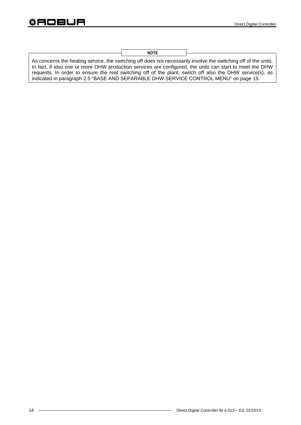**NOTE** 

As concerns the heating service, the switching off does not necessarily involve the switching off of the units. In fact, if also one or more DHW production services are configured, the units can start to meet the DHW requests. In order to ensure the real switching off of the plant, switch off also the DHW service(s), as indicated in paragraph 2.5 "BASE AND SEPARABLE DHW SERVICE CONTROL MENU" on page 15.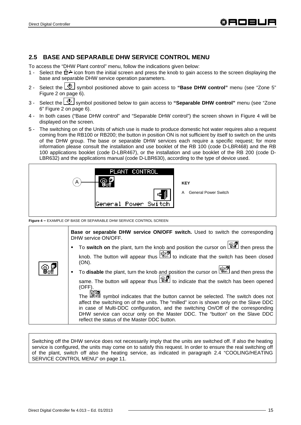## **2.5 BASE AND SEPARABLE DHW SERVICE CONTROL MENU**

To access the "DHW Plant control" menu, follow the indications given below:

- 1 Select the  $\hat{\mathbb{G}}$  + icon from the initial screen and press the knob to gain access to the screen displaying the base and separable DHW service operation parameters.
- 2 Select the  $\boxed{4}$  symbol positioned above to gain access to "Base DHW control" menu (see "Zone 5" Figure 2 on page 6).
- 3 Select the **U** symbol positioned below to gain access to "Separable DHW control" menu (see "Zone 6" Figure 2 on page 6).
- 4 In both cases ("Base DHW control" and "Separable DHW control") the screen shown in Figure 4 will be displayed on the screen.
- 5 The switching on of the Units of which use is made to produce domestic hot water requires also a request coming from the RB100 or RB200; the button in position ON is not sufficient by itself to switch on the units of the DHW group. The base or separable DHW services each require a specific request; for more information please consult the installation and use booklet of the RB 100 (code D-LBR468) and the RB 100 applications booklet (code D-LBR467), or the installation and use booklet of the RB 200 (code D-LBR632) and the applications manual (code D-LBR630), according to the type of device used.



**Figure 4 –** EXAMPLE OF BASE OR SEPARABLE DHW SERVICE CONTROL SCREEN

|                                                                  | <b>Base or separable DHW service ON/OFF switch.</b> Used to switch the corresponding<br>DHW service ON/OFF.                                                                                                                                                                                                                                               |
|------------------------------------------------------------------|-----------------------------------------------------------------------------------------------------------------------------------------------------------------------------------------------------------------------------------------------------------------------------------------------------------------------------------------------------------|
|                                                                  |                                                                                                                                                                                                                                                                                                                                                           |
|                                                                  | knob. The button will appear thus $\frac{\mathbb{Q}[\mathbf{G}]}{\mathbb{Q}[\mathbf{G}]}$ to indicate that the switch has been closed<br>(ON).                                                                                                                                                                                                            |
| $\begin{smallmatrix} &\circledR\ 3&\circled{f}\end{smallmatrix}$ | To disable the plant, turn the knob and position the cursor on <b>Figged</b> and then press the                                                                                                                                                                                                                                                           |
|                                                                  | same. The button will appear thus $\boxed{\mathbb{CP}}$ to indicate that the switch has been opened<br>$(OFF)$ .                                                                                                                                                                                                                                          |
|                                                                  | The <b>section</b> symbol indicates that the button cannot be selected. The switch does not<br>affect the switching on of the units. The "milled" icon is shown only on the Slave DDC<br>in case of Multi-DDC configuration, and the switching On/Off of the corresponding<br>DHW service can occur only on the Master DDC. The "button" on the Slave DDC |
|                                                                  | reflect the status of the Master DDC button.                                                                                                                                                                                                                                                                                                              |

Switching off the DHW service does not necessarily imply that the units are switched off. If also the heating service is configured, the units may come on to satisfy this request. In order to ensure the real switching off of the plant, switch off also the heating service, as indicated in paragraph 2.4 "COOLING/HEATING SERVICE CONTROL MENU" on page 11.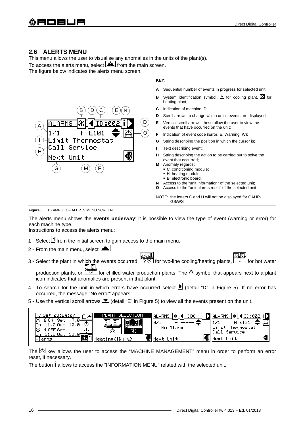# **2.6 ALERTS MENU**

This menu allows the user to visualise any anomalies in the units of the plant(s). To access the alerts menu, select **A** from the main screen.

The figure below indicates the alerts menu screen.



**Figure 5 –** EXAMPLE OF ALERTS MENU SCREEN

The alerts menu shows the **events underway**: it is possible to view the type of event (warning or error) for each machine type.

Instructions to access the alerts menu:

- 1 Select  $\mathbb N$  from the initial screen to gain access to the main menu.
- 2 From the main menu, select  $\boxed{\triangle}$
- 3 Select the plant in which the events occurred:  $\sqrt{7+1}$  for two-line cooling/heating plants,  $\sqrt{7+1}$  for hot water 風風

production plants, or  $\sqrt{1+\frac{1}{n}}$  for chilled water production plants. The  $\Delta$  symbol that appears next to a plant icon indicates that anomalies are present in that plant.

- 4 To search for the unit in which errors have occurred select  $\blacktriangleright$  (detail "D" in Figure 5). If no error has occurred, the message "No error" appears.
- 5 Use the vertical scroll arrows  $\blacksquare$  (detail "E" in Figure 5) to view all the events present on the unit.

| 03:24:07<br>୍ୟ⊡<br>−<br>Se.<br>10.<br>а.<br>Se.<br>୬ | SELECTION<br>PLANT<br>ı<br>Ж | DDC<br><b>IALARMS</b><br>10/0<br>No Alarm | <b>ALARMS</b><br>E101<br>imit Thermostat.<br>Call Service |
|------------------------------------------------------|------------------------------|-------------------------------------------|-----------------------------------------------------------|
| 50.<br>larms                                         | 'Heating(ID: 4)              | Unit<br>⊸≉⊪Мехт                           | Unit                                                      |

The  $\mathbb{H}$  key allows the user to access the "MACHINE MANAGEMENT" menu in order to perform an error reset, if necessary.

The button **i** allows to access the "INFORMATION MENU" related with the selected unit.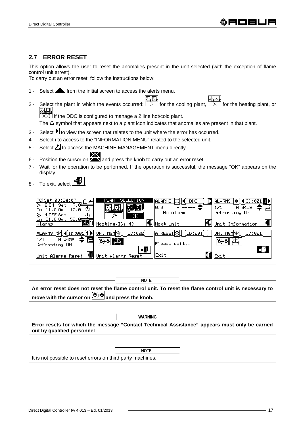# **2.7 ERROR RESET**

This option allows the user to reset the anomalies present in the unit selected (with the exception of flame control unit arrest).

To carry out an error reset, follow the instructions below:

- 1 Select **follo** from the initial screen to access the alerts menu.
- 2 Select the plant in which the events occurred:  $\frac{1}{10}$  for the cooling plant,  $\frac{1}{10}$  for the heating plant, or **in Fig. 3.** if the DDC is configured to manage a 2 line hot/cold plant.

The  $\Delta$  symbol that appears next to a plant icon indicates that anomalies are present in that plant.

- 3 Select  $\blacktriangleright$  to view the screen that relates to the unit where the error has occurred.
- 4 Select i to access to the "INFORMATION MENU" related to the selected unit.
- 5 Select  $\mathbb{\boxtimes}$  to access the MACHINE MANAGEMENT menu directly.
- 6 Position the cursor on **AND and press the knob to carry out an error reset.**
- 7 Wait for the operation to be performed. If the operation is successful, the message "OK" appears on the display.
- 8 To exit, select



**An error reset does not reset the flame control unit. To reset the flame control unit is necessary to move with the cursor on**  $\mathbb{X}^{+}$  **and press the knob. NOTE** 



|                                                             | <b>NOTE</b> |  |
|-------------------------------------------------------------|-------------|--|
| It is not possible to reset errors on third party machines. |             |  |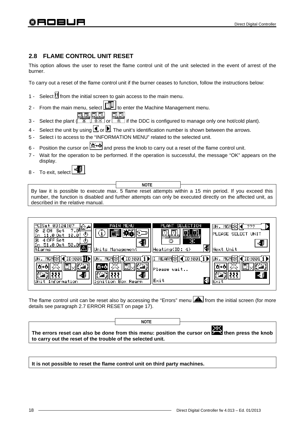# **2.8 FLAME CONTROL UNIT RESET**

This option allows the user to reset the flame control unit of the unit selected in the event of arrest of the burner.

To carry out a reset of the flame control unit if the burner ceases to function, follow the instructions below:

- 1 Select  $\mathbb H$  from the initial screen to gain access to the main menu.
- 2 From the main menu, select  $\Box$  to enter the Machine Management menu.
- 3 Select the plant ( , or if the DDC is configured to manage only one hot/cold plant).
- 4 Select the unit by using  $\Box$  or  $\Box$ . The unit's identification number is shown between the arrows.
- 5 Select i to access to the "INFORMATION MENU" related to the selected unit.
- 6 Position the cursor on  $\mathbb{X}$ +**o** and press the knob to carry out a reset of the flame control unit.
- 7 Wait for the operation to be performed. If the operation is successful, the message "OK" appears on the display.
- 8 To exit, select

By law it is possible to execute max. 5 flame reset attempts within a 15 min period. If you exceed this number, the function is disabled and further attempts can only be executed directly on the affected unit, as described in the relative manual. **NOTE** 

| MAIN MENU<br>at 03:24:07<br>⊡∸<br>7.01<br>Set<br>10.0<br>.ø<br>- Ou t<br>涿<br>4 OFF Set<br>७<br>50.00<br>. .0 Out<br>Units Management<br>Alarms | SELECTION<br>PLANT<br>UN.<br>MGI<br>???<br><b>PLEASE SELECT UNIT</b><br>v<br>∧<br>57<br>環<br>Heating(ID: 4)<br>Next Unit |
|-------------------------------------------------------------------------------------------------------------------------------------------------|--------------------------------------------------------------------------------------------------------------------------|
| ID:001<br>UN. MGMl∯<br>ID:001<br>MGM<br>曲<br>÷<br>Information<br>[anition<br>Box<br>Rearm                                                       | REARM <sup>3</sup><br>(10:001)<br>ID:00<br>Please wait<br>≟ ≸<br>e.<br>Exit                                              |

The flame control unit can be reset also by accessing the "Errors" menu **A** from the initial screen (for more details see paragraph 2.7 ERROR RESET on page 17).

|                                                             | <b>NOTE</b> |                                                                                                                               |
|-------------------------------------------------------------|-------------|-------------------------------------------------------------------------------------------------------------------------------|
| to carry out the reset of the trouble of the selected unit. |             | l XX.<br>The errors reset can also be done from this menu: position the cursor on $\overline{\mathbf{L}}$ then press the knob |

**It is not possible to reset the flame control unit on third party machines.**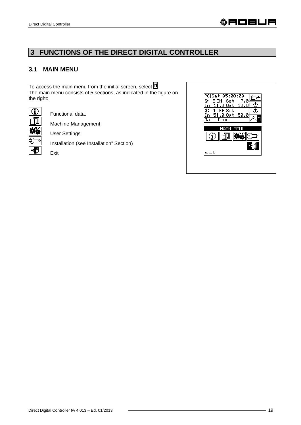# **3 FUNCTIONS OF THE DIRECT DIGITAL CONTROLLER**

## **3.1 MAIN MENU**

To access the main menu from the initial screen, select  $\mathbb{L}$ . The main menu consists of 5 sections, as indicated in the figure on the right:



Functional data.

Machine Management

User Settings

Installation (see Installation" Section)

Exit

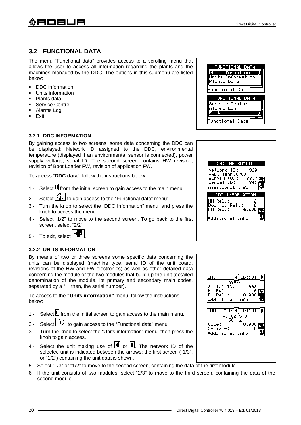# **3.2 FUNCTIONAL DATA**

The menu "Functional data" provides access to a scrolling menu that allows the user to access all information regarding the plants and the machines managed by the DDC. The options in this submenu are listed below:

- **-** DDC information
- Units information
- Plants data
- **Service Centre**
- Alarms Log
- $E$ **Exit**

#### **3.2.1 DDC INFORMATION**

By gaining access to two screens, some data concerning the DDC can be displayed: Network ID assigned to the DDC, environmental temperature (displayed if an environmental sensor is connected), power supply voltage, serial ID. The second screen contains HW revision, revision of Boot Loader FW, revision of application FW.

To access "**DDC data**", follow the instructions below:

- 1 Select  $\mathbb H$  from the initial screen to gain access to the main menu.
- 2 Select  $\boxed{\textcircled{1}}$  to gain access to the "Functional data" menu;
- 3 Turn the knob to select the "DDC Information" menu, and press the knob to access the menu.
- 4 Select "1/2" to move to the second screen. To go back to the first screen, select "2/2".
- 5 To exit, select .

#### **3.2.2 UNITS INFORMATION**

By means of two or three screens some specific data concerning the units can be displayed (machine type, serial ID of the unit board, revisions of the HW and FW electronics) as well as other detailed data concerning the module or the two modules that build up the unit (detailed denomination of the module, its primary and secondary main codes, separated by a ".", then, the serial number).

To access to the **"Units information"** menu, follow the instructions below:

- 1 Select  $\mathbb H$  from the initial screen to gain access to the main menu.
- 2 Select  $\bigcirc$  to gain access to the "Functional data" menu;
- 3 Turn the knob to select the "Units information" menu, then press the knob to gain access.
- 4 Select the unit making use of  $\blacksquare$  or  $\blacksquare$ . The network ID of the selected unit is indicated between the arrows; the first screen ("1/3", or "1/2") containing the unit data is shown.
- 5 Select "1/3" or "1/2" to move to the second screen, containing the data of the first module.
- 6 If the unit consists of two modules, select "2/3" to move to the third screen, containing the data of the second module.



| DDC INFORMATION                                                                                  |                               |  |
|--------------------------------------------------------------------------------------------------|-------------------------------|--|
| Network ID:<br>news Temp.(°C):---<br>Supply (U):   33.7<br>Serial ID:     741<br>Additional info | -960                          |  |
| DDC INFORMATION                                                                                  |                               |  |
| HW Rel.∶<br>Boot L. Rel.:<br>FW Rel.:                                                            | <u>2</u><br>2<br>$4.002$ 2007 |  |
| Additional info                                                                                  |                               |  |

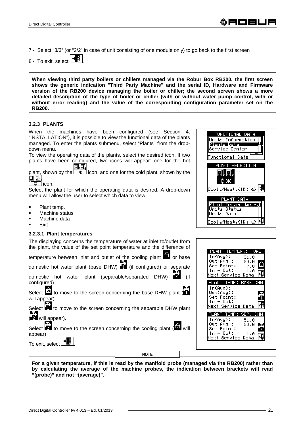7 - Select "3/3" (or "2/2" in case of unit consisting of one module only) to go back to the first screen

8 - To exit, select

**When viewing third party boilers or chillers managed via the Robur Box RB200, the first screen shows the generic indication "Third Party Machine" and the serial ID, Hardware and Firmware version of the RB200 device managing the boiler or chiller; the second screen shows a more detailed description of the type of boiler or chiller (with or without water pump control, with or without error reading) and the value of the corresponding configuration parameter set on the RB200.** 

#### **3.2.3 PLANTS**

When the machines have been configured (see Section 4, "INSTALLATION"), it is possible to view the functional data of the plants managed. To enter the plants submenu, select "Plants" from the dropdown menu.

To view the operating data of the plants, select the desired icon. If two plants have been configured, two icons will appear: one for the hot lo

plant, shown by the  $\boxed{\mathcal{X}}$  icon, and one for the cold plant, shown by the  $\boxed{\Box_{\Box}}$ 

 $\overline{\ast}$  licon.

Select the plant for which the operating data is desired. A drop-down menu will allow the user to select which data to view:

- Plant temp.
- Machine status
- Machine data
- Exit

#### **3.2.3.1 Plant temperatures**

The displaying concerns the temperature of water at inlet to/outlet from the plant, the value of the set point temperature and the difference of

temperature between inlet and outlet of the cooling plant  $\Box$  or base

domestic hot water plant (base DHW) **II** (if configured) or separate

domestic hot water plant (separable/separated DHW) (if configured).

Select **to** to move to the screen concerning the base DHW plant ( will appear).

Select **to** to move to the screen concerning the separable DHW plant ( will appear).

Select **to** to move to the screen concerning the cooling plant (**m** will appear)

To exit, select .

**NOTE** 

**For a given temperature, if this is read by the manifold probe (managed via the RB200) rather than by calculating the average of the machine probes, the indication between brackets will read "(probe)" and not "(average)".** 



| : TEMPER.:                                       | HUAC           |     |
|--------------------------------------------------|----------------|-----|
| In(Avg): 31.0<br>Out(Avg): 30.0<br>Set Point:    |                |     |
| In - Out:<br>Next Service Data                   | - 7.0<br>- 1.0 |     |
| ' TEMP: BASE DHW<br>PLAΝ                         |                |     |
| In(Avg):<br>Owt(Avg):                            |                |     |
|                                                  |                |     |
| Set Point:<br>$In - Out:$                        |                |     |
| Next Service Data                                |                |     |
| PLANT TEMP: SEP.                                 |                | DHM |
| In(Avg): 51.0                                    |                |     |
| Out(Avg):                                        | 50.0           |     |
| Set Point:<br>In - Out: 1.0<br>Next Service Data |                |     |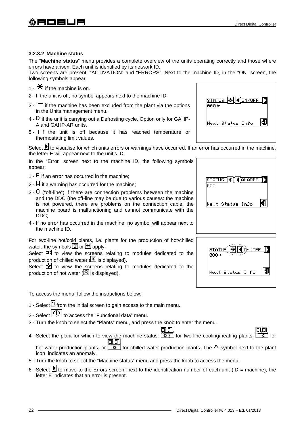$ONZOF$ 

48

#### **3.2.3.2 Machine status**

The "**Machine status**" menu provides a complete overview of the units operating correctly and those where errors have arisen. Each unit is identified by its network ID.

Two screens are present: "ACTIVATION" and "ERRORS". Next to the machine ID, in the "ON" screen, the following symbols appear:

- 1  $\blacksquare$  if the machine is on.
- 2 If the unit is off, no symbol appears next to the machine ID.
- $3 1$  if the machine has been excluded from the plant via the options in the Units management menu.
- $4 D$  if the unit is carrying out a Defrosting cycle. Option only for GAHP-A and GAHP-AR units.
- $5 -$  T if the unit is off because it has reached temperature or thermostating limit values.

Select **b** to visualise for which units errors or warnings have occurred. If an error has occurred in the machine, the letter E will appear next to the unit's ID.

In the "Error" screen next to the machine ID, the following symbols appear:

- 1  $E$  if an error has occurred in the machine:
- $2 M$  if a warning has occurred for the machine;
- 3 ("off-line") if there are connection problems between the machine and the DDC (the off-line may be due to various causes: the machine is not powered, there are problems on the connection cable, the machine board is malfunctioning and cannot communicate with the DDC;
- 4 If no error has occurred in the machine, no symbol will appear next to the machine ID.

For two-line hot/cold plants, i.e. plants for the production of hot/chilled water, the symbols  $\mathbb{X}$  or  $\mathbb{X}$  apply.

Select  $\mathbb K$  to view the screens relating to modules dedicated to the production of chilled water  $(\mathbb{H})$  is displayed).

Select  $\mathbb H$  to view the screens relating to modules dedicated to the production of hot water  $(\mathbb{K})$  is displayed).

To access the menu, follow the instructions below:

- 1 Select  $\mathbb H$  from the initial screen to gain access to the main menu.
- 2 Select  $\bigcirc$  to access the "Functional data" menu.
- 3 Turn the knob to select the "Plants" menu, and press the knob to enter the menu.
- 4 Select the plant for which to view the machine status: **FAREE**<br>4 Select the plant for which to view the machine status: **FARE** for two-line cooling/heating plants, 机肌 hot water production plants, or  $\boxed{\mathbb{R}^n}$  for chilled water production plants. The  $\Delta$  symbol next to the plant icon indicates an anomaly.
- 5 Turn the knob to select the "Machine status" menu and press the knob to access the menu.
- 6 Select  $\blacksquare$  to move to the Errors screen: next to the identification number of each unit (ID = machine), the letter E indicates that an error is present.



status

Next Status Info

ааа <del>х</del>





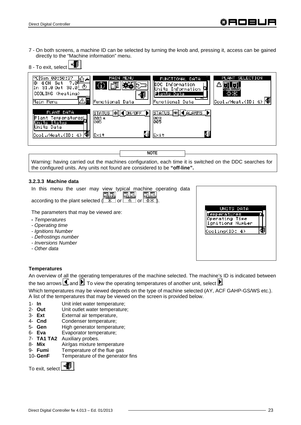7 - On both screens, a machine ID can be selected by turning the knob and, pressing it, access can be gained directly to the "Machine information" menu.



| PC Sun 00:50:37<br><del>∸ هاه .</del><br>ю.<br>4 ON Set<br>31.0 Out 30.0 $\circ$<br>COOLING (heating)<br>Main Menu | MAIN MENU<br>Functional Data                         | FUNCTIONAL DATA<br>HDDC Information<br>Units Information<br>Plants Data<br>Functional Data | PLANT SELECTION<br>$\vert$ Cool./Heat.(ID: 4) $\vert \mathbf{F} \vert$ |
|--------------------------------------------------------------------------------------------------------------------|------------------------------------------------------|--------------------------------------------------------------------------------------------|------------------------------------------------------------------------|
| PLANT DATA<br>Plant TemperaturesL<br>Units Status<br>Wnits Data<br>Cool./Heat.(ID: 4)                              | 1*П◀ о́н⁄оғғ<br><b>STATUS</b><br>003*<br>005<br>Exit | STATUS   * I   4 ALARMS<br>003<br>005<br>٩Ś<br>Exit                                        |                                                                        |

Warning: having carried out the machines configuration, each time it is switched on the DDC searches for the configured units. Any units not found are considered to be **"off-line".** 

**NOTE**

#### **3.2.3.3 Machine data**

|  |  |  |  |                                                                                                                       | In this menu the user may view typical machine operating data |  |
|--|--|--|--|-----------------------------------------------------------------------------------------------------------------------|---------------------------------------------------------------|--|
|  |  |  |  | according to the plant selected ( <u>第四</u> ) [1] according to the plant selected ( <u>第</u> or <u>[ 茶 or [ 茶 ぶ )</u> |                                                               |  |
|  |  |  |  |                                                                                                                       |                                                               |  |

The parameters that may be viewed are:

- *Temperatures*
- *Operating time*
- *Ignitions Number*
- *Defrostings number*
- *Inversions Number*
- *Other data*

| UNITS DATA<br>era                  |  |
|------------------------------------|--|
| Operating Time<br>Ignitions Number |  |
| Cooling(ID: 4)                     |  |

#### **Temperatures**

An overview of all the operating temperatures of the machine selected. The machine's ID is indicated between the two arrows  $\blacksquare$  and  $\blacksquare$ . To view the operating temperatures of another unit, select  $\blacksquare$ .

Which temperatures may be viewed depends on the type of machine selected (AY, ACF GAHP-GS/WS etc.). A list of the temperatures that may be viewed on the screen is provided below.

- 1- **In** Unit inlet water temperature;
- 2- **Out** Unit outlet water temperature;
- 3- **Ext** External air temperature,
- 4- **Cnd** Condenser temperature;
- 5- **Gen** High generator temperature;
- 6- **Eva** Evaporator temperature;
- 7- **TA1 TA2** Auxiliary probes.
- 8- **Mix** Air/gas mixture temperature<br>9- **Fumi** Temperature of the flue gas
- 9- **Fumi** Temperature of the flue gas<br>10- **GenF** Temperature of the generator
- Temperature of the generator fins

To exit, select  $\begin{array}{|c|c|} \hline \cdots \hline \end{array}$ 

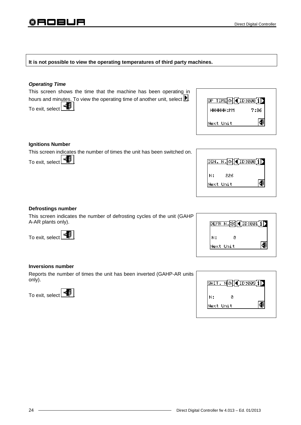#### **It is not possible to view the operating temperatures of third party machines.**

#### *Operating Time*

This screen shows the time that the machine has been operating in hours and minutes. To view the operating time of another unit, select  $\blacksquare$ . To exit, select  $\begin{array}{|c|c|} \hline \mathbf{H} \end{array}$ 

| <u>P TIME ※  ◀ ID:000 i]</u> |      |
|------------------------------|------|
| HHHHHH:MM                    | 7:36 |
| Next Unit                    |      |

#### **Ignitions Number**

This screen indicates the number of times the unit has been switched on.

To exit, select  $\begin{array}{|c|c|}\n\hline\n\end{array}$ 

|    | TGN. N. X. (ID:000 i) |  |
|----|-----------------------|--|
| н: | 226                   |  |
|    | Next Unit             |  |

#### **Defrostings number**

This screen indicates the number of defrosting cycles of the unit (GAHP A-AR plants only).

To exit, select  $\mathbf{F}$ 

|           |   | DEFR N. $\mathbb{R}$ (10:001 1) |
|-----------|---|---------------------------------|
| н:        | Й |                                 |
| Next Unit |   |                                 |

#### **Inversions number**

Reports the number of times the unit has been inverted (GAHP-AR units only).

To exit, select  $\boxed{\triangleleft}$ 

|           | <u>SWIT. N☆[K(ID:009[i])</u> |  |
|-----------|------------------------------|--|
| н:        | Й                            |  |
| Next Unit |                              |  |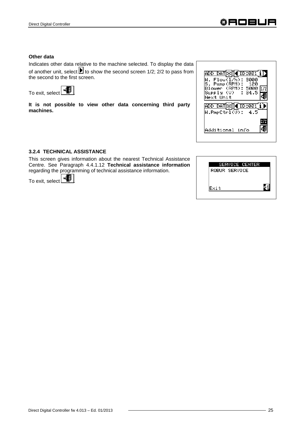#### **Other data**

Indicates other data relative to the machine selected. To display the data of another unit, select  $\blacksquare$  to show the second screen 1/2; 2/2 to pass from the second to the first screen.





**It is not possible to view other data concerning third party machines.**

| $\sqrt{\text{ID}:\!991}$<br>DD DAT Ж∏∙<br>. Flow(1/h): 3000<br>S. Pump(RPM): 120<br>Blower (RPM): 5000<br>Supply (V) : 34.5<br>Next Unit |  |
|------------------------------------------------------------------------------------------------------------------------------------------|--|
| <u>ADD DAT</u> Ж∏◀️ID:001<br>W.PmpCtrl $\overline{\text{UD}}$ : 4.5<br>Additional info                                                   |  |

#### **3.2.4 TECHNICAL ASSISTANCE**

This screen gives information about the nearest Technical Assistance Centre. See Paragraph 4.4.1.12 **Technical assistance information** regarding the programming of technical assistance information.

To exit, select  $\left| \frac{1}{2} \right|$ 

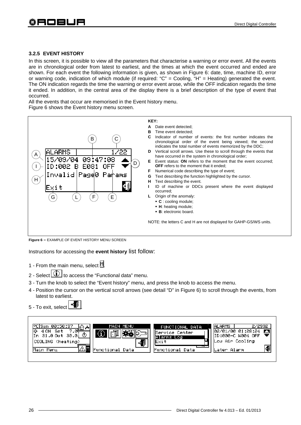#### **3.2.5 EVENT HISTORY**

In this screen, it is possible to view all the parameters that characterise a warning or error event. All the events are in chronological order from latest to earliest, and the times at which the event occurred and ended are shown. For each event the following information is given, as shown in Figure 6: date, time, machine ID, error or warning code, indication of which module (if required: "C" = Cooling, "H" = Heating) generated the event. The ON indication regards the time the warning or error event arose, while the OFF indication regards the time it ended. In addition, in the central area of the display there is a brief description of the type of event that occurred.

All the events that occur are memorised in the Event history menu.

Figure 6 shows the Event history menu screen.



**Figure 6 –** EXAMPLE OF EVENT HISTORY MENU SCREEN

Instructions for accessing the **event history** list follow:

- 1 From the main menu, select  $\mathbb N$
- 2 Select  $\left[\begin{array}{c} \left(\mathbf{U}\right) \end{array}\right]$  to access the "Functional data" menu.
- 3 Turn the knob to select the "Event history" menu, and press the knob to access the menu.
- 4 Position the cursor on the vertical scroll arrows (see detail "D" in Figure 6) to scroll through the events, from latest to earliest.
- 5 To exit, select .

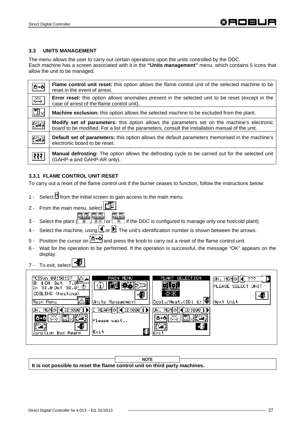#### **3.3 UNITS MANAGEMENT**

The menu allows the user to carry out certain operations upon the units controlled by the DDC. Each machine has a screen associated with it in the **"Units management"** menu, which contains 5 icons that allow the unit to be managed.

| ≿⊬১              | Flame control unit reset: this option allows the flame control unit of the selected machine to be<br>reset in the event of arrest.                                                                     |
|------------------|--------------------------------------------------------------------------------------------------------------------------------------------------------------------------------------------------------|
| 义                | <b>Error reset:</b> this option allows anomalies present in the selected unit to be reset (except in the<br>case of arrest of the flame control unit).                                                 |
| $\boxdot \times$ | <b>Machine exclusion:</b> this option allows the selected machine to be excluded from the plant.                                                                                                       |
| Ka,              | <b>Modify set of parameters:</b> this option allows the parameters set on the machine's electronic<br>board to be modified. For a list of the parameters, consult the installation manual of the unit. |
| <b>Pa</b>        | <b>Default set of parameters:</b> this option allows the default parameters memorised in the machine's<br>electronic board to be reset.                                                                |
| 材                | <b>Manual defrosting:</b> The option allows the defrosting cycle to be carried out for the selected unit<br>(GAHP-a and GAHP-AR only).                                                                 |

#### **3.3.1 FLAME CONTROL UNIT RESET**

To carry out a reset of the flame control unit if the burner ceases to function, follow the instructions below:

- 1 Select  $\mathbb H$  from the initial screen to gain access to the main menu.
- 2 From the main menu, select  $\boxed{1}$ <u>na</u>
- 3 Select the plant  $(\frac{1}{1} \cdot \frac{1}{1} \cdot \frac{1}{1} \cdot \frac{1}{1} \cdot \frac{1}{1} \cdot \frac{1}{1} \cdot \frac{1}{1} \cdot \frac{1}{1} \cdot \frac{1}{1} \cdot \frac{1}{1} \cdot \frac{1}{1} \cdot \frac{1}{1} \cdot \frac{1}{1} \cdot \frac{1}{1} \cdot \frac{1}{1} \cdot \frac{1}{1} \cdot \frac{1}{1} \cdot \frac{1}{1} \cdot \frac{1}{1} \cdot \frac{1}{1} \cdot \frac{1}{1} \cdot \frac{1}{1} \cdot \$
- 4 Select the machine, using  $\blacksquare$  or  $\blacksquare$ . The unit's identification number is shown between the arrows.
- 5 Position the cursor on  $\cancel{16+1}$  and press the knob to carry out a reset of the flame control unit.
- 6 Wait for the operation to be performed. If the operation is successful, the message "OK" appears on the display.
- 7 To exit, select



**It is not possible to reset the flame control unit on third party machines. NOTE**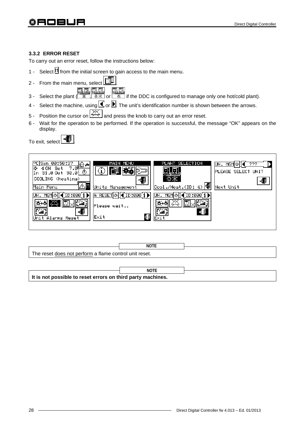# 翁日口曰□曰

#### **3.3.2 ERROR RESET**

To carry out an error reset, follow the instructions below:

- 1 Select  $\mathbb H$  from the initial screen to gain access to the main menu.
- 2 From the main menu, select  $\boxed{\Box}$ 
	-
- 3 Select the plant  $\begin{array}{|c|c|c|}\hline \text{R.R.} & \text{R.R.} \\ \hline \text{R.R.} & \text{or } \mathbb{R} \\\hline \end{array}$  or  $\begin{array}{|c|c|}\hline \text{R.R.} \\ \hline \text{R.R.} \\ \hline \end{array}$  if the DDC is configured to manage only one hot/cold plant).
- 4 Select the machine, using  $\blacksquare$  or  $\blacksquare$ . The unit's identification number is shown between the arrows.
- 5 Position the cursor on  $\mathbb{R}$  and press the knob to carry out an error reset.
- 6 Wait for the operation to be performed. If the operation is successful, the message "OK" appears on the display.

To exit, select  $\boxed{\phantom{a}^{\bigoplus}}$ 

| 00:50:37<br>⊡−<br>7.04<br>Set<br>ON.<br>31.0 Out 30.0 $\circ$<br>l n<br>COOLING (heating)<br>Main Menu | MAIN MENU<br>Units Management               | PLANT SELECTION<br>☆米<br>$\text{Cool./Heat.(ID: 4)}$ | UN.<br>MGM<br><b>PLEASE SELECT UNIT</b><br>Next Unit |
|--------------------------------------------------------------------------------------------------------|---------------------------------------------|------------------------------------------------------|------------------------------------------------------|
| ID:000<br>MGMI Q<br>IJМ.<br>£‱}<br>Unit Alarms Reset                                                   | A RESET ※ 10:000 i ▶<br>Please wait<br>Exit | ID:000<br>UN.<br>MGM<br>Ÿ…⊞.<br>4.<br>Exit           |                                                      |

|                                                        | <b>NOT</b> |  |
|--------------------------------------------------------|------------|--|
| The reset does not perform a flame control unit reset. |            |  |

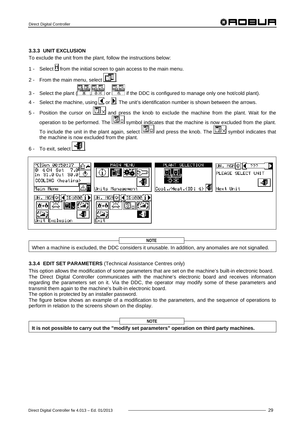#### **3.3.3 UNIT EXCLUSION**

To exclude the unit from the plant, follow the instructions below:

- 1 Select  $\mathbb N$  from the initial screen to gain access to the main menu.
- 2 From the main menu, select  $\boxed{1}$

**EN EN PREMET AND CONFIGURED**<br>3 - Select the plant (  $\frac{1}{2}$  ,  $\frac{1}{2}$   $\frac{1}{2}$  or  $\frac{1}{2}$  if the DDC is configured to manage only one hot/cold plant).

- 4 Select the machine, using  $\Box$  or  $\Box$ . The unit's identification number is shown between the arrows.
- 5 Position the cursor on  $\boxed{\Box}$  and press the knob to exclude the machine from the plant. Wait for the operation to be performed. The  $\mathbb{Z}^{\mathbb{Z}}$  symbol indicates that the machine is now excluded from the plant. To include the unit in the plant again, select  $\boxed{3}$  and press the knob. The  $\boxed{3} \times$  symbol indicates that the machine is now excluded from the plant.
- 6 To exit, select  $\begin{array}{c} \begin{array}{c} \begin{array}{c} \end{array} \\ \end{array}$



When a machine is excluded, the DDC considers it unusable. In addition, any anomalies are not signalled.

#### **3.3.4 EDIT SET PARAMETERS** (Technical Assistance Centres only)

This option allows the modification of some parameters that are set on the machine's built-in electronic board. The Direct Digital Controller communicates with the machine's electronic board and receives information regarding the parameters set on it. Via the DDC, the operator may modify some of these parameters and transmit them again to the machine's built-in electronic board.

The option is protected by an installer password.

The figure below shows an example of a modification to the parameters, and the sequence of operations to perform in relation to the screens shown on the display.

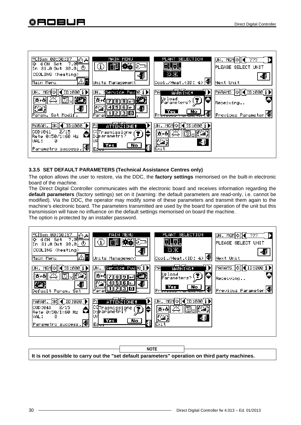

#### **3.3.5 SET DEFAULT PARAMETERS (Technical Assistance Centres only)**

The option allows the user to restore, via the DDC, the **factory settings** memorised on the built-in electronic board of the machine.

The Direct Digital Controller communicates with the electronic board and receives information regarding the **default parameters** (factory settings) set on it (warning: the default parameters are read-only, i.e. cannot be modified). Via the DDC, the operator may modify some of these parameters and transmit them again to the machine's electronic board. The parameters transmitted are used by the board for operation of the unit but this transmission will have no influence on the default settings memorised on board the machine. The option is protected by an installer password.



**It is not possible to carry out the "set default parameters" operation on third party machines. NOTE**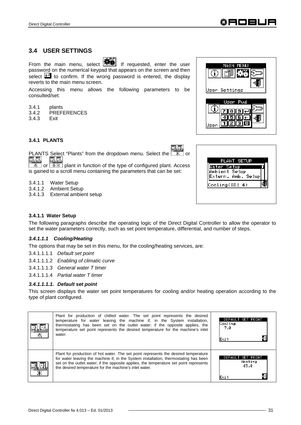# **3.4 USER SETTINGS**

From the main menu, select  $\mathbf{R}$  if requested, enter the user password on the numerical keypad that appears on the screen and then select  $\Box$  to confirm. If the wrong password is entered, the display reverts to the main menu screen.

Accessing this menu allows the following parameters to be consulted/set:

- 3.4.1 plants
- 3.4.2 PREFERENCES
- 3.4.3 Exit

**3.4.1 PLANTS** 

PLANTS Select "Plants" from the dropdown menu. Select the  $\boxed{\mathbb{R}$  or  $\boxed{\mathbb{R}$ ,  $\boxed{\mathbb{R}}}$ 四四

 $\frac{1}{10}$  or  $\frac{1}{100}$  plant in function of the type of configured plant. Access is gained to a scroll menu containing the parameters that can be set:

3.4.1.1 Water Setup

- 3.4.1.2 Ambient Setup
- 3.4.1.3 External ambient setup



#### **3.4.1.1 Water Setup**

The following paragraphs describe the operating logic of the Direct Digital Controller to allow the operator to set the water parameters correctly, such as set point temperature, differential, and number of steps.

#### *3.4.1.1.1 Cooling/Heating*

The options that may be set in this menu, for the cooling/heating services, are:

3.4.1.1.1.1 *Default set point*

3.4.1.1.1.2 *Enabling of climatic curve* 

3.4.1.1.1.3 *General water T timer*

3.4.1.1.1.4 *Partial water T timer*

#### *3.4.1.1.1.1. Default set point*

This screen displays the water set point temperatures for cooling and/or heating operation according to the type of plant configured.

|   | Plant for production of chilled water. The set point represents the desired<br>temperature for water leaving the machine if, in the System installation,<br>thermostating has been set on the outlet water; if the opposite applies, the<br>temperature set point represents the desired temperature for the machine's inlet<br>water. | DEFAULT SET POINT<br>Cooling<br>7.0<br>Exit     |
|---|----------------------------------------------------------------------------------------------------------------------------------------------------------------------------------------------------------------------------------------------------------------------------------------------------------------------------------------|-------------------------------------------------|
| Ж | Plant for production of hot water. The set point represents the desired temperature<br>for water leaving the machine if, in the System installation, thermostating has been<br>set on the outlet water; if the opposite applies, the temperature set point represents<br>the desired temperature for the machine's inlet water.        | DEFAULT<br>SET POINT<br>Heating<br>65.0<br>Exit |



MAIN

Settings

User Pwd

குங் म|ज∏ाह न श अन

Œ.

Jser:

Œ

lser

MENI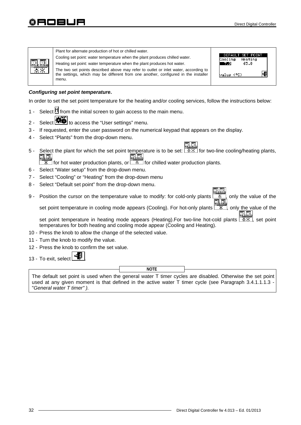| Plant for alternate production of hot or chilled water.<br>Cooling set point: water temperature when the plant produces chilled water.<br>Heating set point: water temperature when the plant produces hot water.<br>اظناظيا<br>$*$<br>The two set points described above may refer to outlet or inlet water, according to<br>the settings, which may be different from one another, configured in the installer<br>menu. | DEFAULT SET POINT<br>Heating<br>Cooling<br>65.0<br>-70<br>value (°C) |
|---------------------------------------------------------------------------------------------------------------------------------------------------------------------------------------------------------------------------------------------------------------------------------------------------------------------------------------------------------------------------------------------------------------------------|----------------------------------------------------------------------|
|---------------------------------------------------------------------------------------------------------------------------------------------------------------------------------------------------------------------------------------------------------------------------------------------------------------------------------------------------------------------------------------------------------------------------|----------------------------------------------------------------------|

#### *Configuring set point temperature***.**

In order to set the set point temperature for the heating and/or cooling services, follow the instructions below:

- 1 Select  $\mathbb H$  from the initial screen to gain access to the main menu.
- 2 Select **春暮** to access the "User settings" menu.
- 3 If requested, enter the user password on the numerical keypad that appears on the display.
- 4 Select "Plants" from the drop-down menu.
- 5 Select the plant for which the set point temperature is to be set:  $\sqrt{2 \cdot x}$  for two-line cooling/heating plants, **FILEL**<br>**For hot water production plants, or**  $\frac{1}{\mathbb{R}}$  **for chilled water production plants.** <u>olo</u>

- 6 Select "Water setup" from the drop-down menu.
- 7 Select "Cooling" or "Heating" from the drop-down menu
- 8 Select "Default set point" from the drop-down menu.
- 9 Position the cursor on the temperature value to modify: for cold-only plants , only the value of the N. A set point temperature in cooling mode appears (Cooling). For hot-only plants  $\frac{R}{x}$ , only the value of the

set point temperature in heating mode appears (Heating). For two-line hot-cold plants  $\sqrt{3x}$ , set point temperatures for both heating and cooling mode appear (Cooling and Heating).

- 10 Press the knob to allow the change of the selected value.
- 11 Turn the knob to modify the value.
- 12 Press the knob to confirm the set value.
- 13 To exit, select

**NOTE**

The default set point is used when the general water T timer cycles are disabled. Otherwise the set point used at any given moment is that defined in the active water T timer cycle (see Paragraph 3.4.1.1.1.3  $\cdot$ "*General water T timer" ).*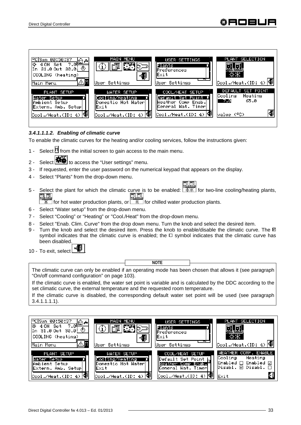

#### *3.4.1.1.1.2. Enabling of climatic curve*

To enable the climatic curves for the heating and/or cooling services, follow the instructions given:

- 1 Select  $\mathbb H$  from the initial screen to gain access to the main menu.
- 2 Select **春暮** to access the "User settings" menu.
- 3 If requested, enter the user password on the numerical keypad that appears on the display.
- 4 Select "Plants" from the drop-down menu.
- 5 Select the plant for which the climatic curve is to be enabled:  $\sqrt{7\}/{3}$  for two-line cooling/heating plants, **ELE** 風風

 $\overline{\mathcal{K}}$  for hot water production plants, or  $\overline{\mathcal{K}}$  for chilled water production plants.

- 6 Select "Water setup" from the drop-down menu.
- 7 Select "Cooling" or "Heating" or "Cool./Heat" from the drop-down menu.
- 8 Select "Enab. Clim. Curve" from the drop down menu. Turn the knob and select the desired item.
- 9 Turn the knob and select the desired item. Press the knob to enable/disable the climatic curve. The  $\Box$ symbol indicates that the climatic curve is enabled; the  $\Box$  symbol indicates that the climatic curve has been disabled.

10 - To exit, select

**NOTE**

The climatic curve can only be enabled if an operating mode has been chosen that allows it (see paragraph "On/off command configuration" on page 103).

If the climatic curve is enabled, the water set point is variable and is calculated by the DDC according to the set climatic curve, the external temperature and the requested room temperature.

If the climatic curve is disabled, the corresponding default water set point will be used (see paragraph 3.4.1.1.1.1).

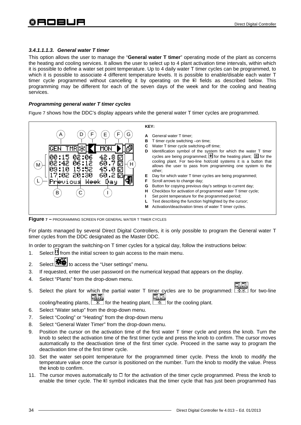#### *3.4.1.1.1.3. General water T timer*

This option allows the user to manage the "**General water T timer**" operating mode of the plant as concerns the heating and cooling services. It allows the user to select up to 4 plant activation time intervals, within which it is possible to define a water set point temperature. Up to 4 daily water T timer cycles can be programmed, to which it is possible to associate 4 different temperature levels. It is possible to enable/disable each water T timer cycle programmed without cancelling it by operating on the  $\Box$  fields as described below. This programming may be different for each of the seven days of the week and for the cooling and heating services.

#### *Programming general water T timer cycles*

Figure 7 shows how the DDC's display appears while the general water T timer cycles are programmed.



**Figure 7 –** PROGRAMMING SCREEN FOR GENERAL WATER T TIMER CYCLES

For plants managed by several Direct Digital Controllers, it is only possible to program the General water T timer cycles from the DDC designated as the Master DDC.

In order to program the switching-on T timer cycles for a typical day, follow the instructions below:

- 1. Select  $\mathbb{I}$  from the initial screen to gain access to the main menu.
- 2. Select **评单** to access the "User settings" menu.
- 3. If requested, enter the user password on the numerical keypad that appears on the display.
- 4. Select "Plants" from the drop-down menu.
- 5. Select the plant for which the partial water T timer cycles are to be programmed:  $\frac{R}{R}$  for two-line

cooling/heating plants,  $\frac{1}{100}$  for the heating plant,  $\frac{1}{100}$  for the cooling plant.

- 6. Select "Water setup" from the drop-down menu.
- 7. Select "Cooling" or "Heating" from the drop-down menu
- 8. Select "General Water Timer" from the drop-down menu.
- 9. Position the cursor on the activation time of the first water T timer cycle and press the knob. Turn the knob to select the activation time of the first timer cycle and press the knob to confirm. The cursor moves automatically to the deactivation time of the first timer cycle. Proceed in the same way to program the deactivation time of the first timer cycle.
- 10. Set the water set-point temperature for the programmed timer cycle. Press the knob to modify the temperature value once the cursor is positioned on the number. Turn the knob to modify the value. Press the knob to confirm.
- 11. The cursor moves automatically to  $\Box$  for the activation of the timer cycle programmed. Press the knob to enable the timer cycle. The  $\boxtimes$  symbol indicates that the timer cycle that has just been programmed has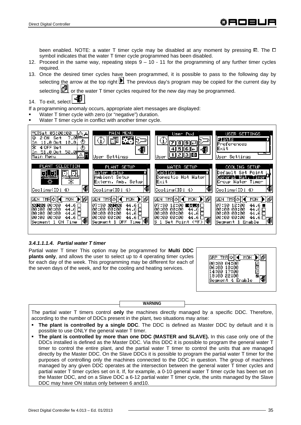been enabled. NOTE: a water T timer cycle may be disabled at any moment by pressing  $\boxtimes$ . The  $\Box$ symbol indicates that the water T timer cycle programmed has been disabled.

- 12. Proceed in the same way, repeating steps 9 10 11 for the programming of any further timer cycles required.
- 13. Once the desired timer cycles have been programmed, it is possible to pass to the following day by selecting the arrow at the top right  $\blacksquare$ . The previous day's program may be copied for the current day by selecting  $\Box$ , or the water T timer cycles required for the new day may be programmed.
- 14. To exit, select

If a programming anomaly occurs, appropriate alert messages are displayed:

- Water T timer cycle with zero (or "negative") duration.
- Water T timer cycle in conflict with another timer cycle.



# *3.4.1.1.1.4. Partial water T timer*

Partial water T timer This option may be programmed for **Multi DDC plants only**, and allows the user to select up to 4 operating timer cycles for each day of the week. This programming may be different for each of the seven days of the week, and for the cooling and heating services.

| :00 04:00<br>:00 10:00   |  |
|--------------------------|--|
| :00 17:00<br>.9:00 22:00 |  |
| gment 4 Enable           |  |

**WARNING**

The partial water T timers control **only** the machines directly managed by a specific DDC. Therefore, according to the number of DDCs present in the plant, two situations may arise:

- **The plant is controlled by a single DDC**. The DDC is defined as Master DDC by default and it is possible to use ONLY the general water T timer.
- **The plant is controlled by more than one DDC (MASTER and SLAVE).** In this case only one of the DDCs installed is defined as the Master DDC. Via this DDC it is possible to program the general water T timer to control the entire plant, and the partial water T timer to control the units that are managed directly by the Master DDC. On the Slave DDCs it is possible to program the partial water T timer for the purposes of controlling only the machines connected to the DDC in question. The group of machines managed by any given DDC operates at the intersection between the general water T timer cycles and partial water T timer cycles set on it. If, for example, a 0-10 general water T timer cycle has been set on the Master DDC, and on a Slave DDC a 6-12 partial water T timer cycle, the units managed by the Slave DDC may have ON status only between 6 and10.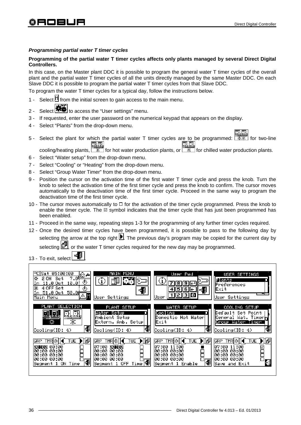# *Programming partial water T timer cycles*

# **Programming of the partial water T timer cycles affects only plants managed by several Direct Digital Controllers.**

In this case, on the Master plant DDC it is possible to program the general water T timer cycles of the overall plant and the partial water T timer cycles of all the units directly managed by the same Master DDC. On each Slave DDC it is possible to program the partial water T timer cycles from that Slave DDC.

To program the water T timer cycles for a typical day, follow the instructions below.

- 1 Select  $\mathbb{N}$  from the initial screen to gain access to the main menu.
- 2 Select  $\boxed{\bigcirc}$  to access the "User settings" menu.
- 3 If requested, enter the user password on the numerical keypad that appears on the display.
- 4 Select "Plants" from the drop-down menu.
- 5 Select the plant for which the partial water T timer cycles are to be programmed:  $\frac{1}{2}$  for two-line cooling/heating plants, **FARTEN**<br>cooling/heating plants, **For hot water production plants**, or **For chilled water production plants.**

- 6 Select "Water setup" from the drop-down menu.
- 7 Select "Cooling" or "Heating" from the drop-down menu.
- 8 Select "Group Water Timer" from the drop-down menu.
- 9 Position the cursor on the activation time of the first water T timer cycle and press the knob. Turn the knob to select the activation time of the first timer cycle and press the knob to confirm. The cursor moves automatically to the deactivation time of the first timer cycle. Proceed in the same way to program the deactivation time of the first timer cycle.
- 10 The cursor moves automatically to  $\Box$  for the activation of the timer cycle programmed. Press the knob to enable the timer cycle. The  $\square$  symbol indicates that the timer cycle that has just been programmed has been enabled.
- 11 Proceed in the same way, repeating steps 1-3 for the programming of any further timer cycles required.
- 12 Once the desired timer cycles have been programmed, it is possible to pass to the following day by selecting the arrow at the top right  $\blacksquare$ . The previous day's program may be copied for the current day by

selecting  $\Box$ , or the water T timer cycles required for the new day may be programmed.

13 - To exit, select

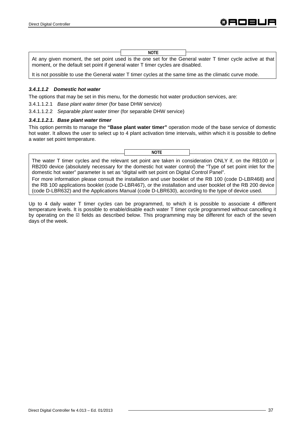At any given moment, the set point used is the one set for the General water T timer cycle active at that moment, or the default set point if general water T timer cycles are disabled. **NOTE**

It is not possible to use the General water T timer cycles at the same time as the climatic curve mode.

#### *3.4.1.1.2 Domestic hot water*

The options that may be set in this menu, for the domestic hot water production services, are:

3.4.1.1.2.1 *Base plant water timer* (for base DHW service)

3.4.1.1.2.2 *Separable plant water timer* (for separable DHW service)

#### *3.4.1.1.2.1. Base plant water timer*

This option permits to manage the **"Base plant water timer"** operation mode of the base service of domestic hot water. It allows the user to select up to 4 plant activation time intervals, within which it is possible to define a water set point temperature.



The water T timer cycles and the relevant set point are taken in consideration ONLY if, on the RB100 or RB200 device (absolutely necessary for the domestic hot water control) the "Type of set point inlet for the domestic hot water" parameter is set as "digital with set point on Digital Control Panel".

For more information please consult the installation and user booklet of the RB 100 (code D-LBR468) and the RB 100 applications booklet (code D-LBR467), or the installation and user booklet of the RB 200 device (code D-LBR632) and the Applications Manual (code D-LBR630), according to the type of device used.

Up to 4 daily water T timer cycles can be programmed, to which it is possible to associate 4 different temperature levels. It is possible to enable/disable each water T timer cycle programmed without cancelling it by operating on the  $\Box$  fields as described below. This programming may be different for each of the seven days of the week.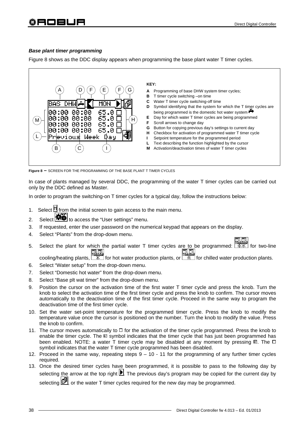# *Base plant timer programming*

Figure 8 shows as the DDC display appears when programming the base plant water T timer cycles.



**Figure 8 –** SCREEN FOR THE PROGRAMMING OF THE BASE PLANT T TIMER CYCLES

In case of plants managed by several DDC, the programming of the water T timer cycles can be carried out only by the DDC defined as Master.

In order to program the switching-on T timer cycles for a typical day, follow the instructions below:

- 1. Select  $\mathbb H$  from the initial screen to gain access to the main menu.
- 2. Select **THE** to access the "User settings" menu.
- 3. If requested, enter the user password on the numerical keypad that appears on the display.
- 4. Select "Plants" from the drop-down menu.
- 5. Select the plant for which the partial water T timer cycles are to be programmed:  $\frac{[1,1,1,1]}{[2,1,1]}$  for two-line cooling/heating plants,  $\boxed{\frac{1}{k}$ ,  $\boxed{1}$ , for hot water production plants, or  $\boxed{\frac{1}{k}}$  for chilled water production plants.

- 6. Select "Water setup" from the drop-down menu.
- 7. Select "Domestic hot water" from the drop-down menu.
- 8. Select "Base plt wat timer" from the drop-down menu.
- 9. Position the cursor on the activation time of the first water T timer cycle and press the knob. Turn the knob to select the activation time of the first timer cycle and press the knob to confirm. The cursor moves automatically to the deactivation time of the first timer cycle. Proceed in the same way to program the deactivation time of the first timer cycle.
- 10. Set the water set-point temperature for the programmed timer cycle. Press the knob to modify the temperature value once the cursor is positioned on the number. Turn the knob to modify the value. Press the knob to confirm.
- 11. The cursor moves automatically to  $\Box$  for the activation of the timer cycle programmed. Press the knob to enable the timer cycle. The  $\boxtimes$  symbol indicates that the timer cycle that has just been programmed has been enabled. NOTE: a water T timer cycle may be disabled at any moment by pressing  $\boxtimes$ . The  $\Box$ symbol indicates that the water T timer cycle programmed has been disabled.
- 12. Proceed in the same way, repeating steps 9 10 11 for the programming of any further timer cycles required.
- 13. Once the desired timer cycles have been programmed, it is possible to pass to the following day by selecting the arrow at the top right  $\blacksquare$ . The previous day's program may be copied for the current day by

selecting  $\Box$ , or the water T timer cycles required for the new day may be programmed.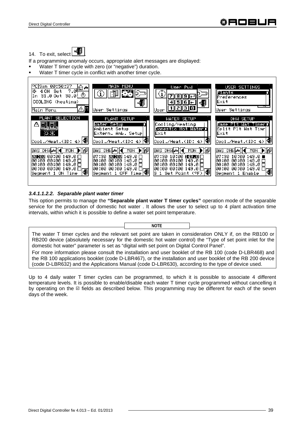14. To exit, select  $\boxed{\begin{array}{|c|c|} \hline \cdots \hline \cdots \hline \cdots \hline \cdots \hline \cdots \hline \cdots \hline \cdots \hline \cdots \hline \cdots \hline \cdots \hline \cdots \hline \cdots \hline \cdots \hline \cdots \hline \cdots \hline \cdots \hline \cdots \hline \cdots \hline \cdots \hline \cdots \hline \cdots \hline \cdots \hline \cdots \hline \cdots \hline \cdots \hline \cdots \hline \cdots \hline \cdots \hline \cdots \hline \cdots \hline \cdots \$ 

If a programming anomaly occurs, appropriate alert messages are displayed:

- Water T timer cycle with zero (or "negative") duration.
- Water T timer cycle in conflict with another timer cycle.



# *3.4.1.1.2.2. Separable plant water timer*

This option permits to manage the **"Separable plant water T timer cycles"** operation mode of the separable service for the production of domestic hot water . It allows the user to select up to 4 plant activation time intervals, within which it is possible to define a water set point temperature.

The water T timer cycles and the relevant set point are taken in consideration ONLY if, on the RB100 or RB200 device (absolutely necessary for the domestic hot water control) the "Type of set point inlet for the domestic hot water" parameter is set as "digital with set point on Digital Control Panel".

**NOTE**

For more information please consult the installation and user booklet of the RB 100 (code D-LBR468) and the RB 100 applications booklet (code D-LBR467), or the installation and user booklet of the RB 200 device (code D-LBR632) and the Applications Manual (code D-LBR630), according to the type of device used.

Up to 4 daily water T timer cycles can be programmed, to which it is possible to associate 4 different temperature levels. It is possible to enable/disable each water T timer cycle programmed without cancelling it by operating on the  $\Box$  fields as described below. This programming may be different for each of the seven days of the week.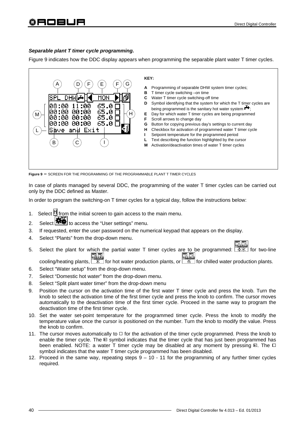# *Separable plant T timer cycle programming.*

Figure 9 indicates how the DDC display appears when programming the separable plant water T timer cycles.



**Figure 9 –** SCREEN FOR THE PROGRAMMING OF THE PROGRAMMABLE PLANT T TIMER CYCLES

In case of plants managed by several DDC, the programming of the water T timer cycles can be carried out only by the DDC defined as Master.

In order to program the switching-on T timer cycles for a typical day, follow the instructions below:

- 1. Select  $\mathbb H$  from the initial screen to gain access to the main menu.
- 2. Select  $\left| \bigoplus_{t=1}^{\infty} \mathbb{I}_{\text{co}^t} \right|$  to access the "User settings" menu.
- 3. If requested, enter the user password on the numerical keypad that appears on the display.
- 4. Select "Plants" from the drop-down menu.
- 5. Select the plant for which the partial water T timer cycles are to be programmed:  $\sqrt{8 \cdot 8}$  for two-line 風風 o.o cooling/heating plants,  $\boxed{\mathcal{K}}$  for hot water production plants, or  $\boxed{\mathcal{K}}$  for chilled water production plants.
- 6. Select "Water setup" from the drop-down menu.
- 7. Select "Domestic hot water" from the drop-down menu.
- 8. Select "Split plant water timer" from the drop-down menu
- 9. Position the cursor on the activation time of the first water T timer cycle and press the knob. Turn the knob to select the activation time of the first timer cycle and press the knob to confirm. The cursor moves automatically to the deactivation time of the first timer cycle. Proceed in the same way to program the deactivation time of the first timer cycle.
- 10. Set the water set-point temperature for the programmed timer cycle. Press the knob to modify the temperature value once the cursor is positioned on the number. Turn the knob to modify the value. Press the knob to confirm.
- 11. The cursor moves automatically to  $\Box$  for the activation of the timer cycle programmed. Press the knob to enable the timer cycle. The  $\Box$  symbol indicates that the timer cycle that has just been programmed has been enabled. NOTE: a water T timer cycle may be disabled at any moment by pressing  $\boxtimes$ . The  $\Box$ symbol indicates that the water T timer cycle programmed has been disabled.
- 12. Proceed in the same way, repeating steps 9 10 11 for the programming of any further timer cycles required.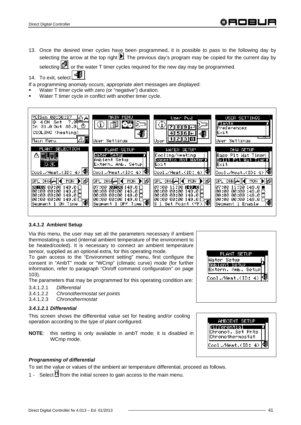13. Once the desired timer cycles have been programmed, it is possible to pass to the following day by selecting the arrow at the top right **ID**. The previous day's program may be copied for the current day by

selecting  $[D^{\mu}]$ , or the water T timer cycles required for the new day may be programmed.

14. To exit, select

If a programming anomaly occurs, appropriate alert messages are displayed:

- Water T timer cycle with zero (or "negative") duration.
- Water T timer cycle in conflict with another timer cycle.



# **3.4.1.2 Ambient Setup**

Via this menu, the user may set all the parameters necessary if ambient thermostating is used (internal ambient temperature of the environment to be heated/cooled). It is necessary to connect an ambient temperature sensor, supplied as an optional extra, for this operating mode.

To gain access to the "Environment setting" menu, first configure the consent in "AmbT" mode or "WCmp" (climatic curve) mode (for further information, refer to paragraph "On/off command configuration" on page 103).

The parameters that may be programmed for this operating condition are:

- 3.4.1.2.1 *Differential*
- 3.4.1.2.2 *Chronothermostat set points*
- 3.4.1.2.3 *Chronothermostat*

# *3.4.1.2.1 Differential*

This screen shows the differential value set for heating and/or cooling operation according to the type of plant configured.

**NOTE**: this setting is only available in ambT mode; it is disabled in WCmp mode.



| 1BIENT SE                                          |  |
|----------------------------------------------------|--|
| ferential<br>Chronot. Set Pnts<br>Chronothermostat |  |
| Cool./Heat.(ID: 4)                                 |  |

# *Programming of differential*

To set the value or values of the ambient air temperature differential, proceed as follows.

1 - Select  $\mathbb H$  from the initial screen to gain access to the main menu.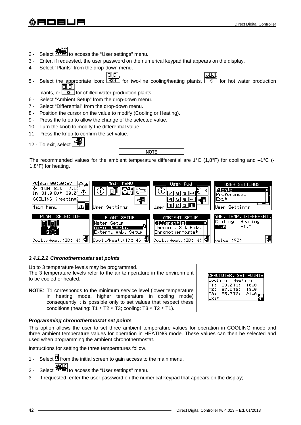

The 3 temperature levels refer to the air temperature in the environment to be cooled or heated.

**NOTE**: T1 corresponds to the minimum service level (lower temperature in heating mode, higher temperature in cooling mode) consequently it is possible only to set values that respect these conditions (heating:  $T1 \le T2 \le T3$ ; cooling:  $T3 \le T2 \le T1$ ).

# *Programming chronothermostat set points*

This option allows the user to set three ambient temperature values for operation in COOLING mode and three ambient temperature values for operation in HEATING mode. These values can then be selected and used when programming the ambient chronothermostat.

Instructions for setting the three temperatures follow.

- 1 Select  $\mathbb H$  from the initial screen to gain access to the main menu.
- 2 Select **课单** to access the "User settings" menu.
- 3 If requested, enter the user password on the numerical keypad that appears on the display;

|           | Cooling Heating            | CHRONOTER. SET POIN |
|-----------|----------------------------|---------------------|
|           | 29.0T1:                    | 10.0                |
|           | T2: 27.0T2:<br>тз: 25.0ТЗ: | 19.0<br>21.0        |
| .<br>∽∝it |                            |                     |

| 00:50:37<br><del>∸ هاه .</del><br>l o<br>4 ON Set<br>$31.00$ ut $30.0$ : $\circlearrowright$<br>In<br>COOLING (heating)<br>Main Menu | MAIN<br>MENU<br>$\mathbb{R}^n$<br>User Settings                                             | User Pwd<br>5<br>6<br>н.<br>प  था ३१ ०<br>User.                                                            | USER SETTINGS<br>Plants<br>Preferences<br>Exit<br>User Settings             |
|--------------------------------------------------------------------------------------------------------------------------------------|---------------------------------------------------------------------------------------------|------------------------------------------------------------------------------------------------------------|-----------------------------------------------------------------------------|
| PLANT SELECTION<br>모, 타<br>$\text{Cool./Heat.(ID: 4)}$                                                                               | PLANT SETUP<br>Water Setup<br>Ambient Setup<br>Extern. Amb. Setupl<br> Cool./Heat.(ID: 4) 欄 | AMBIENT SETUP<br>Differential<br>Chronot. Set Pnts<br> Chronothermostat<br>Cool./Heat.(ID: 4) <sup>4</sup> | AMB. TEMP. DIFFERENT.<br>Cooling<br>Heating<br>$-1.0$<br>-1.0<br>value (°C) |
| 3.4.1.2.2 Chronothermostat set points                                                                                                |                                                                                             |                                                                                                            |                                                                             |

# 2 - Select **THE** to access the "User settings" menu.

- 3 Enter, if requested, the user password on the numerical keypad that appears on the display.
- 4 Select "Plants" from the drop-down menu.
- 凯丽 5 - Select the appropriate icon:  $\boxed{\overline{***}}$  for two-line cooling/heating plants,  $\boxed{\overline{**}}$  for hot water production 風風

plants, or  $\sqrt{a^2 + b^2}$  for chilled water production plants.

- 6 Select "Ambient Setup" from the drop-down menu.
- 7 Select "Differential" from the drop-down menu.
- 8 Position the cursor on the value to modify (Cooling or Heating).
- 9 Press the knob to allow the change of the selected value.
- 10 Turn the knob to modify the differential value.
- 11 Press the knob to confirm the set value.

12 - To exit, select

**NOTE**

The recommended values for the ambient temperature differential are 1°C (1,8°F) for cooling and  $-1$ °C (-1,8°F) for heating.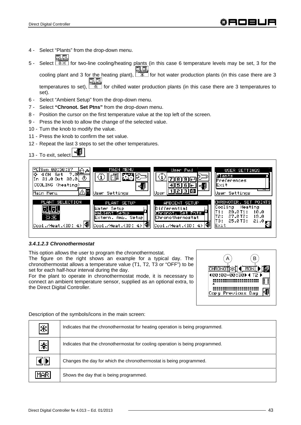- 4 Select "Plants" from the drop-down menu.
- 5 Select  $\sqrt{\frac{1}{12} \cdot \frac{1}{12}}$  for two-line cooling/heating plants (in this case 6 temperature levels may be set, 3 for the

cooling plant and 3 for the heating plant),  $\sqrt{2\pi}$  for hot water production plants (in this case there are 3 巩固 temperatures to set),  $\sqrt{2\pi}$  for chilled water production plants (in this case there are 3 temperatures to set).

- 6 Select "Ambient Setup" from the drop-down menu.
- 7 Select **"Chronot. Set Ptns"** from the drop-down menu.
- 8 Position the cursor on the first temperature value at the top left of the screen.
- 9 Press the knob to allow the change of the selected value.
- 10 Turn the knob to modify the value.
- 11 Press the knob to confirm the set value.
- 12 Repeat the last 3 steps to set the other temperatures.





# *3.4.1.2.3 Chronothermostat*

This option allows the user to program the chronothermostat.

The figure on the right shows an example for a typical day. The chronothermostat allows a temperature value (T1, T2, T3 or "OFF") to be set for each half-hour interval during the day.

For the plant to operate in chronothermostat mode, it is necessary to connect an ambient temperature sensor, supplied as an optional extra, to the Direct Digital Controller.



Description of the symbols/icons in the main screen:

| $ \mathcal{X} $ | Indicates that the chronothermostat for heating operation is being programmed. |
|-----------------|--------------------------------------------------------------------------------|
| $\ast$          | Indicates that the chronothermostat for cooling operation is being programmed. |
|                 | Changes the day for which the chronothermostat is being programmed.            |
| <b>MAR</b>      | Shows the day that is being programmed.                                        |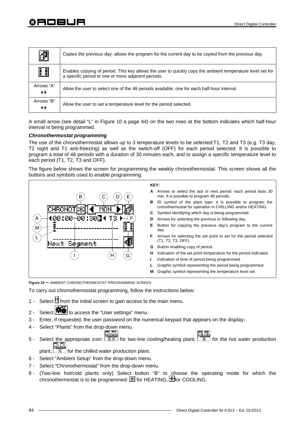| 觇                | Copies the previous day: allows the program for the current day to be copied from the previous day.                                                             |
|------------------|-----------------------------------------------------------------------------------------------------------------------------------------------------------------|
| Œ                | Enables copying of period. This key allows the user to quickly copy the ambient temperature level set for<br>a specific period to one or more adjacent periods. |
| Arrows "A"<br>◆  | Allow the user to select one of the 48 periods available, one for each half-hour interval.                                                                      |
| Arrows "B"<br>◂▸ | Allow the user to set a temperature level for the period selected.                                                                                              |

A small arrow (see detail "L" in Figure 10 a page 44) on the two rows at the bottom indicates which half-hour interval is being programmed.

# *Chronothermostat programming*

The use of the chronothermostat allows up to 3 temperature levels to be selected:T1, T2 and T3 (e.g. T3 day, T2 night and T1 anti-freezing) as well as the switch-off (OFF) for each period selected. It is possible to program a total of 48 periods with a duration of 30 minutes each, and to assign a specific temperature level to each period (T1, T2, T3 and OFF).

The figure below shows the screen for programming the weekly chronothermostat. This screen shows all the buttons and symbols used to enable programming.



**Figure 10 –** AMBIENT CHRONOTHERMOSTAT PROGRAMMING SCREEN

To carry out chronothermostat programming, follow the instructions below:

- 1 Select  $\mathbb H$  from the initial screen to gain access to the main menu.
- 2 Select **\* #** to access the "User settings" menu.
- 3 Enter, if requested, the user password on the numerical keypad that appears on the display;
- 4 Select "Plants" from the drop-down menu.
- 5 Select the appropriate icon:  $\sqrt{2\pi x}$  for two-line cooling/heating plant;  $\sqrt{2\pi}$  for the hot water production 風国
	- plant;  $\lfloor \frac{m}{k} \rfloor$  for the chilled water production plant.
- 6 Select "Ambient Setup" from the drop-down menu.
- 7 Select "Chronothermostat" from the drop-down menu.
- 8 (Two-line hot/cold plants only) Select button "B" to choose the operating mode for which the chronothermostat is to be programmed:  $\mathbb{R}$  for HEATING,  $\mathbb{R}$  for COOLING,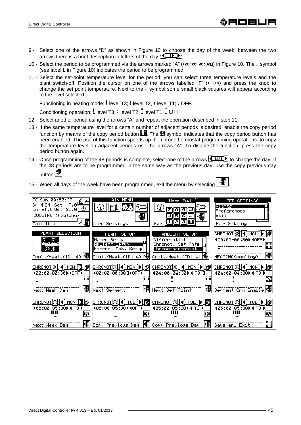- 9 Select one of the arrows "D" as shown in Figure 10 to choose the day of the week; between the two arrows there is a brief description in letters of the day  $(\overline{\P} \bot \cup \overline{P})$ .
- 10 Select the period to be programmed via the arrows marked "A" ( $\sqrt{9}$   $\sqrt{9}$  and  $\sqrt{9}$ ) in Figure 10. The  $\sqrt{9}$  symbol (see label L in Figure 10) indicates the period to be programmed.
- 11 Select the set-point temperature level for the period: you can select three temperature levels and the plant switch-off. Position the cursor on one of the arrows labelled "F" ( $\triangle$  13) and press the knob to change the set point temperature. Next to the  $\overline{\bullet}$  symbol some small black squares will appear according to the level selected:

Functioning in heating mode: I level T3; I level T2, I level T1; I OFF.

Conditioning operation: level T3; level T2, level T1; OFF

- 12 Select another period using the arrows "A" and repeat the operation described in step 11.
- 13 If the same temperature level for a certain number of adjacent periods is desired, enable the copy period function by means of the copy period button  $\Box$ . The  $\boxplus$  symbol indicates that the copy period button has been enabled. The use of this function speeds up the chronothermostat programming operations: to copy the temperature level on adjacent periods use the arrows "A". To disable the function, press the copy period button again.
- 14 Once programming of the 48 periods is complete, select one of the arrows  $\P$  LUN to change the day. If the 48 periods are to be programmed in the same way as the previous day, use the copy previous day **button**
- 15 When all days of the week have been programmed, exit the menu by selecting .

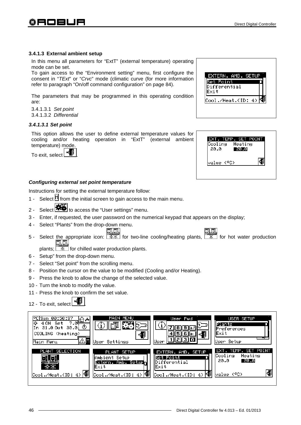# **3.4.1.3 External ambient setup**

In this menu all parameters for "ExtT" (external temperature) operating mode can be set.

To gain access to the "Environment setting" menu, first configure the consent in "*TExt*" or "*Crvc*" mode (climatic curve (for more information refer to paragraph "On/off command configuration" on page 84).

The parameters that may be programmed in this operating condition are:

3.4.1.3.1 *Set point*  3.4.1.3.2 *Differential*

# *3.4.1.3.1 Set point*

This option allows the user to define external temperature values for cooling and/or heating operation in "ExtT" (external ambient temperature) mode.

To exit, select **Figure** 

# *Configuring external set point temperature*

Instructions for setting the external temperature follow:

- 1 Select  $\mathbb H$  from the initial screen to gain access to the main menu.
- 2 Select **静** to access the "User settings" menu.
- 3 Enter, if requested, the user password on the numerical keypad that appears on the display;
- 4 Select "Plants" from the drop-down menu.
- 虱団 ना ना 5 - Select the appropriate icon:  $\boxed{\mathbb{R}\mathbb{K}}$  for two-line cooling/heating plants,  $\boxed{\mathbb{R}}$  for hot water production

plants;  $\sqrt{1 + \frac{1}{2} \cdot \frac{1}{2}}$  for chilled water production plants.

- 6 Setup" from the drop-down menu.
- 7 Select "Set point" from the scrolling menu.
- 8 Position the cursor on the value to be modified (Cooling and/or Heating).
- 9 Press the knob to allow the change of the selected value.
- 10 Turn the knob to modify the value.
- 11 Press the knob to confirm the set value.

12 - To exit, select

| °C Sun 00:50:37<br>।⊡ ∸<br>7.05<br>l o<br>Set<br>4 ON<br>31.0 Out 30.0 $\circ$<br>In.<br>COOLING (heating)<br>Main Menu | MAIN MENU<br>User Settings                                                                 | User Pwd<br>÷<br>ा ३। ०<br>lUser                                                       | USER SETUP<br>Plants<br>lPreferences<br>llExit<br>User Setup              |
|-------------------------------------------------------------------------------------------------------------------------|--------------------------------------------------------------------------------------------|----------------------------------------------------------------------------------------|---------------------------------------------------------------------------|
| PLANT SELECTION<br>Cool./Heat.(ID: 4)                                                                                   | PLANT SETUP<br><b>IAmbient Setup</b><br>Extern. Amb. Setup-<br>lExit<br>Cool./Heat.(ID: 4) | EXTERN. AMB. SETUP<br>Bet Point<br>Differential<br>llExit<br>l<₿<br>Cool./Heat.(ID: 4) | EXT. TEMP. SET POINT<br>Cooling<br>Heating<br>20.0<br>-20.0<br>value (°C) |

# EXTERN, AMB, SETUF Set Point Differential lExit Cool./Heat.(ID: 4)

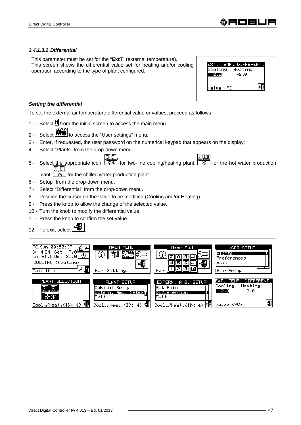# *3.4.1.3.2 Differential*

This parameter must be set for the "**ExtT**" (external temperature). This screen shows the differential value set for heating and/or cooling operation according to the type of plant configured.

| . TEMP.<br>IFFEREN |  |
|--------------------|--|
| Cooling<br>Heating |  |
| —2.0               |  |
|                    |  |
| Value (°C)         |  |
|                    |  |

# *Setting the differential*

To set the external air temperature differential value or values, proceed as follows.

- 1 Select  $\mathbb M$  from the initial screen to access the main menu.
- 2 Select  $\left| \bullet \right|$  to access the "User settings" menu.
- 3 Enter, if requested, the user password on the numerical keypad that appears on the display;
- 4 Select "Plants" from the drop-down menu.
- ERET FOR THE FILE SERVICES FOR A Select the appropriate icon:  $\frac{1}{2}$  for two-line cooling/heating plant;  $\frac{1}{2}$  for the hot water production  $\Box$  $\Box$ 風風

plant;  $\sqrt{a^2 + b^2}$  for the chilled water production plant.

- 6 Setup" from the drop-down menu.
- 7 Select "Differential" from the drop-down menu.
- 8 Position the cursor on the value to be modified (Cooling and/or Heating).
- 9 Press the knob to allow the change of the selected value.
- 10 Turn the knob to modify the differential value.
- 11 Press the knob to confirm the set value.
- 12 To exit, select  $\begin{array}{c} \begin{array}{|c} \hline \end{array} \end{array}$

| PCISun 00:50:37<br><del>, @ © *</del><br>lo.<br>ON Set<br>ข<br>31.0 Out 30.0<br> COOLING (heating)<br>Main Menu | MAIN MENU<br>国国<br>User Settings                                                      | User Pwd<br>User                                                                        | USER SETUP<br>Plants<br>lPreferences<br>llExit<br>User Setup              |
|-----------------------------------------------------------------------------------------------------------------|---------------------------------------------------------------------------------------|-----------------------------------------------------------------------------------------|---------------------------------------------------------------------------|
| PLANT SELECTION<br>Cool./Heat.(ID: 4)                                                                           | PLANT SETUP<br> Ambient Setup <br>Extern. Amb. Setup⊤<br>lExit∶<br>Cool./Heat.(ID: 4) | EXTERN. AMB. SETUP<br>lSet Point.<br>Differential<br><b>IExit</b><br>Cool./Heat.(ID: 4) | EXT. TEMP. DIFFERENT.<br>Cooling<br>Heating<br>-2.0<br>-2.0<br>value (°C) |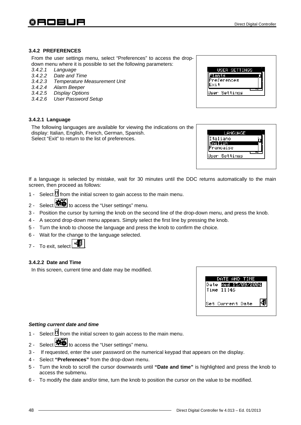### **3.4.2 PREFERENCES**

From the user settings menu, select "Preferences" to access the dropdown menu where it is possible to set the following parameters:

- *3.4.2.1 Language*
- *3.4.2.2 Date and Time*
- *3.4.2.3 Temperature Measurement Unit*
- *3.4.2.4 Alarm Beeper*
- *3.4.2.5 Display Options*
- *3.4.2.6 User Password Setup*

### **3.4.2.1 Language**

The following languages are available for viewing the indications on the display: Italian, English, French, German, Spanish. Select "Exit" to return to the list of preferences.

| ants                | USER SETTINGS |  |
|---------------------|---------------|--|
| Preferences<br>Exit |               |  |
| User Settings       |               |  |

| LANGUAGE    |  |
|-------------|--|
| Italiano    |  |
| malish      |  |
| rancaise    |  |
| er Settings |  |

If a language is selected by mistake, wait for 30 minutes until the DDC returns automatically to the main screen, then proceed as follows:

- 1 Select  $\mathbb H$  from the initial screen to gain access to the main menu.
- 2 Select **春暮** to access the "User settings" menu.
- 3 Position the cursor by turning the knob on the second line of the drop-down menu, and press the knob.
- 4 A second drop-down menu appears. Simply select the first line by pressing the knob.
- 5 Turn the knob to choose the language and press the knob to confirm the choice.
- 6 Wait for the change to the language selected.
- 7 To exit, select .

# **3.4.2.2 Date and Time**

In this screen, current time and date may be modified.



# *Setting current date and time*

- 1 Select  $\mathbb H$  from the initial screen to gain access to the main menu.
- 2 Select **THE** to access the "User settings" menu.
- 3 If requested, enter the user password on the numerical keypad that appears on the display.
- 4 Select **"Preferences"** from the drop-down menu.
- 5 Turn the knob to scroll the cursor downwards until **"Date and time"** is highlighted and press the knob to access the submenu.
- 6 To modify the date and/or time, turn the knob to position the cursor on the value to be modified.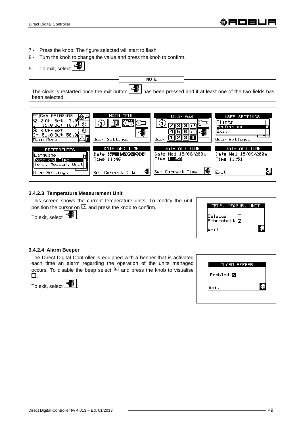- 7 Press the knob. The figure selected will start to flash.
- 8 Turn the knob to change the value and press the knob to confirm.
- 9 To exit, select  $\Box$

The clock is restarted once the exit button  $\begin{bmatrix} \pm \end{bmatrix}$  has been pressed and if at least one of the two fields has been selected. **NOTE**



# **3.4.2.3 Temperature Measurement Unit**

This screen shows the current temperature units. To modify the unit, position the cursor on  $\square$  and press the knob to confirm.

To exit, select  $\boxed{\phantom{a}^{\text{max}}$ 

| TEMP. MEASUR. UNIT                   |  |
|--------------------------------------|--|
| Celsius<br>-----us 니<br>Fahrenheit 回 |  |
| Exit                                 |  |

# **3.4.2.4 Alarm Beeper**

The Direct Digital Controller is equipped with a beeper that is activated each time an alarm regarding the operation of the units managed occurs. To disable the beep select  $\square$  and press the knob to visualise О.

To exit, select .



| ALARM BEEPER |  |
|--------------|--|
| Enabled 回    |  |
| Exit         |  |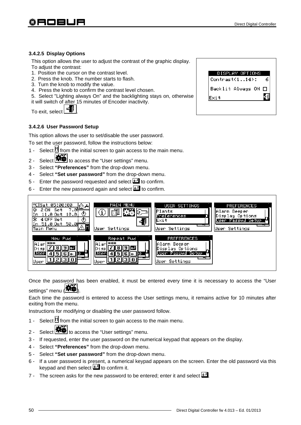### **3.4.2.5 Display Options**

This option allows the user to adjust the contrast of the graphic display. To adjust the contrast:

- 1. Position the cursor on the contrast level.
- 2. Press the knob. The number starts to flash.
- 3. Turn the knob to modify the value.
- 4. Press the knob to confirm the contrast level chosen.

5. Select "Lighting always On" and the backlighting stays on, otherwise it will switch of after 15 minutes of Encoder inactivity.

To exit, select  $\begin{array}{|c|c|} \hline \multicolumn{1}{|c|}{\Rightarrow} \hline \multicolumn{1}{|c|}{\Rightarrow} \multicolumn{1}{|c|}{\Rightarrow} \multicolumn{1}{|c|}{\Rightarrow} \multicolumn{1}{|c|}{\Rightarrow} \multicolumn{1}{|c|}{\Rightarrow} \multicolumn{1}{|c|}{\Rightarrow} \multicolumn{1}{|c|}{\Rightarrow} \multicolumn{1}{|c|}{\Rightarrow} \multicolumn{1}{|c|}{\Rightarrow} \multicolumn{1}{|c|}{\Rightarrow} \multicolumn{1}{|c|}{\Rightarrow} \multicolumn{1}{|c|}{\Rightarrow} \multicolumn{$ 

#### **3.4.2.6 User Password Setup**

This option allows the user to set/disable the user password.

To set the user password, follow the instructions below:

- 1 Select  $\mathbb H$  from the initial screen to gain access to the main menu.
- 2 Select  $\frac{1}{2}$  to access the "User settings" menu.
- 3 Select **"Preferences"** from the drop-down menu.
- 4 Select **"Set user password"** from the drop-down menu.
- 5 Enter the password requested and select  $\pm 1$  to confirm.
- 6 Enter the new password again and select  $\Box$  to confirm.



Once the password has been enabled, it must be entered every time it is necessary to access the "User settings" menu (**146**).

Each time the password is entered to access the User settings menu, it remains active for 10 minutes after exiting from the menu.

Instructions for modifying or disabling the user password follow.

- 1 Select  $\mathbb H$  from the initial screen to gain access to the main menu.
- 2 Select  $\mathbf{R}$  to access the "User settings" menu.
- 3 If requested, enter the user password on the numerical keypad that appears on the display.
- 4 Select **"Preferences"** from the drop-down menu.
- 5 Select **"Set user password"** from the drop-down menu.
- 6 If a user password is present, a numerical keypad appears on the screen. Enter the old password via this keypad and then select  $\Box$  to confirm it.
- 7 The screen asks for the new password to be entered; enter it and select  $\Box$

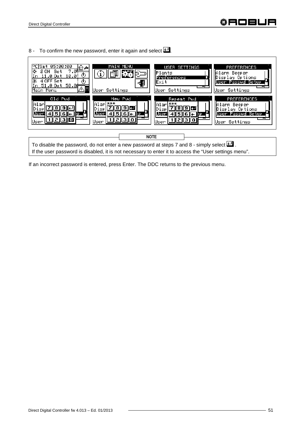# ⊕AO⊟L

8 - To confirm the new password, enter it again and select  $\Box$ .



If an incorrect password is entered, press Enter. The DDC returns to the previous menu.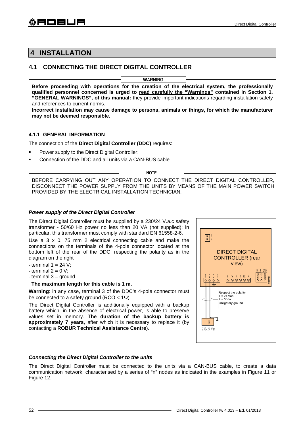# **4 INSTALLATION**

# **4.1 CONNECTING THE DIRECT DIGITAL CONTROLLER**

**Before proceeding with operations for the creation of the electrical system, the professionally qualified personnel concerned is urged to read carefully the "Warnings" contained in Section 1, "GENERAL WARNINGS", of this manual:** they provide important indications regarding installation safety and references to current norms. **Incorrect installation may cause damage to persons, animals or things, for which the manufacturer WARNING**

# **4.1.1 GENERAL INFORMATION**

**may not be deemed responsible.** 

The connection of the **Direct Digital Controller (DDC)** requires:

- **Power supply to the Direct Digital Controller;**
- Connection of the DDC and all units via a CAN-BUS cable.

BEFORE CARRYING OUT ANY OPERATION TO CONNECT THE DIRECT DIGITAL CONTROLLER, DISCONNECT THE POWER SUPPLY FROM THE UNITS BY MEANS OF THE MAIN POWER SWITCH PROVIDED BY THE ELECTRICAL INSTALLATION TECHNICIAN. **NOTE**

#### *Power supply of the Direct Digital Controller*

The Direct Digital Controller must be supplied by a 230/24 V.a.c safety transformer - 50/60 Hz power no less than 20 VA (not supplied); in particular, this transformer must comply with standard EN 61558-2-6.

Use a 3 x 0, 75 mm 2 electrical connecting cable and make the connections on the terminals of the 4-pole connector located at the bottom left of the rear of the DDC, respecting the polarity as in the diagram on the right

- terminal  $1 = 24$  V:
- terminal  $2 = 0$  V;
- $-$  terminal  $3 =$  ground.

#### **The maximum length for this cable is 1 m.**

**Warning**: in any case, terminal 3 of the DDC's 4-pole connector must be connected to a safety ground (RCO <  $1\Omega$ ).

The Direct Digital Controller is additionally equipped with a backup battery which, in the absence of electrical power, is able to preserve values set in memory. **The duration of the backup battery is approximately 7 years**, after which it is necessary to replace it (by contacting a **ROBUR Technical Assistance Centre**).



# *Connecting the Direct Digital Controller to the units*

The Direct Digital Controller must be connected to the units via a CAN-BUS cable, to create a data communication network, characterised by a series of "n" nodes as indicated in the examples in Figure 11 or Figure 12.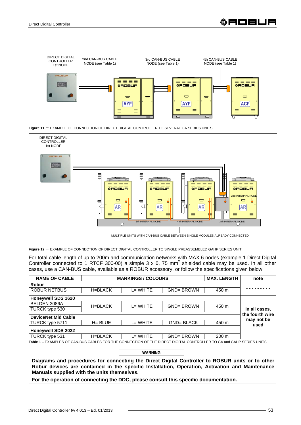





**Figure 12 –** EXAMPLE OF CONNECTION OF DIRECT DIGITAL CONTROLLER TO SINGLE PREASSEMBLED GAHP SERIES UNIT

For total cable length of up to 200m and communication networks with MAX 6 nodes (example 1 Direct Digital Controller connected to 1 RTCF 300-00) a simple 3 x 0, 75 mm<sup>2</sup> shielded cable may be used. In all other cases, use a CAN-BUS cable, available as a ROBUR accessory, or follow the specifications given below.

| <b>NAME OF CABLE</b>                                                                                                 |            | <b>MARKINGS / COLOURS</b> |                   | <b>MAX. LENGTH</b> | note               |
|----------------------------------------------------------------------------------------------------------------------|------------|---------------------------|-------------------|--------------------|--------------------|
| <b>Robur</b>                                                                                                         |            |                           |                   |                    |                    |
| <b>ROBUR NETBUS</b>                                                                                                  | H=BLACK    | $L = WHITE$               | <b>GND=BROWN</b>  | 450 m              |                    |
| <b>Honeywell SDS 1620</b>                                                                                            |            |                           |                   |                    |                    |
| BELDEN 3086A                                                                                                         | H=BLACK    | $L = WHITE$               | <b>GND= BROWN</b> | 450 m              |                    |
| TURCK type 530                                                                                                       |            |                           |                   |                    | In all cases,      |
| <b>DeviceNet Mid Cable</b>                                                                                           |            |                           |                   |                    | the fourth wire    |
| TURCK type 5711                                                                                                      | $H = BLUE$ | $L = WHITE$               | <b>GND= BLACK</b> | 450 m              | may not be<br>used |
| <b>Honeywell SDS 2022</b>                                                                                            |            |                           |                   |                    |                    |
| TURCK type 531                                                                                                       | H=BLACK    | $L = WHITE$               | <b>GND= BROWN</b> | 200 m              |                    |
| Table 1 - EXAMPLES OF CAN-BUS CABLES FOR THE CONNECTION OF THE DIRECT DIGITAL CONTROLLER TO GA and GAHP SERIES UNITS |            |                           |                   |                    |                    |

**WARNING**

**Diagrams and procedures for connecting the Direct Digital Controller to ROBUR units or to other Robur devices are contained in the specific Installation, Operation, Activation and Maintenance Manuals supplied with the units themselves.** 

**For the operation of connecting the DDC, please consult this specific documentation.**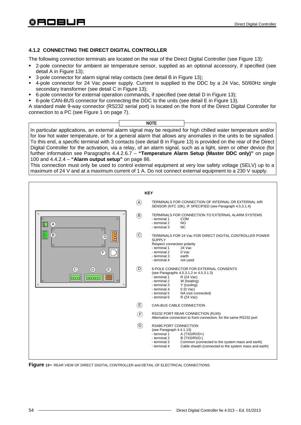# **4.1.2 CONNECTING THE DIRECT DIGITAL CONTROLLER**

The following connection terminals are located on the rear of the Direct Digital Controller (see Figure 13):

- 2-pole connector for ambient air temperature sensor, supplied as an optional accessory, if specified (see detail A in Figure 13);
- 3-pole connector for alarm signal relay contacts (see detail B in Figure 13);
- 4-pole connector for 24 Vac power supply. Current is supplied to the DDC by a 24 Vac, 50/60Hz single secondary transformer (see detail C in Figure 13);
- 6-pole connector for external operation commands, if specified (see detail D in Figure 13);
- 6-pole CAN-BUS connector for connecting the DDC to the units (see detail E in Figure 13).

A standard male 9-way connector (RS232 serial port) is located on the front of the Direct Digital Controller for connection to a PC (see Figure 1 on page 7).



In particular applications, an external alarm signal may be required for high chilled water temperature and/or for low hot water temperature, or for a general alarm that allows any anomalies in the units to be signalled. To this end, a specific terminal with 3 contacts (see detail B in Figure 13) is provided on the rear of the Direct Digital Controller for the activation, via a relay, of an alarm signal, such as a light, siren or other device (for further information see Paragraphs 4.4.2.6.7 – **"Temperature Alarm Setup (Master DDC only)"** on page 100 and 4.4.2.4 – **"Alarm output setup"** on page 86.

This connection must only be used to control external equipment at very low safety voltage (SELV) up to a maximum of 24 V and at a maximum current of 1 A. Do not connect external equipment to a 230 V supply.



**Figure 13–** REAR VIEW OF DIRECT DIGITAL CONTROLLER and DETAIL OF ELECTRICAL CONNECTIONS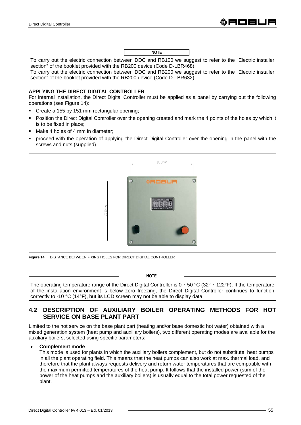To carry out the electric connection between DDC and RB100 we suggest to refer to the "Electric installer section" of the booklet provided with the RB200 device (Code D-LBR468). **NOTE**

To carry out the electric connection between DDC and RB200 we suggest to refer to the "Electric installer section" of the booklet provided with the RB200 device (Code D-LBR632).

### **APPLYING THE DIRECT DIGITAL CONTROLLER**

For internal installation, the Direct Digital Controller must be applied as a panel by carrying out the following operations (see Figure 14):

- Create a 155 by 151 mm rectangular opening;
- Position the Direct Digital Controller over the opening created and mark the 4 points of the holes by which it is to be fixed in place;
- Make 4 holes of 4 mm in diameter;
- proceed with the operation of applying the Direct Digital Controller over the opening in the panel with the screws and nuts (supplied).



**Figure 14 –** DISTANCE BETWEEN FIXING HOLES FOR DIRECT DIGITAL CONTROLLER

correctly to -10 °C (14°F), but its LCD screen may not be able to display data.

| <b>NOTE</b> |                                                                                                                           |
|-------------|---------------------------------------------------------------------------------------------------------------------------|
|             | The operating temperature range of the Direct Digital Controller is $0 \div 50$ °C (32° $\div$ 122°F). If the temperature |
|             | of the installation environment is below zero freezing, the Direct Digital Controller continues to function               |

# **4.2 DESCRIPTION OF AUXILIARY BOILER OPERATING METHODS FOR HOT SERVICE ON BASE PLANT PART**

Limited to the hot service on the base plant part (heating and/or base domestic hot water) obtained with a mixed generation system (heat pump and auxiliary boilers), two different operating modes are available for the auxiliary boilers, selected using specific parameters:

#### • **Complement mode**

This mode is used for plants in which the auxiliary boilers complement, but do not substitute, heat pumps in all the plant operating field. This means that the heat pumps can also work at max. thermal load, and therefore that the plant always requests delivery and return water temperatures that are compatible with the maximum permitted temperatures of the heat pump. It follows that the installed power (sum of the power of the heat pumps and the auxiliary boilers) is usually equal to the total power requested of the plant.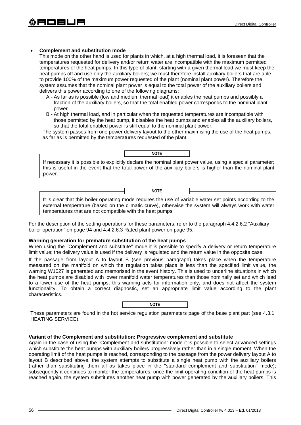### • **Complement and substitution mode**

This mode on the other hand is used for plants in which, at a high thermal load, it is foreseen that the temperatures requested for delivery and/or return water are incompatible with the maximum permitted temperatures of the heat pumps. In this type of plant, starting with a given thermal load we must keep the heat pumps off and use only the auxiliary boilers; we must therefore install auxiliary boilers that are able to provide 100% of the maximum power requested of the plant (nominal plant power). Therefore the system assumes that the nominal plant power is equal to the total power of the auxiliary boilers and delivers this power according to one of the following diagrams:

- A As far as is possible (low and medium thermal load) it enables the heat pumps and possibly a fraction of the auxiliary boilers, so that the total enabled power corresponds to the nominal plant power.
- B At high thermal load, and in particular when the requested temperatures are incompatible with those permitted by the heat pump, it disables the heat pumps and enables all the auxiliary boilers, so that the total enabled power is still equal to the nominal plant power.

The system passes from one power delivery layout to the other maximising the use of the heat pumps, as far as is permitted by the temperatures requested of the plant.

If necessary it is possible to explicitly declare the nominal plant power value, using a special parameter; this is useful in the event that the total power of the auxiliary boilers is higher than the nominal plant power. **NOTE**

It is clear that this boiler operating mode requires the use of variable water set points according to the external temperature (based on the climatic curve), otherwise the system will always work with water temperatures that are not compatible with the heat pumps

**NOTE**

For the description of the setting operations for these parameters, refer to the paragraph 4.4.2.6.2 "Auxiliary boiler operation" on page 94 and 4.4.2.6.3 Rated plant power on page 95.

#### **Warning generation for premature substitution of the heat pumps**

When using the "Complement and substitute" mode it is possible to specify a delivery or return temperature limit value; the delivery value is used if the delivery is regulated and the return value in the opposite case.

If the passage from layout A to layout B (see previous paragraph) takes place when the temperature measured on the manifold on which the regulation takes place is less than the specified limit value, the warning W1027 is generated and memorised in the event history. This is used to underline situations in which the heat pumps are disabled with lower manifold water temperatures than those nominally set and which lead to a lower use of the heat pumps; this warning acts for information only, and does not affect the system functionality. To obtain a correct diagnostic, set an appropriate limit value according to the plant characteristics.

**NOTE**

These parameters are found in the hot service regulation parameters page of the base plant part (see 4.3.1 HEATING SERVICE).

#### **Variant of the Complement and substitution: Progressive complement and substitute**

Again in the case of using the "Complement and substitution" mode it is possible to select advanced settings which substitute the heat pumps with auxiliary boilers progressively rather than in a single moment. When the operating limit of the heat pumps is reached, corresponding to the passage from the power delivery layout A to layout B described above, the system attempts to substitute a single heat pump with the auxiliary boilers (rather than substituting them all as takes place in the "standard complement and substitution" mode); subsequently it continues to monitor the temperatures; once the limit operating condition of the heat pumps is reached again, the system substitutes another heat pump with power generated by the auxiliary boilers. This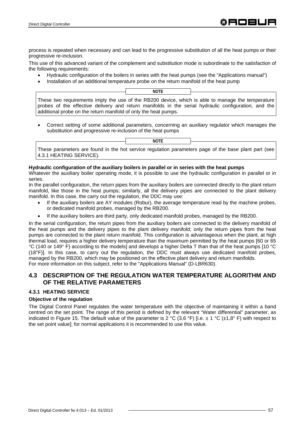process is repeated when necessary and can lead to the progressive substitution of all the heat pumps or their progressive re-inclusion.

This use of this advanced variant of the complement and substitution mode is subordinate to the satisfaction of the following requirements:

- Hydraulic configuration of the boilers in series with the heat pumps (see the "Applications manual")
- Installation of an additional temperature probe on the return manifold of the heat pump

These two requirements imply the use of the RB200 device, which is able to manage the temperature probes of the effective delivery and return manifolds in the serial hydraulic configuration, and the additional probe on the return manifold of only the heat pumps. **NOTE**

• Correct setting of some additional parameters, concerning an auxiliary regulator which manages the substitution and progressive re-inclusion of the heat pumps

**NOTE**

These parameters are found in the hot service regulation parameters page of the base plant part (see 4.3.1 HEATING SERVICE).

#### **Hydraulic configuration of the auxiliary boilers in parallel or in series with the heat pumps**

Whatever the auxiliary boiler operating mode, it is possible to use the hydraulic configuration in parallel or in series.

In the parallel configuration, the return pipes from the auxiliary boilers are connected directly to the plant return manifold, like those in the heat pumps; similarly, all the delivery pipes are connected to the plant delivery manifold. In this case, the carry out the regulation, the DDC may use:

- If the auxiliary boilers are AY modules (Robur), the average temperature read by the machine probes, or dedicated manifold probes, managed by the RB200.
- If the auxiliary boilers are third party, only dedicated manifold probes, managed by the RB200.

In the serial configuration, the return pipes from the auxiliary boilers are connected to the delivery manifold of the heat pumps and the delivery pipes to the plant delivery manifold; only the return pipes from the heat pumps are connected to the plant return manifold. This configuration is advantageous when the plant, at high thermal load, requires a higher delivery temperature than the maximum permitted by the heat pumps [60 or 65 °C (140 or 149° F) according to the models] and develops a higher Delta T than that of the heat pumps [10 °C (18°F)]. In this case, to carry out the regulation, the DDC must always use dedicated manifold probes, managed by the RB200, which may be positioned on the effective plant delivery and return manifolds. For more information on this subject, refer to the "Applications Manual" (D-LBR630).

# **4.3 DESCRIPTION OF THE REGULATION WATER TEMPERATURE ALGORITHM AND OF THE RELATIVE PARAMETERS**

# **4.3.1 HEATING SERVICE**

# **Objective of the regulation**

The Digital Control Panel regulates the water temperature with the objective of maintaining it within a band centred on the set point. The range of this period is defined by the relevant "Water differential" parameter, as indicated in Figure 15. The default value of the parameter is 2 °C (3,6 °F) [i.e.  $\pm$  1 °C ( $\pm$ 1,8° F) with respect to the set point value]; for normal applications it is recommended to use this value.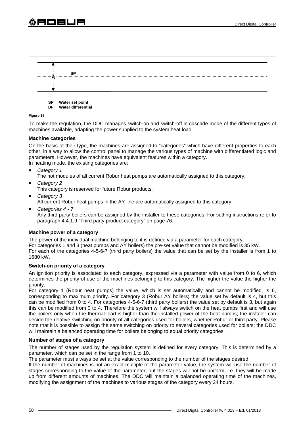

#### **Figure 15**

To make the regulation, the DDC manages switch-on and switch-off in cascade mode of the different types of machines available, adapting the power supplied to the system heat load.

#### **Machine categories**

On the basis of their type, the machines are assigned to "categories" which have different properties to each other, in a way to allow the control panel to manage the various types of machine with differentiated logic and parameters. However, the machines have equivalent features within a category. In heating mode, the existing categories are:

- *Category 1* 
	- The hot modules of all current Robur heat pumps are automatically assigned to this category.
- *Category 2*

This category is reserved for future Robur products.

- *Category 3*  All current Robur heat pumps in the AY line are automatically assigned to this category.
- *Categories 4 7*

Any third party boilers can be assigned by the installer to these categories. For setting instructions refer to paragraph 4.4.1.9 "Third party product category" on page 76.

# **Machine power of a category**

The power of the individual machine belonging to it is defined via a parameter for each category. For categories 1 and 3 (heat pumps and AY boilers) the pre-set value that cannot be modified is 35 kW. For each of the categories 4-5-6-7 (third party boilers) the value that can be set by the installer is from 1 to 1680 kW.

# **Switch-on priority of a category**

An ignition priority is associated to each category, expressed via a parameter with value from 0 to 6, which determines the priority of use of the machines belonging to this category. The higher the value the higher the priority.

For category 1 (Robur heat pumps) the value, which is set automatically and cannot be modified, is 6, corresponding to maximum priority. For category 3 (Robur AY boilers) the value set by default is 4, but this can be modified from 0 to 4. For categories 4-5-6-7 (third party boilers) the value set by default is 3, but again this can be modified from 0 to 4. Therefore the system will always switch on the heat pumps first and will use the boilers only when the thermal load is higher than the installed power of the heat pumps; the installer can decide the relative switching on priority of all categories used for boilers, whether Robur or third party. Please note that it is possible to assign the same switching on priority to several categories used for boilers; the DDC will maintain a balanced operating time for boilers belonging to equal priority categories.

#### **Number of stages of a category**

The number of stages used by the regulation system is defined for every category. This is determined by a parameter, which can be set in the range from 1 to 10.

The parameter must always be set at the value corresponding to the number of the stages desired.

If the number of machines is not an exact multiple of the parameter value, the system will use the number of stages corresponding to the value of the parameter, but the stages will not be uniform, i.e. they will be made up from different amounts of machines. The DDC will maintain a balanced operating time of the machines, modifying the assignment of the machines to various stages of the category every 24 hours.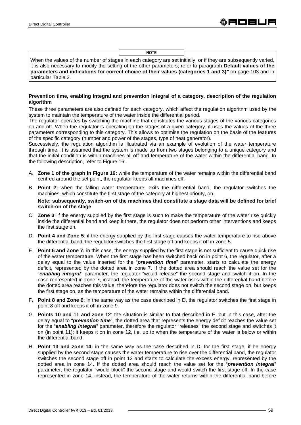**NOTE**

When the values of the number of stages in each category are set initially, or if they are subsequently varied, it is also necessary to modify the setting of the other parameters; refer to paragraph **Default values of the parameters and indications for correct choice of their values (categories 1 and 3)***"* on page 103 and in particular Table 2.

#### **Prevention time, enabling integral and prevention integral of a category, description of the regulation algorithm**

These three parameters are also defined for each category, which affect the regulation algorithm used by the system to maintain the temperature of the water inside the differential period.

The regulator operates by switching the machine that constitutes the various stages of the various categories on and off. When the regulator is operating on the stages of a given category, it uses the values of the three parameters corresponding to this category. This allows to optimise the regulation on the basis of the features of the specific category (number and power of the stages, type of heat generator).

Successively, the regulation algorithm is illustrated via an example of evolution of the water temperature through time. It is assumed that the system is made up from two stages belonging to a unique category and that the initial condition is within machines all off and temperature of the water within the differential band. In the following description, refer to Figure 16.

- A. **Zone 1 of the graph in Figure 16:** while the temperature of the water remains within the differential band centred around the set point, the regulator keeps all machines off.
- B. **Point 2**: when the falling water temperature, exits the differential band, the regulator switches the machines, which constitute the first stage of the category at highest priority, on.

**Note: subsequently, switch-on of the machines that constitute a stage data will be defined for brief switch-on of the stage**

- C. **Zone 3**: if the energy supplied by the first stage is such to make the temperature of the water rise quickly inside the differential band and keep it there, the regulator does not perform other interventions and keeps the first stage on.
- D. **Point 4 and Zone 5**: if the energy supplied by the first stage causes the water temperature to rise above the differential band, the regulator switches the first stage off and keeps it off in zone 5.
- E. **Point 6 and Zone 7:** in this case, the energy supplied by the first stage is not sufficient to cause quick rise of the water temperature. When the first stage has been switched back on in point 6, the regulator, after a delay equal to the value inserted for the "*prevention time*" parameter, starts to calculate the energy deficit, represented by the dotted area in zone 7. If the dotted area should reach the value set for the "*enabling integral*" parameter, the regulator "would release" the second stage and switch it on. In the case represented in zone 7, instead, the temperature of the water rises within the differential band before the dotted area reaches this value, therefore the regulator does not switch the second stage on, but keeps the first stage on, as the temperature of the water remains within the differential band.
- F. **Point 8 and Zone 9**: in the same way as the case described in D, the regulator switches the first stage in point 8 off and keeps it off in zone 9.
- G. **Points 10 and 11 and zone 12**: the situation is similar to that described in E, but in this case, after the delay equal to "*prevention time*", the dotted area that represents the energy deficit reaches the value set for the "*enabling integral*" parameter, therefore the regulator "releases" the second stage and switches it on (in point 11); it keeps it on in zone 12, i.e. up to when the temperature of the water is below or within the differential band.
- H. **Point 13 and zone 14:** in the same way as the case described in D, for the first stage, if he energy supplied by the second stage causes the water temperature to rise over the differential band, the regulator switches the second stage off in point 13 and starts to calculate the excess energy, represented by the dotted area in zone 14. If the dotted area should reach the value set for the "*prevention integral*" parameter, the regulator "would block" the second stage and would switch the first stage off. In the case represented in zone 14, instead, the temperature of the water returns within the differential band before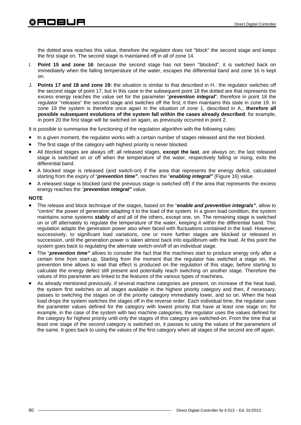日口目山口

the dotted area reaches this value, therefore the regulator does not "block" the second stage and keeps the first stage on. The second stage is maintained off in all of zone 14.

- I. **Point 15 and zone 16**: because the second stage has not been "blocked", it is switched back on immediately when the falling temperature of the water, escapes the differential band and zone 16 is kept on.
- J. **Points 17 and 18 and zone 19:** the situation is similar to that described in H.: the regulator switches off the second stage of point 17, but in this case in the subsequent point 18 the dotted are that represents the excess energy reaches the value set for the parameter "*prevention integral*"; therefore in point 18 the regulator "releases" the second stage and switches off the first; it then maintains this state in zone 19. In zone 19 the system is therefore once again in the situation of zone 1, described in A.; **therefore all possible subsequent evolutions of the system fall within the cases already described**; for example, in point 20 the first stage will be switched on again, as previously occurred in point 2.

It is possible to summarise the functioning of the regulation algorithm with the following rules:

- In a given moment, the regulator works with a certain number of stages released and the rest blocked.
- The first stage of the category with highest priority is never blocked.
- All blocked stages are always off; all released stages, **except the last**, are always on; the last released stage is switched on or off when the temperature of the water, respectively falling or rising, exits the differential band.
- A blocked stage is released (and switch-on) if the area that represents the energy deficit, calculated starting from the expiry of "*prevention time"*, reaches the "*enabling integral"* (Figure 16) value.
- A released stage is blocked (and the previous stage is switched off) if the area that represents the excess energy reaches the "*prevention integral"* value.

#### **NOTE**

- The release and block technique of the stages, based on the "*enable and prevention integrals"*, allow to "centre" the power of generation adapting it to the load of the system. In a given load condition, the system maintains some systems **stably** of and all of the others, except one, on. The remaining stage is switched on or off alternately to regulate the temperature of the water, keeping it within the differential band. This regulation adapts the generation power also when faced with fluctuations contained in the load. However, successively, to significant load variations, one or more further stages are blocked or released in succession, until the generation power is taken almost back into equilibrium with the load. At this point the system goes back to regulating the alternate switch-on/off of an individual stage.
- The "*prevention time"* allows to consider the fact that the machines start to produce energy only after a certain time from start-up. Starting from the moment that the regulator has switched a stage on, the prevention time allows to wait that effect is produced on the regulation of this stage, before starting to calculate the energy defect still present and potentially reach switching on another stage. Therefore the values of this parameter are linked to the features of the various types of machines**.**
- As already mentioned previously, if several machine categories are present, on increase of the heat load, the system first switches on all stages available in the highest priority category and then, if necessary, passes to switching the stages on of the priority category immediately lower, and so on. When the heat load drops the system switches the stages off in the reverse order. Each individual time, the regulator uses the parameter values defined for the category with lowest priority that have at least one stage on; for example, in the case of the system with two machine categories, the regulator uses the values defined for the category for highest priority until only the stages of this category are switched-on. From the time that at least one stage of the second category is switched on, it passes to using the values of the parameters of the same. It goes back to using the values of the first category when all stages of the second are off again.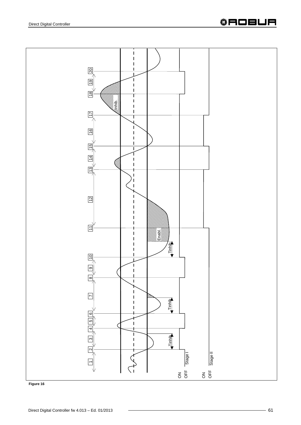



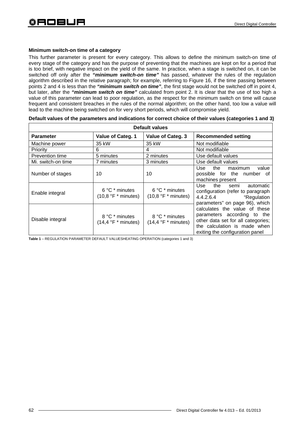# **Minimum switch-on time of a category**

This further parameter is present for every category. This allows to define the minimum switch-on time of every stage of the category and has the purpose of preventing that the machines are kept on for a period that is too brief, with negative impact on the yield of the same. In practice, when a stage is switched on, it can be switched off only after the *"minimum switch-on time"* has passed, whatever the rules of the regulation algorithm described in the relative paragraph; for example, referring to Figure 16, if the time passing between points 2 and 4 is less than the *"minimum switch on time"*, the first stage would not be switched off in point 4, but later, after the *"minimum switch on time"* calculated from point 2. It is clear that the use of too high a value of this parameter can lead to poor regulation, as the respect for the minimum switch on time will cause frequent and consistent breaches in the rules of the normal algorithm; on the other hand, too low a value will lead to the machine being switched on for very short periods, which will compromise yield.

| <b>Default values</b> |                                                        |                                                            |                                                                                                                                                                       |
|-----------------------|--------------------------------------------------------|------------------------------------------------------------|-----------------------------------------------------------------------------------------------------------------------------------------------------------------------|
| <b>Parameter</b>      | Value of Categ. 1                                      | Value of Categ. 3                                          | <b>Recommended setting</b>                                                                                                                                            |
| Machine power         | 35 kW                                                  | 35 kW                                                      | Not modifiable                                                                                                                                                        |
| <b>Priority</b>       | 6                                                      | 4                                                          | Not modifiable                                                                                                                                                        |
| Prevention time       | 5 minutes                                              | 2 minutes                                                  | Use default values                                                                                                                                                    |
| Mi. switch-on time    | 7 minutes                                              | 3 minutes                                                  | Use default values                                                                                                                                                    |
| Number of stages      | 10                                                     | 10                                                         | value<br>the<br>maximum<br>Use<br>possible for the number of<br>machines present                                                                                      |
| Enable integral       | 6 °C * minutes<br>$(10,8 \text{ °F} * \text{minutes})$ | $6^{\circ}$ C $*$ minutes<br>$(10,8 \text{ °F} * minutes)$ | Use the semi automatic<br>configuration (refer to paragraph<br>4.4.2.6.4<br>"Regulation<br>parameters" on page 96), which                                             |
| Disable integral      | 8 °C * minutes<br>$(14,4 \degree F *$ minutes)         | 8 °C * minutes<br>$(14,4 \degree F \degree minutes)$       | calculates the value of these<br>parameters according to the<br>other data set for all categories;<br>the calculation is made when<br>exiting the configuration panel |

**Default values of the parameters and indications for correct choice of their values (categories 1 and 3)** 

**Table 1** – REGULATION PARAMETER DEFAULT VALUESHEATING OPERATION (categories 1 and 3)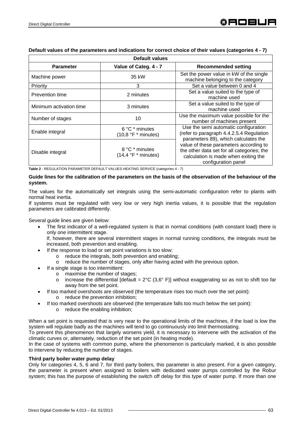|                         | <b>Default values</b>                           |                                                                                                                                                     |
|-------------------------|-------------------------------------------------|-----------------------------------------------------------------------------------------------------------------------------------------------------|
| <b>Parameter</b>        | Value of Categ. 4 - 7                           | <b>Recommended setting</b>                                                                                                                          |
| Machine power           | 35 kW                                           | Set the power value in kW of the single<br>machine belonging to the category                                                                        |
| Priority                | 3                                               | Set a value between 0 and 4                                                                                                                         |
| Prevention time         | 2 minutes                                       | Set a value suited to the type of<br>machine used                                                                                                   |
| Minimum activation time | 3 minutes                                       | Set a value suited to the type of<br>machine used                                                                                                   |
| Number of stages        | 10                                              | Use the maximum value possible for the<br>number of machines present                                                                                |
| Enable integral         | 6 °C * minutes<br>$(10.8 \text{ °F}$ * minutes) | Use the semi automatic configuration<br>(refer to paragraph 4.4.2.5.4 Regulation<br>parameters 89), which calculates the                            |
| Disable integral        | 8 °C * minutes<br>$(14.4 \text{ °F}$ * minutes) | value of these parameters according to<br>the other data set for all categories; the<br>calculation is made when exiting the<br>configuration panel |

# **Default values of the parameters and indications for correct choice of their values (categories 4 - 7)**

**Table 2** - REGULATION PARAMETER DEFAULT VALUES HEATING SERVICE (categories 4 - 7)

#### **Guide lines for the calibration of the parameters on the basis of the observation of the behaviour of the system.**

The values for the automatically set integrals using the semi-automatic configuration refer to plants with normal heat inertia.

If systems must be regulated with very low or very high inertia values, it is possible that the regulation parameters are calibrated differently.

Several guide lines are given below:

• The first indicator of a well-regulated system is that in normal conditions (with constant load) there is only one intermittent stage.

If, however, there are several intermittent stages in normal running conditions, the integrals must be increased, both prevention and enabling.

- If the response to load or set point variations is too slow:
	- o reduce the integrals, both prevention and enabling;
	- o reduce the number of stages, only after having acted with the previous option.
- If a single stage is too intermittent:
	- o maximise the number of stages;
		- o increase the differential [default =  $2^{\circ}C$  (3,6° F)] without exaggerating so as not to shift too far away from the set point.
- If too marked overshoots are observed (the temperature rises too much over the set point):
	- o reduce the prevention inhibition;
- If too marked overshoots are observed (the temperature falls too much below the set point):
	- o reduce the enabling inhibition;

When a set point is requested that is very near to the operational limits of the machines, if the load is low the system will regulate badly as the machines will tend to go continuously into limit thermostating.

To prevent this phenomenon that largely worsens yield, it is necessary to intervene with the activation of the climatic curves or, alternately, reduction of the set point (in heating mode).

In the case of systems with common pump, where the phenomenon is particularly marked, it is also possible to intervene by reducing the number of stages.

# **Third party boiler water pump delay**

Only for categories 4, 5, 6 and 7, for third party boilers, this parameter is also present. For a given category, the parameter is present when assigned to boilers with dedicated water pumps controlled by the Robur system; this has the purpose of establishing the switch off delay for this type of water pump. If more than one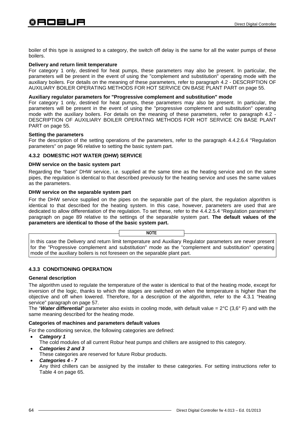boiler of this type is assigned to a category, the switch off delay is the same for all the water pumps of these boilers.

#### **Delivery and return limit temperature**

For category 1 only, destined for heat pumps, these parameters may also be present. In particular, the parameters will be present in the event of using the "complement and substitution" operating mode with the auxiliary boilers. For details on the meaning of these parameters, refer to paragraph 4.2 - DESCRIPTION OF AUXILIARY BOILER OPERATING METHODS FOR HOT SERVICE ON BASE PLANT PART on page 55.

#### **Auxiliary regulator parameters for "Progressive complement and substitution" mode**

For category 1 only, destined for heat pumps, these parameters may also be present. In particular, the parameters will be present in the event of using the "progressive complement and substitution" operating mode with the auxiliary boilers. For details on the meaning of these parameters, refer to paragraph 4.2 - DESCRIPTION OF AUXILIARY BOILER OPERATING METHODS FOR HOT SERVICE ON BASE PLANT PART on page 55.

#### **Setting the parameters**

For the description of the setting operations of the parameters, refer to the paragraph 4.4.2.6.4 "Regulation parameters" on page 96 relative to setting the basic system part.

# **4.3.2 DOMESTIC HOT WATER (DHW) SERVICE**

#### **DHW service on the basic system part**

Regarding the "base" DHW service, i.e. supplied at the same time as the heating service and on the same pipes, the regulation is identical to that described previously for the heating service and uses the same values as the parameters.

#### **DHW service on the separable system part**

For the DHW service supplied on the pipes on the separable part of the plant, the regulation algorithm is identical to that described for the heating system. In this case, however, parameters are used that are dedicated to allow differentiation of the regulation. To set these, refer to the 4.4.2.5.4 "Regulation parameters" paragraph on page 89 relative to the settings of the separable system part. **The default values of the parameters are identical to those of the basic system part.** 

In this case the Delivery and return limit temperature and Auxiliary Regulator parameters are never present for the "Progressive complement and substitution" mode as the "complement and substitution" operating mode of the auxiliary boilers is not foreseen on the separable plant part.

**NOTE**

# **4.3.3 CONDITIONING OPERATION**

#### **General description**

The algorithm used to regulate the temperature of the water is identical to that of the heating mode, except for inversion of the logic, thanks to which the stages are switched on when the temperature is higher than the objective and off when lowered. Therefore, for a description of the algorithm, refer to the 4.3.1 "Heating service" paragraph on page 57.

The "*Water differential*" parameter also exists in cooling mode, with default value = 2°C (3,6° F) and with the same meaning described for the heating mode.

#### **Categories of machines and parameters default values**

For the conditioning service, the following categories are defined:

- *Category 1* 
	- The cold modules of all current Robur heat pumps and chillers are assigned to this category.
- *Categories 2 and 3*
- These categories are reserved for future Robur products.
- *Categories 4 7*

Any third chillers can be assigned by the installer to these categories. For setting instructions refer to Table 4 on page 65.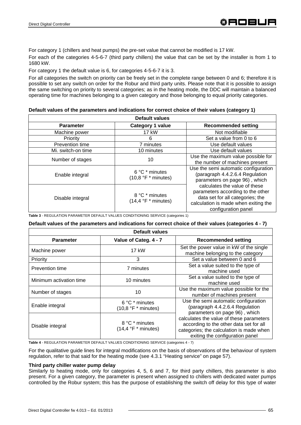For category 1 (chillers and heat pumps) the pre-set value that cannot be modified is 17 kW.

For each of the categories 4-5-6-7 (third party chillers) the value that can be set by the installer is from 1 to 1680 kW.

For category 1 the default value is 6, for categories 4-5-6-7 it is 3.

For all categories the switch on priority can be freely set in the complete range between 0 and 6; therefore it is possible to set any switch on order for the Robur and third party units. Please note that it is possible to assign the same switching on priority to several categories; as in the heating mode, the DDC will maintain a balanced operating time for machines belonging to a given category and those belonging to equal priority categories.

#### **Default values of the parameters and indications for correct choice of their values (category 1)**

| <b>Default values</b> |                                                 |                                                                                                                                                                       |
|-----------------------|-------------------------------------------------|-----------------------------------------------------------------------------------------------------------------------------------------------------------------------|
| <b>Parameter</b>      | Category 1 value                                | <b>Recommended setting</b>                                                                                                                                            |
| Machine power         | <b>17 kW</b>                                    | Not modifiable                                                                                                                                                        |
| Priority              | 6                                               | Set a value from 0 to 6                                                                                                                                               |
| Prevention time       | 7 minutes                                       | Use default values                                                                                                                                                    |
| Mi. switch-on time    | 10 minutes                                      | Use default values                                                                                                                                                    |
| Number of stages      | 10                                              | Use the maximum value possible for<br>the number of machines present                                                                                                  |
| Enable integral       | 6 °C * minutes<br>$(10,8 \degree F *$ minutes)  | Use the semi automatic configuration<br>(paragraph 4.4.2.6.4 Regulation<br>parameters on page 96), which                                                              |
| Disable integral      | 8 °C * minutes<br>$(14.4 \text{ °F}$ * minutes) | calculates the value of these<br>parameters according to the other<br>data set for all categories; the<br>calculation is made when exiting the<br>configuration panel |

**Table 3** - REGULATION PARAMETER DEFAULT VALUES CONDITIONING SERVICE (categories 1)

#### **Default values of the parameters and indications for correct choice of their values (categories 4 - 7)**

|                         | <b>Default values</b>                                |                                                                                                                                                                    |
|-------------------------|------------------------------------------------------|--------------------------------------------------------------------------------------------------------------------------------------------------------------------|
| <b>Parameter</b>        | Value of Categ. 4 - 7                                | <b>Recommended setting</b>                                                                                                                                         |
| Machine power           | 17 kW                                                | Set the power value in kW of the single<br>machine belonging to the category                                                                                       |
| Priority                | 3                                                    | Set a value between 0 and 6                                                                                                                                        |
| Prevention time         | 7 minutes                                            | Set a value suited to the type of<br>machine used                                                                                                                  |
| Minimum activation time | 10 minutes                                           | Set a value suited to the type of<br>machine used                                                                                                                  |
| Number of stages        | 10                                                   | Use the maximum value possible for the<br>number of machines present                                                                                               |
| Enable integral         | 6 °C * minutes<br>$(10,8 \degree F \degree minutes)$ | Use the semi automatic configuration<br>(paragraph 4.4.2.6.4 Regulation<br>parameters on page 96), which                                                           |
| Disable integral        | 8 °C * minutes<br>$(14.4 \text{ °F}$ * minutes)      | calculates the value of these parameters<br>according to the other data set for all<br>categories; the calculation is made when<br>exiting the configuration panel |

**Table 4** - REGULATION PARAMETER DEFAULT VALUES CONDITIONING SERVICE (categories 4 - 7)

For the qualitative guide lines for integral modifications on the basis of observations of the behaviour of system regulation, refer to that said for the heating mode (see 4.3.1 "Heating service" on page 57).

#### **Third party chiller water pump delay**

Similarly to heating mode, only for categories 4, 5, 6 and 7, for third party chillers, this parameter is also present. For a given category, the parameter is present when assigned to chillers with dedicated water pumps controlled by the Robur system; this has the purpose of establishing the switch off delay for this type of water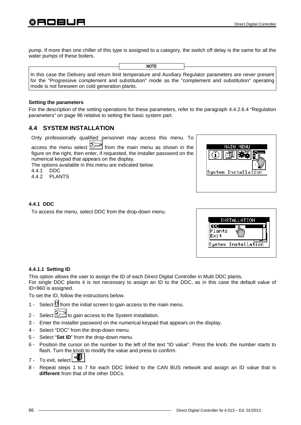pump. If more than one chiller of this type is assigned to a category, the switch off delay is the same for all the water pumps of these boilers.

|                                                                                                                                                                                                                      | <b>NOTE</b> |  |
|----------------------------------------------------------------------------------------------------------------------------------------------------------------------------------------------------------------------|-------------|--|
| In this case the Delivery and return limit temperature and Auxiliary Regulator parameters are never present<br>for the "Progressive complement and substitution" mode as the "complement and substitution" operating |             |  |
| mode is not foreseen on cold generation plants.                                                                                                                                                                      |             |  |

#### **Setting the parameters**

For the description of the setting operations for these parameters, refer to the paragraph 4.4.2.6.4 "Regulation parameters" on page 96 relative to setting the basic system part.

# **4.4 SYSTEM INSTALLATION**

Only professionally qualified personnel may access this menu. To

access the menu select  $\mathbb{Z}^{\mathbb{Z}}$  from the main menu as shown in the figure on the right, then enter, if requested, the installer password on the numerical keypad that appears on the display.

The options available in this menu are indicated below.

4.4.1 DDC

4.4.2 PLANTS

|                     | mа<br>ΙN | - n |  |
|---------------------|----------|-----|--|
| System Installation |          |     |  |

#### **4.4.1 DDC**

To access the menu, select DDC from the drop-down menu.



#### **4.4.1.1 Setting ID**

This option allows the user to assign the ID of each Direct Digital Controller in Multi DDC plants.

For single DDC plants it is not necessary to assign an ID to the DDC, as in this case the default value of ID=960 is assigned.

To set the ID, follow the instructions below.

- 1 Select  $\mathbb H$  from the initial screen to gain access to the main menu.
- 2 Select  $\boxed{\bigcirc}$  to gain access to the System installation.
- 3 Enter the installer password on the numerical keypad that appears on the display.
- 4 Select "DDC" from the drop-down menu.
- 5 Select "**Set ID**" from the drop-down menu.
- 6 Position the cursor on the number to the left of the text "ID value". Press the knob: the number starts to flash. Turn the knob to modify the value and press to confirm.
- 7 To exit, select  $\begin{array}{|c|c|}\n\hline\n\end{array}$
- 8 Repeat steps 1 to 7 for each DDC linked to the CAN BUS network and assign an ID value that is **different** from that of the other DDCs.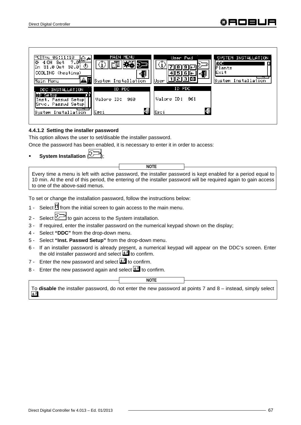

#### **4.4.1.2 Setting the installer password**

This option allows the user to set/disable the installer password.

Once the password has been enabled, it is necessary to enter it in order to access:

**System Installation** 

Every time a menu is left with active password, the installer password is kept enabled for a period equal to 10 min. At the end of this period, the entering of the installer password will be required again to gain access to one of the above-said menus.

**NOTE**

To set or change the installation password, follow the instructions below:

- 1 Select  $\mathbb N$  from the initial screen to gain access to the main menu.
- 2 Select  $\mathbb{Z}^{\mathbb{Z}}$  to gain access to the System installation.
- 3 If required, enter the installer password on the numerical keypad shown on the display;
- 4 Select **"DDC"** from the drop-down menu.
- 5 Select **"Inst. Passwd Setup"** from the drop-down menu.
- 6 If an installer password is already present, a numerical keypad will appear on the DDC's screen. Enter the old installer password and select  $\Box$  to confirm.
- 7 Enter the new password and select  $\Box$  to confirm.
- 8 Enter the new password again and select  $\Box$  to confirm.

**NOTE**

To **disable** the installer password, do not enter the new password at points 7 and 8 – instead, simply select  $\overline{ }$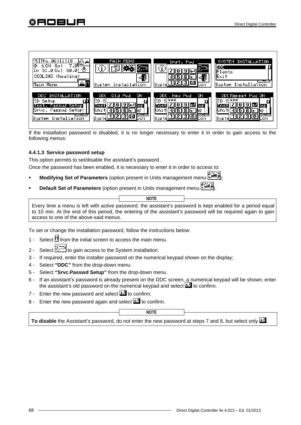

If the installation password is disabled, it is no longer necessary to enter it in order to gain access to the following menus:

# **4.4.1.3 Service password setup**

This option permits to set/disable the assistant's password .

Once the password has been enabled, it is necessary to enter it in order to access to:

- **Modifying Set of Parameters** (option present in Units management menu );
- **Default Set of Parameters** (option present in Units management menu ).

Every time a menu is left with active password, the assistant's password is kept enabled for a period equal to 10 min. At the end of this period, the entering of the assistant's password will be required again to gain access to one of the above-said menus. **NOTE**

To set or change the installation password, follow the instructions below:

- 1 Select  $\mathbb N$  from the initial screen to access the main menu.
- 2 Select  $\boxed{\bigcirc}$  to gain access to the System installation.
- 3 If required, enter the installer password on the numerical keypad shown on the display;
- 4 Select **"DDC"** from the drop-down menu.
- 5 Select **"Srvc.Passwd Setup"** from the drop-down menu.
- 6 If an assistant's password is already present on the DDC screen, a numerical keypad will be shown; enter the assistant's old password on the numerical keypad and select  $\Box$  to confirm.
- 7 Enter the new password and select  $\Box$  to confirm.
- 8 Enter the new password again and select  $\Box$  to confirm.

**NOTE**

To disable the Assistant's password, do not enter the new password at steps 7 and 8, but select only  $\Box$ .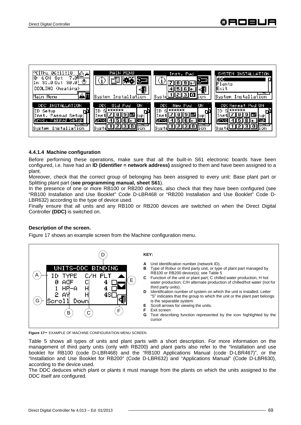

# **4.4.1.4 Machine configuration**

Before performing these operations, make sure that all the built-in S61 electronic boards have been configured, i.e. have had an **ID (identifier = network address)** assigned to them and have been assigned to a plant.

Moreover, check that the correct group of belonging has been assigned to every unit: Base plant part or Splitting plant part (**see programming manual, sheet S61**).

In the presence of one or more RB100 or RB200 devices, also check that they have been configured (see "RB100 Installation and Use Booklet" Code D-LBR468 or "RB200 Installation and Use Booklet" Code D-LBR632) according to the type of device used.

Finally ensure that all units and any RB100 or RB200 devices are switched on when the Direct Digital Controller **(DDC)** is switched on.

# **Description of the screen.**

Figure 17 shows an example screen from the Machine configuration menu.



**Figure 17–** EXAMPLE OF MACHINE CONFIGURATION MENU SCREEN

Table 5 shows all types of units and plant parts with a short description. For more information on the management of third party units (only with RB200) and plant parts also refer to the "Installation and use booklet for RB100 (code D-LBR468) and the "RB100 Applications Manual (code D-LBR467)", or the "Installation and Use Booklet for RB200" (Code D-LBR632) and "Applications Manual" (Code D-LBR630), according to the device used.

The DDC deduces which plant or plants it must manage from the plants on which the units assigned to the DDC itself are configured.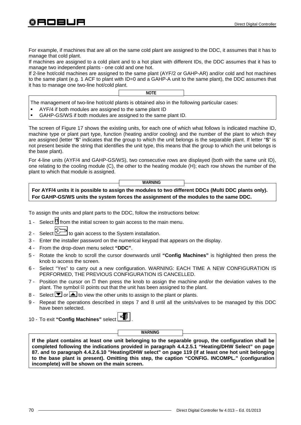For example, if machines that are all on the same cold plant are assigned to the DDC, it assumes that it has to manage that cold plant.

If machines are assigned to a cold plant and to a hot plant with different IDs, the DDC assumes that it has to manage two independent plants - one cold and one hot.

If 2-line hot/cold machines are assigned to the same plant (AYF/2 or GAHP-AR) and/or cold and hot machines to the same plant (e.g. 1 ACF to plant with ID=0 and a GAHP-A unit to the same plant), the DDC assumes that it has to manage one two-line hot/cold plant.

**NOTE**

The management of two-line hot/cold plants is obtained also in the following particular cases:

- AYF/4 if both modules are assigned to the same plant ID
- GAHP-GS/WS if both modules are assigned to the same plant ID.

The screen of Figure 17 shows the existing units, for each one of which what follows is indicated machine ID, machine type or plant part type, function (heating and/or cooling) and the number of the plant to which they are assigned (letter "**S**" indicates that the group to which the unit belongs is the separable plant. If letter "**S**" is not present beside the string that identifies the unit type, this means that the group to which the unit belongs is the base plant).

For 4-line units (AYF/4 and GAHP-GS/WS), two consecutive rows are displayed (both with the same unit ID), one relating to the cooling module (C), the other to the heating module (H); each row shows the number of the plant to which that module is assigned.

**WARNING** 

**For AYF/4 units it is possible to assign the modules to two different DDCs (Multi DDC plants only). For GAHP-GS/WS units the system forces the assignment of the modules to the same DDC.**

To assign the units and plant parts to the DDC, follow the instructions below:

- 1 Select  $\mathbb H$  from the initial screen to gain access to the main menu.
- 2 Select  $\boxed{\Box}$  to gain access to the System installation.
- 3 Enter the installer password on the numerical keypad that appears on the display.
- 4 From the drop-down menu select **"DDC"**.
- 5 Rotate the knob to scroll the cursor downwards until **"Config Machines"** is highlighted then press the knob to access the screen.
- 6 Select "Yes" to carry out a new configuration. WARNING: EACH TIME A NEW CONFIGURATION IS PERFORMED, THE PREVIOUS CONFIGURATION IS CANCELLED.
- 7 Position the cursor on  $\Box$  then press the knob to assign the machine and/or the deviation valves to the plant. The symbol  $\Box$  points out that the unit has been assigned to the plant.
- 8 Select  $\blacksquare$  or  $\blacksquare$  to view the other units to assign to the plant or plants.
- 9 Repeat the operations described in steps 7 and 8 until all the units/valves to be managed by this DDC have been selected.

10 - To exit **"Config Machines"** select .

**WARNING** 

**If the plant contains at least one unit belonging to the separable group, the configuration shall be completed following the indications provided in paragraph 4.4.2.5.1 "Heating/DHW Select" on page 87. and to paragraph 4.4.2.6.10 "Heating/DHW select" on page 119 (if at least one hot unit belonging to the base plant is present). Omitting this step, the caption "CONFIG. INCOMPL." (configuration incomplete) will be shown on the main screen.**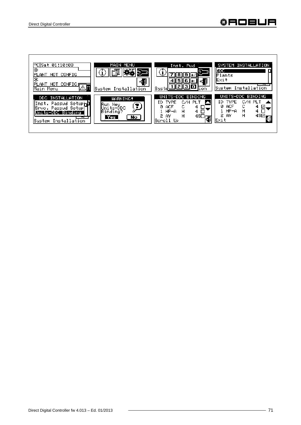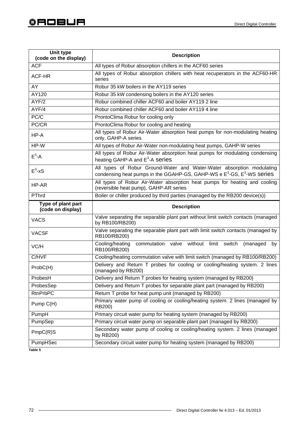| Unit type<br>(code on the display) | <b>Description</b>                                                                                                                                                      |  |  |
|------------------------------------|-------------------------------------------------------------------------------------------------------------------------------------------------------------------------|--|--|
| <b>ACF</b>                         | All types of Robur absorption chillers in the ACF60 series                                                                                                              |  |  |
| ACF-HR                             | All types of Robur absorption chillers with heat recuperators in the ACF60-HR<br>series                                                                                 |  |  |
| AY                                 | Robur 35 kW boilers in the AY119 series                                                                                                                                 |  |  |
| AY120                              | Robur 35 kW condensing boilers in the AY120 series                                                                                                                      |  |  |
| AYF/2                              | Robur combined chiller ACF60 and boiler AY119 2 line                                                                                                                    |  |  |
| AYF/4                              | Robur combined chiller ACF60 and boiler AY119 4 line                                                                                                                    |  |  |
| PC/C                               | ProntoClima Robur for cooling only                                                                                                                                      |  |  |
| PC/CR                              | ProntoClima Robur for cooling and heating                                                                                                                               |  |  |
| HP-A                               | All types of Robur Air-Water absorption heat pumps for non-modulating heating<br>only, GAHP-A series                                                                    |  |  |
| HP-W                               | All types of Robur Air-Water non-modulating heat pumps, GAHP-W series                                                                                                   |  |  |
| $E^3-A$                            | All types of Robur Air-Water absorption heat pumps for modulating condensing<br>heating GAHP-A and E <sup>3</sup> -A series                                             |  |  |
| $E^3$ -xS                          | All types of Robur Ground-Water and Water-Water absorption modulating<br>condensing heat pumps in the GGAHP-GS, GAHP-WS e E <sup>3</sup> -GS, E <sup>3</sup> -WS series |  |  |
| HP-AR                              | All types of Robur Air-Water absorption heat pumps for heating and cooling<br>(reversible heat pump), GAHP-AR series                                                    |  |  |
| PThrd                              | Boiler or chiller produced by third parties (managed by the RB200 device(s))                                                                                            |  |  |
| Type of plant part                 |                                                                                                                                                                         |  |  |
| (code on display)                  | <b>Description</b>                                                                                                                                                      |  |  |
| <b>VACS</b>                        | Valve separating the separable plant part without limit switch contacts (managed<br>by RB100/RB200)                                                                     |  |  |
| <b>VACSF</b>                       | Valve separating the separable plant part with limit switch contacts (managed by<br>RB100/RB200)                                                                        |  |  |
| VC/H                               | commutation valve without limit switch<br>Cooling/heating<br>(managed<br>by<br>RB100/RB200)                                                                             |  |  |
| C/HVF                              | Cooling/heating commutation valve with limit switch (managed by RB100/RB200)                                                                                            |  |  |
| ProbC(H)                           | Delivery and Return T probes for cooling or cooling/heating system. 2 lines<br>(managed by RB200)                                                                       |  |  |
| ProbesH                            | Delivery and Return T probes for heating system (managed by RB200)                                                                                                      |  |  |
| ProbesSep                          | Delivery and Return T probes for separable plant part (managed by RB200)                                                                                                |  |  |
| <b>RtnPrbPC</b>                    | Return T probe for heat pump unit (managed by RB200)                                                                                                                    |  |  |
| Pump C(H)                          | Primary water pump of cooling or cooling/heating system. 2 lines (managed by<br>RB200)                                                                                  |  |  |
| PumpH                              | Primary circuit water pump for heating system (managed by RB200)                                                                                                        |  |  |
| PumpSep                            | Primary circuit water pump on separable plant part (managed by RB200)                                                                                                   |  |  |
| PmpC(R)S                           | Secondary water pump of cooling or cooling/heating system. 2 lines (managed<br>by RB200)                                                                                |  |  |

**Table 5**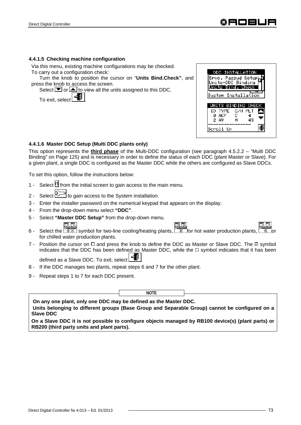#### **4.4.1.5 Checking machine configuration**

Via this menu, existing machine configurations may be checked. To carry out a configuration check:

Turn the knob to position the cursor on "**Units Bind.Check"**, and press the knob to access the screen.

Select  $\blacksquare$  or  $\blacksquare$  to view all the units assigned to this DDC.

To exit, select  $\mathbb{F}$ 



## **4.4.1.6 Master DDC Setup (Multi DDC plants only)**

This option represents the **third phase** of the Multi-DDC configuration (see paragraph 4.5.2.2 – "Multi DDC Binding" on Page 125) and is necessary in order to define the status of each DDC (plant Master or Slave). For a given plant, a single DDC is configured as the Master DDC while the others are configured as Slave DDCs.

To set this option, follow the instructions below:

- 1 Select  $\mathbb N$  from the initial screen to gain access to the main menu.
- 2 Select  $\mathbb{Z}^{\mathbb{Z}}$  to gain access to the System installation.
- 3 Enter the installer password on the numerical keypad that appears on the display.
- 4 From the drop-down menu select **"DDC"**.
- 5 Select **"Master DDC Setup"** from the drop-down menu.

न न



- 6 Select the  $\sqrt{3x}$  symbol for two-line cooling/heating plants,  $\sqrt{x}$  for hot water production plants, for chilled water production plants.
- 7 Position the cursor on  $\Box$  and press the knob to define the DDC as Master or Slave DDC. The  $\Box$  symbol indicates that the DDC has been defined as Master DDC, while the  $\Box$  symbol indicates that it has been defined as a Slave DDC. To exit, select
- 8 If the DDC manages two plants, repeat steps 6 and 7 for the other plant.
- 9 Repeat steps 1 to 7 for each DDC present.

**NOTE**

 **On any one plant, only one DDC may be defined as the Master DDC. Units belonging to different groups (Base Group and Separable Group) cannot be configured on a Slave DDC** 

**On a Slave DDC it is not possible to configure objects managed by RB100 device(s) (plant parts) or RB200 (third party units and plant parts).**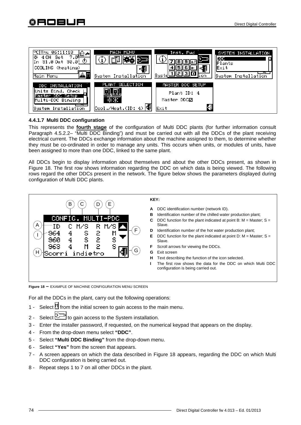

# **4.4.1.7 Multi DDC configuration**

This represents the **fourth stage** of the configuration of Multi DDC plants (for further information consult Paragraph 4.5.2.2– "Multi DDC Binding") and must be carried out with all the DDCs of the plant receiving electrical current. The DDCs exchange information about the machine assigned to them, to determine whether they must be co-ordinated in order to manage any units. This occurs when units, or modules of units, have been assigned to more than one DDC, linked to the same plant.

All DDCs begin to display information about themselves and about the other DDCs present, as shown in Figure 18. The first row shows information regarding the DDC on which data is being viewed. The following rows regard the other DDCs present in the network. The figure below shows the parameters displayed during configuration of Multi DDC plants.



**Figure 18 –** EXAMPLE OF MACHINE CONFIGURATION MENU SCREEN

For all the DDCs in the plant, carry out the following operations:

- 1 Select  $\mathbb H$  from the initial screen to gain access to the main menu.
- 2 Select  $\mathbb{Z}^{\mathbb{Z}}$  to gain access to the System installation.
- 3 Enter the installer password, if requested, on the numerical keypad that appears on the display.
- 4 From the drop-down menu select **"DDC"**.
- 5 Select **"Multi DDC Binding"** from the drop-down menu.
- 6 Select **"Yes"** from the screen that appears.
- 7 A screen appears on which the data described in Figure 18 appears, regarding the DDC on which Multi DDC configuration is being carried out.
- 8 Repeat steps 1 to 7 on all other DDCs in the plant.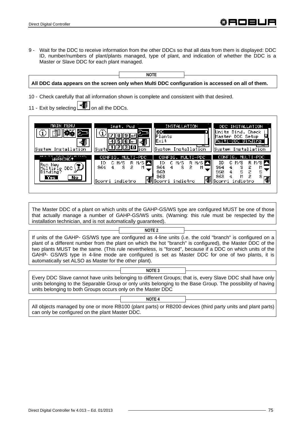9 - Wait for the DDC to receive information from the other DDCs so that all data from them is displayed: DDC ID, number/numbers of plant/plants managed, type of plant, and indication of whether the DDC is a Master or Slave DDC for each plant managed.



The Master DDC of a plant on which units of the GAHP-GS/WS type are configured MUST be one of those that actually manage a number of GAHP-GS/WS units. (Warning: this rule must be respected by the installation technician, and is not automatically guaranteed).

If units of the GAHP- GS/WS type are configured as 4-line units (i.e. the cold "branch" is configured on a plant of a different number from the plant on which the hot "branch" is configured), the Master DDC of the two plants MUST be the same. (This rule nevertheless, is "forced", because if a DDC on which units of the GAHP- GS/WS type in 4-line mode are configured is set as Master DDC for one of two plants, it is automatically set ALSO as Master for the other plant). **NOTE 2**

Every DDC Slave cannot have units belonging to different Groups; that is, every Slave DDC shall have only units belonging to the Separable Group or only units belonging to the Base Group. The possibility of having units belonging to both Groups occurs only on the Master DDC

**NOTE 3**

**NOTE 4**

All objects managed by one or more RB100 (plant parts) or RB200 devices (third party units and plant parts) can only be configured on the plant Master DDC.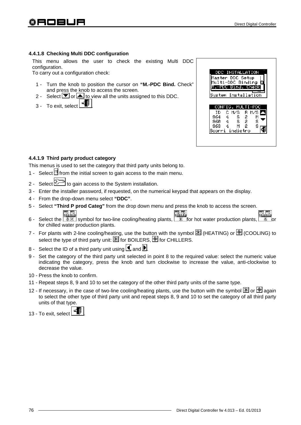## **4.4.1.8 Checking Multi DDC configuration**

This menu allows the user to check the existing Multi DDC configuration.

To carry out a configuration check:

- 1 Turn the knob to position the cursor on **"M.-PDC Bind.** Check" and press the knob to access the screen.
- 2 Select  $\blacksquare$  or  $\blacksquare$  to view all the units assigned to this DDC.
- 3 To exit, select



## **4.4.1.9 Third party product category**

This menus is used to set the category that third party units belong to.

- 1 Select  $\mathbb H$  from the initial screen to gain access to the main menu.
- 2 Select to gain access to the System installation.
- 3 Enter the installer password, if requested, on the numerical keypad that appears on the display.
- 4 From the drop-down menu select **"DDC"**.
- 5 Select **"Third P prod Categ"** from the drop down menu and press the knob to access the screen.
- $\Box$   $\Box$ o, o, 6 - Select the  $\frac{1}{2}$  symbol for two-line cooling/heating plants,  $\frac{1}{2}$  for hot water production plants,  $\frac{1}{2}$  or for chilled water production plants.
- 7 For plants with 2-line cooling/heating, use the button with the symbol  $\mathbb{E}$  (HEATING) or  $\mathbb{E}$  (COOLING) to select the type of third party unit:  $\mathbb{E}$  for BOILERS,  $\mathbb{E}$  for CHILLERS.
- 8 Select the ID of a third party unit using  $\Box$  and  $\Box$
- 9 Set the category of the third party unit selected in point 8 to the required value: select the numeric value indicating the category, press the knob and turn clockwise to increase the value, anti-clockwise to decrease the value.
- 10 Press the knob to confirm.
- 11 Repeat steps 8, 9 and 10 to set the category of the other third party units of the same type.
- 12 If necessary, in the case of two-line cooling/heating plants, use the button with the symbol  $\mathbb{X}$  or  $\mathbb{X}$  again to select the other type of third party unit and repeat steps 8, 9 and 10 to set the category of all third party units of that type.
- 13 To exit, select  $\begin{array}{|c|c|} \hline \multicolumn{1}{|c|}{\hline \multicolumn{1}{|c|}{\hline \multicolumn{1}{|c|}{\hline \multicolumn{1}{|c|}{\hline \multicolumn{1}{|c|}{\hline \multicolumn{1}{|c|}{\hline \multicolumn{1}{|c|}{\hline \multicolumn{1}{|c|}{\hline \multicolumn{1}{|c|}{\hline \multicolumn{1}{|c|}{\hline \multicolumn{1}{|c|}{\hline \multicolumn{1}{|c|}{\hline \multicolumn{1}{|c|}{\hline \multic$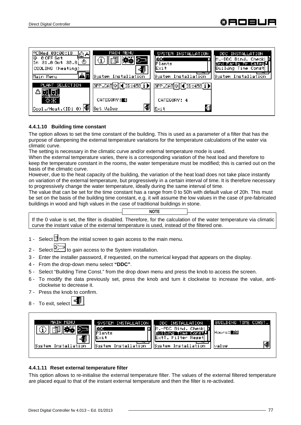

### **4.4.1.10 Building time constant**

The option allows to set the time constant of the building. This is used as a parameter of a filter that has the purpose of dampening the external temperature variations for the temperature calculations of the water via climatic curve.

The setting is necessary in the climatic curve and/or external temperature mode is used.

When the external temperature varies, there is a corresponding variation of the heat load and therefore to keep the temperature constant in the rooms, the water temperature must be modified; this is carried out on the basis of the climatic curve.

However, due to the heat capacity of the building, the variation of the heat load does not take place instantly on variation of the external temperature, but progressively in a certain interval of time. It is therefore necessary to progressively change the water temperature, ideally during the same interval of time.

The value that can be set for the time constant has a range from 0 to 50h with default value of 20h. This must be set on the basis of the building time constant, e.g. it will assume the low values in the case of pre-fabricated buildings in wood and high values in the case of traditional buildings in stone.

If the 0 value is set, the filter is disabled. Therefore, for the calculation of the water temperature via climatic curve the instant value of the external temperature is used, instead of the filtered one. **NOTE**

- 1 Select  $\mathbb H$  from the initial screen to gain access to the main menu.
- 2 Select  $\mathbb{Z}^{\mathbb{Z}}$  to gain access to the System installation.
- 3 Enter the installer password, if requested, on the numerical keypad that appears on the display.
- 4 From the drop-down menu select **"DDC"**.
- 5 Select "Building Time Const." from the drop down menu and press the knob to access the screen.
- 6 To modify the data previously set, press the knob and turn it clockwise to increase the value, anticlockwise to decrease it.
- 7 Press the knob to confirm.
- 8 To exit, select |

| MAIN MENU                | SYSTEM INSTALLATION             | DDC INSTALLATION                                            | BUILDING TIME CONST. |
|--------------------------|---------------------------------|-------------------------------------------------------------|----------------------|
|                          | п.<br>ooc<br>lants              | IM.-PDC Bind. Check! <b>D</b><br>uildng Time Const <u>l</u> | Hours: 20            |
| ₽<br>System Installation | lExit<br>Installation<br>System | ∥ExtT. Filter Reset <br>System<br>Installation              | 48<br>lvalue         |
|                          |                                 |                                                             |                      |

### **4.4.1.11 Reset external temperature filter**

This option allows to re-initialise the external temperature filter. The values of the external filtered temperature are placed equal to that of the instant external temperature and then the filter is re-activated.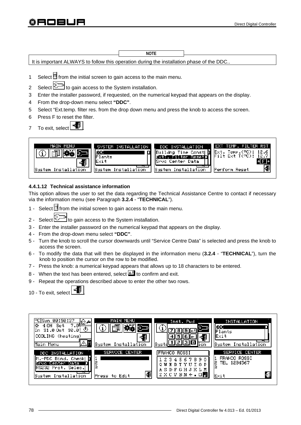It is important ALWAYS to follow this operation during the installation phase of the DDC.. 1 Select  $\mathbb H$  from the initial screen to gain access to the main menu. **NOTE**

- 2 Select  $\mathbb{Z}^{\mathbb{Z}}$  to gain access to the System installation.
- 3 Enter the installer password, if requested, on the numerical keypad that appears on the display.
- 4 From the drop-down menu select **"DDC"**.
- 5 Select "Ext.temp. filter res. from the drop down menu and press the knob to access the screen.
- 6 Press F to reset the filter.
- 7 To exit, select

30 E L



# **4.4.1.12 Technical assistance information**

This option allows the user to set the data regarding the Technical Assistance Centre to contact if necessary via the information menu (see Paragraph **3.2.4** - "**TECHNICAL**").

- 1 Select  $\mathbb N$  from the initial screen to gain access to the main menu.
- 2 Select  $\mathbb{Z}^n$  to gain access to the System installation.
- 3 Enter the installer password on the numerical keypad that appears on the display.
- 4 From the drop-down menu select **"DDC"**.
- 5 Turn the knob to scroll the cursor downwards until "Service Centre Data" is selected and press the knob to access the screen.
- 6 To modify the data that will then be displayed in the information menu (**3.2.4** "**TECHNICAL**"), turn the knob to position the cursor on the row to be modified.
- 7 Press the knob: a numerical keypad appears that allows up to 18 characters to be entered.
- 8 When the text has been entered, select  $\Box$  to confirm and exit.
- 9 Repeat the operations described above to enter the other two rows.
- 10 To exit, select

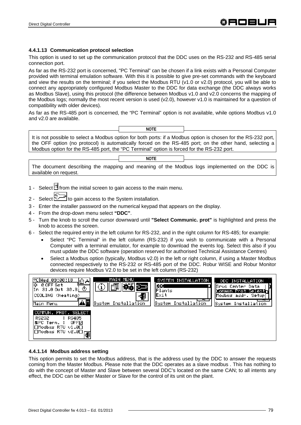## **4.4.1.13 Communication protocol selection**

This option is used to set up the communication protocol that the DDC uses on the RS-232 and RS-485 serial connection port.

As far as the RS-232 port is concerned, "PC Terminal" can be chosen if a link exists with a Personal Computer provided with terminal emulation software. With this it is possible to give pre-set commands with the keyboard and view the results on the terminal; if you select the Modbus RTU (v1.0 or v2.0) protocol, you will be able to connect any appropriately configured Modbus Master to the DDC for data exchange (the DDC always works as Modbus Slave), using this protocol (the difference between Modbus v1.0 and v2.0 concerns the mapping of the Modbus logs; normally the most recent version is used (v2.0), however v1.0 is maintained for a question of compatibility with older devices).

As far as the RS-485 port is concerned, the "PC Terminal" option is not available, while options Modbus v1.0 and v2.0 are available.



It is not possible to select a Modbus option for both ports: if a Modbus option is chosen for the RS-232 port, the OFF option (no protocol) is automatically forced on the RS-485 port; on the other hand, selecting a Modbus option for the RS-485 port, the "PC Terminal" option is forced for the RS-232 port.

#### **NOTE**

The document describing the mapping and meaning of the Modbus logs implemented on the DDC is available on request.

- 1 Select  $\mathbb H$  from the initial screen to gain access to the main menu.
- 2 Select **U**<sup>2</sup> to gain access to the System installation.
- 3 Enter the installer password on the numerical keypad that appears on the display.
- 4 From the drop-down menu select **"DDC"**.
- 5 Turn the knob to scroll the cursor downward until **"Select Communic. prot"** is highlighted and press the knob to access the screen.
- 6 Select the required entry in the left column for RS-232, and in the right column for RS-485; for example:
	- Select "PC Terminal" in the left column (RS-232) if you wish to communicate with a Personal Computer with a terminal emulator, for example to download the events log. Select this also if you must update the DDC software (operation reserved for authorised Technical Assistance Centres)
	- Select a Modbus option (typically, Modbus v2.0) in the left or right column, if using a Master Modbus connected respectively to the RS-232 or RS-485 port of the DDC. Robur WISE and Robur Monitor devices require Modbus V2.0 to be set in the left column (RS-232)



### **4.4.1.14 Modbus address setting**

This option permits to set the Modbus address, that is the address used by the DDC to answer the requests coming from the Master Modbus. Please note that the DDC operates as a slave modbus . This has nothing to do with the concept of Master and Slave between several DDC's located on the same CAN; to all intents any effect, the DDC can be either Master or Slave for the control of its unit on the plant.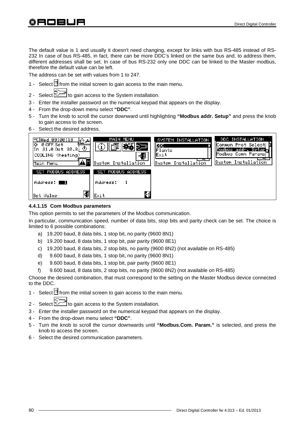The default value is 1 and usually it doesn't need changing, except for links with bus RS-485 instead of RS-232 In case of bus RS-485, in fact, there can be more DDC's linked on the same bus and, to address them, different addresses shall be set. In case of bus RS-232 only one DDC can be linked to the Master modbus, therefore the default value can be left.

The address can be set with values from 1 to 247.

- 1 Select  $\mathbb N$  from the initial screen to gain access to the main menu.
- 2 Select  $\leq$ <sup>1</sup> to gain access to the System installation.
- 3 Enter the installer password on the numerical keypad that appears on the display.
- 4 From the drop-down menu select **"DDC"**.
- 5 Turn the knob to scroll the cursor downward until highlighting **"Modbus addr. Setup"** and press the knob to gain access to the screen.
- 6 Select the desired address.



#### **4.4.1.15 Com Modbus parameters**

This option permits to set the parameters of the Modbus communication.

In particular, communication speed, number of data bits, stop bits and parity check can be set. The choice is limited to 6 possible combinations:

- a) 19.200 baud, 8 data bits, 1 stop bit, no parity (9600 8N1)
- b) 19.200 baud, 8 data bits, 1 stop bit, pair parity (9600 8E1)
- c) 19.200 baud, 8 data bits, 2 stop bits, no parity (9600 8N2) (not available on RS-485)
- d) 9.600 baud, 8 data bits, 1 stop bit, no parity (9600 8N1)
- e) 9.600 baud, 8 data bits, 1 stop bit, pair parity (9600 8E1)
- f) 9.600 baud, 8 data bits, 2 stop bits, no parity (9600 8N2) (not available on RS-485)

Choose the desired combination, that must correspond to the setting on the Master Modbus device connected to the DDC.

- 1 Select  $\mathbb H$  from the initial screen to gain access to the main menu.
- 2 Select  $\mathbb{Z}^{\mathbb{Z}^{\mathbb{Z}}}$  to gain access to the System installation.
- 3 Enter the installer password on the numerical keypad that appears on the display.
- 4 From the drop-down menu select **"DDC"**.
- 5 Turn the knob to scroll the cursor downwards until **"Modbus.Com. Param."** is selected, and press the knob to access the screen.
- 6 Select the desired communication parameters.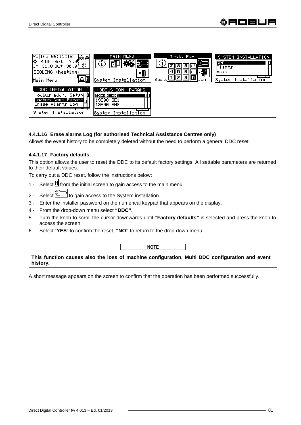

## **4.4.1.16 Erase alarms Log (for authorised Technical Assistance Centres only)**

Allows the event history to be completely deleted without the need to perform a general DDC reset.

## **4.4.1.17 Factory defaults**

This option allows the user to reset the DDC to its default factory settings. All settable parameters are returned to their default values.

To carry out a DDC reset, follow the instructions below:

- 1 Select  $\mathbb H$  from the initial screen to gain access to the main menu.
- 2 Select diffusion access to the System installation.
- 3 Enter the installer password on the numerical keypad that appears on the display.
- 4 From the drop-down menu select **"DDC"**.
- 5 Turn the knob to scroll the cursor downwards until **"Factory defaults"** is selected and press the knob to access the screen.
- 6 Select "**YES**" to confirm the reset, **"NO"** to return to the drop-down menu.

**NOTE**

**This function causes also the loss of machine configuration, Multi DDC configuration and event history.**

A short message appears on the screen to confirm that the operation has been performed successfully.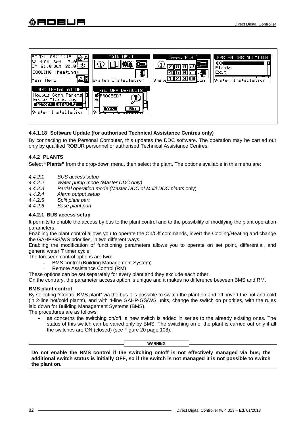

# **4.4.1.18 Software Update (for authorised Technical Assistance Centres only)**

By connecting to the Personal Computer, this updates the DDC software. The operation may be carried out only by qualified ROBUR personnel or authorised Technical Assistance Centres.

# **4.4.2 PLANTS**

Select **"Plants"** from the drop-down menu, then select the plant. The options available in this menu are:

- *4.4.2.1 BUS access setup*
- *4.4.2.2 Water pump mode (Master DDC only)*
- *4.4.2.3 Partial operation mode (Master DDC of Multi DDC plants* only)
- *4.4.2.4 Alarm output setup*
- 4.4.2.5 *Split plant part*
- *4.4.2.6 Base plant part*

### **4.4.2.1 BUS access setup**

It permits to enable the access by bus to the plant control and to the possibility of modifying the plant operation parameters.

Enabling the plant control allows you to operate the On/Off commands, invert the Cooling/Heating and change the GAHP-GS/WS priorities, in two different ways.

Enabling the modification of functioning parameters allows you to operate on set point, differential, and general water T timer cycle.

The foreseen control options are two:

- BMS control (Building Management System)
- Remote Assistance Control (RM)

These options can be set separately for every plant and they exclude each other.

On the contrary, the parameter access option is unique and it makes no difference between BMS and RM.

#### **BMS plant control**

By selecting "Control BMS plant" via the bus it is possible to switch the plant on and off, invert the hot and cold (in 2-line hot/cold plants), and with 4-line GAHP-GS/WS units, change the switch on priorities, with the rules laid down for Building Management Systems (BMS).

The procedures are as follows:

as concerns the switching on/off, a new switch is added in series to the already existing ones. The status of this switch can be varied only by BMS. The switching on of the plant is carried out only if all the switches are ON (closed) (see Figure 20 page 108).

**WARNING** 

**Do not enable the BMS control if the switching on/off is not effectively managed via bus; the additional switch status is initially OFF, so if the switch is not managed it is not possible to switch the plant on.**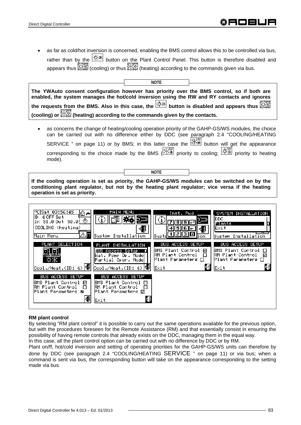• as far as cold/hot inversion is concerned, enabling the BMS control allows this to be controlled via bus, rather than by the  $\frac{|\cdot| \cdot \cdot |}{|\cdot|}$  button on the Plant Control Panel. This button is therefore disabled and appears thus  $\mathbb{C}\mathbb{R}^n$  (cooling) or thus  $\mathbb{C}\mathbb{R}^n$  (heating) according to the commands given via bus.

| <b>NOTE</b>                                                                                                                                                                                                                                                                                                                                                                                                                      |
|----------------------------------------------------------------------------------------------------------------------------------------------------------------------------------------------------------------------------------------------------------------------------------------------------------------------------------------------------------------------------------------------------------------------------------|
| The YWAuto consent configuration however has priority over the BMS control, so if both are<br>enabled, the system manages the hot/cold inversion using the RW and RY contacts and ignores<br>the requests from the BMS. Also in this case, the $\overline{\mathbb{X}^*}$ button is disabled and appears thus $\overline{\mathbb{X}^*}$<br>(cooling) or $\mathbb{R}^m$ (heating) according to the commands given by the contacts. |
| as concerns the change of heating/cooling operation priority of the GAHP-GS/WS modules, the choice                                                                                                                                                                                                                                                                                                                               |

can be carried out with no difference either by DDC (see paragraph 2.4 "COOLING/HEATING SERVICE " on page 11) or by BMS; in this latter case the  $\mathbb{X}^*$  button will get the appearance corresponding to the choice made by the BMS ( $\frac{X}{X}$  priority to cooling;  $\frac{X}{X}$  priority to heating mode).

**If the cooling operation is set as priority, the GAHP-GS/WS modules can be switched on by the conditioning plant regulator, but not by the heating plant regulator; vice versa if the heating operation is set as priority.**

**NOTE** 



### **RM plant control**

By selecting "RM plant control" it is possible to carry out the same operations available for the previous option, but with the procedures foreseen for the Remote Assistance (RM) and that essentially consist in ensuring the possibility of having remote controls that already exists on the DDC, managing them in the equal way. In this case, all the plant control option can be carried out with no difference by DDC or by RM.

Plant on/ff, hot/cold inversion and setting of operating priorities for the GAHP-GS/WS units can therefore by done by DDC (see paragraph 2.4 "COOLING/HEATING SERVICE " on page 11) or via bus; when a command is sent via bus, the corresponding button will take on the appearance corresponding to the setting made via bus.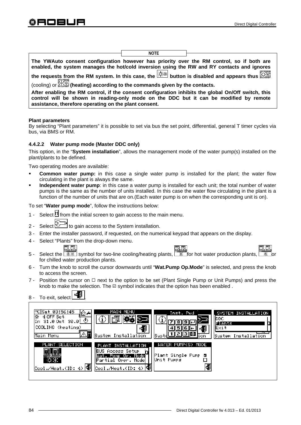|                                                                                                                                                                                                                                                        | <b>NOTE</b> |  |  |
|--------------------------------------------------------------------------------------------------------------------------------------------------------------------------------------------------------------------------------------------------------|-------------|--|--|
|                                                                                                                                                                                                                                                        |             |  |  |
| The YWAuto consent configuration however has priority over the RM control, so if both are<br>enabled, the system manages the hot/cold inversion using the RW and RY contacts and ignores                                                               |             |  |  |
|                                                                                                                                                                                                                                                        |             |  |  |
| the requests from the RM system. In this case, the $\mathbb{R}^*$ button is disabled and appears thus                                                                                                                                                  |             |  |  |
| (cooling) or <b>the exting according to the commands given by the contacts.</b>                                                                                                                                                                        |             |  |  |
| After enabling the RM control, if the consent configuration inhibits the global On/Off switch, this<br>control will be shown in reading-only mode on the DDC but it can be modified by remote<br>assistance, therefore operating on the plant consent. |             |  |  |

#### **Plant parameters**

By selecting "Plant parameters" it is possible to set via bus the set point, differential, general T timer cycles via bus, via BMS or RM.

#### **4.4.2.2 Water pump mode (Master DDC only)**

This option, in the "**System installation**", allows the management mode of the water pump(s) installed on the plant/plants to be defined.

Two operating modes are available:

- **Common water pump:** in this case a single water pump is installed for the plant; the water flow circulating in the plant is always the same.
- **Independent water pump**: in this case a water pump is installed for each unit; the total number of water pumps is the same as the number of units installed. In this case the water flow circulating in the plant is a function of the number of units that are on.(Each water pump is on when the corresponding unit is on).

To set "**Water pump mode**", follow the instructions below:

- 1 Select  $\mathbb H$  from the initial screen to gain access to the main menu.
- 2 Select  $\mathbb{Z}^{\mathbb{Z}}$  to gain access to the System installation.
- 3 Enter the installer password, if requested, on the numerical keypad that appears on the display.
- 4 Select "Plants" from the drop-down menu.



ना ला



- 5 Select the  $\sqrt{3\pi}$  symbol for two-line cooling/heating plants,  $\sqrt{3\pi}$  for hot water production plants, for chilled water production plants.
- 6 Turn the knob to scroll the cursor downwards until "**Wat.Pump Op.Mode**" is selected, and press the knob to access the screen.
- 7 Position the cursor on  $\Box$  next to the option to be set (Plant Single Pump or Unit Pumps) and press the knob to make the selection. The  $\boxtimes$  symbol indicates that the option has been enabled.

| To exit, select $\boxed{\begin{array}{c} \begin{array}{c} \end{array}}$<br>$8 -$ |  |
|----------------------------------------------------------------------------------|--|
|----------------------------------------------------------------------------------|--|

| PC Sat 03:56:45<br>⊕⊶<br>Ió.<br>4 OFF Set<br>In 31.0 Out 30.0!<br>COOLING (heating)<br>Main Menu | MAIN MENU<br>System Installation                                                                                       | Inst. Pwd<br>1    2    3    0]<br>Sus:<br>on                   | SYSTEM INSTALLATION<br>IDDC.<br>Plants<br>Exit<br>System Installation |
|--------------------------------------------------------------------------------------------------|------------------------------------------------------------------------------------------------------------------------|----------------------------------------------------------------|-----------------------------------------------------------------------|
| PLANT SELECTION<br>$\boxed{\text{Cool./Heat.(ID: 4)} }$                                          | PLANT INSTALLATION<br><b>BUS Access Setup</b><br>Wat. Pump Op. Model<br>Partial Oper. Model<br>Cool./Heat.(ID: 4)   19 | WATER PUMP(S) MODE<br><b>Plant Single Pump @</b><br>Unit Pumps |                                                                       |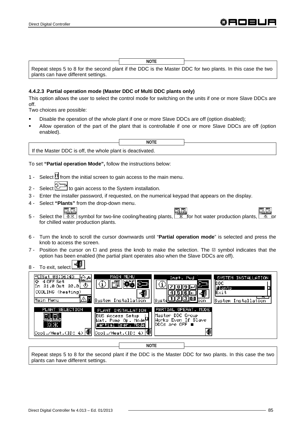|                                     | <b>NOTE</b> |                                                                                                            |
|-------------------------------------|-------------|------------------------------------------------------------------------------------------------------------|
|                                     |             | Repeat steps 5 to 8 for the second plant if the DDC is the Master DDC for two plants. In this case the two |
| plants can have different settings. |             |                                                                                                            |

### **4.4.2.3 Partial operation mode (Master DDC of Multi DDC plants only)**

This option allows the user to select the control mode for switching on the units if one or more Slave DDCs are off.

Two choices are possible:

- Disable the operation of the whole plant if one or more Slave DDCs are off (option disabled);
- Allow operation of the part of the plant that is controllable if one or more Slave DDCs are off (option enabled).

|                                                           | <b>NOTE</b> |  |
|-----------------------------------------------------------|-------------|--|
| If the Master DDC is off, the whole plant is deactivated. |             |  |

To set **"Partial operation Mode",** follow the instructions below:

- 1 Select  $\mathbb H$  from the initial screen to gain access to the main menu.
- 2 Select  $\mathbb{Z}^{\mathbb{Z}^{\mathbb{Z}}}$  to gain access to the System installation.
- 3 Enter the installer password, if requested, on the numerical keypad that appears on the display.
- 4 Select **"Plants"** from the drop-down menu.
- 그녀가 5 - Select the  $\frac{1}{2}$  symbol for two-line cooling/heating plants,  $\frac{1}{2}$  for hot water production plants, for chilled water production plants.
- 6 Turn the knob to scroll the cursor downwards until "**Partial operation mode**" is selected and press the knob to access the screen.
- 7 Position the cursor on  $\Box$  and press the knob to make the selection. The  $\Box$  symbol indicates that the option has been enabled (the partial plant operates also when the Slave DDCs are off).
- 8 To exit, select



Repeat steps 5 to 8 for the second plant if the DDC is the Master DDC for two plants. In this case the two plants can have different settings.